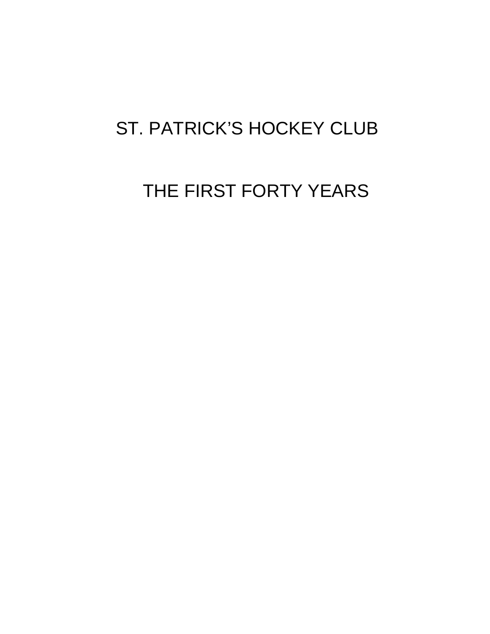# ST. PATRICK'S HOCKEY CLUB

# THE FIRST FORTY YEARS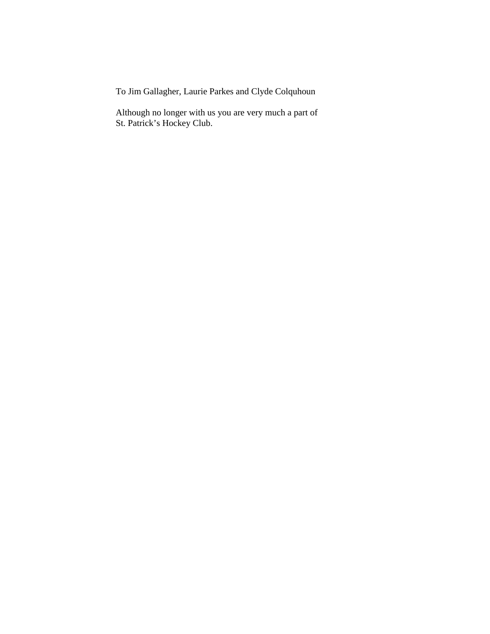To Jim Gallagher, Laurie Parkes and Clyde Colquhoun

 Although no longer with us you are very much a part of St. Patrick's Hockey Club.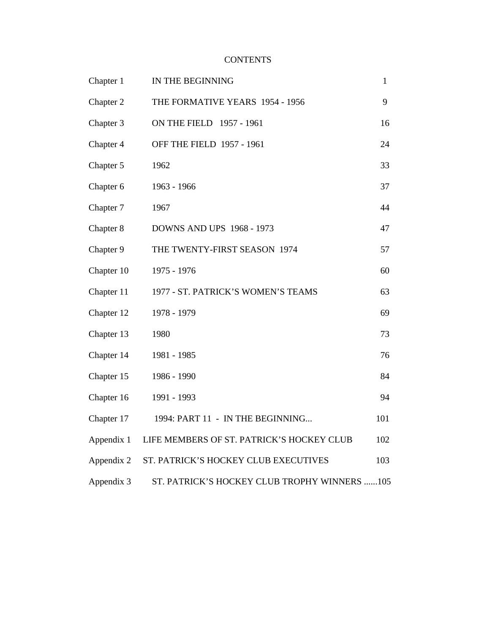## **CONTENTS**

| Chapter 1  | IN THE BEGINNING                             | 1   |
|------------|----------------------------------------------|-----|
| Chapter 2  | THE FORMATIVE YEARS 1954 - 1956              | 9   |
| Chapter 3  | ON THE FIELD 1957 - 1961                     | 16  |
| Chapter 4  | OFF THE FIELD 1957 - 1961                    | 24  |
| Chapter 5  | 1962                                         | 33  |
| Chapter 6  | 1963 - 1966                                  | 37  |
| Chapter 7  | 1967                                         | 44  |
| Chapter 8  | <b>DOWNS AND UPS 1968 - 1973</b>             | 47  |
| Chapter 9  | THE TWENTY-FIRST SEASON 1974                 | 57  |
| Chapter 10 | 1975 - 1976                                  | 60  |
| Chapter 11 | 1977 - ST. PATRICK'S WOMEN'S TEAMS           | 63  |
| Chapter 12 | 1978 - 1979                                  | 69  |
| Chapter 13 | 1980                                         | 73  |
| Chapter 14 | 1981 - 1985                                  | 76  |
| Chapter 15 | 1986 - 1990                                  | 84  |
| Chapter 16 | 1991 - 1993                                  | 94  |
| Chapter 17 | 1994: PART 11 - IN THE BEGINNING             | 101 |
| Appendix 1 | LIFE MEMBERS OF ST. PATRICK'S HOCKEY CLUB    | 102 |
| Appendix 2 | ST. PATRICK'S HOCKEY CLUB EXECUTIVES         | 103 |
| Appendix 3 | ST. PATRICK'S HOCKEY CLUB TROPHY WINNERS 105 |     |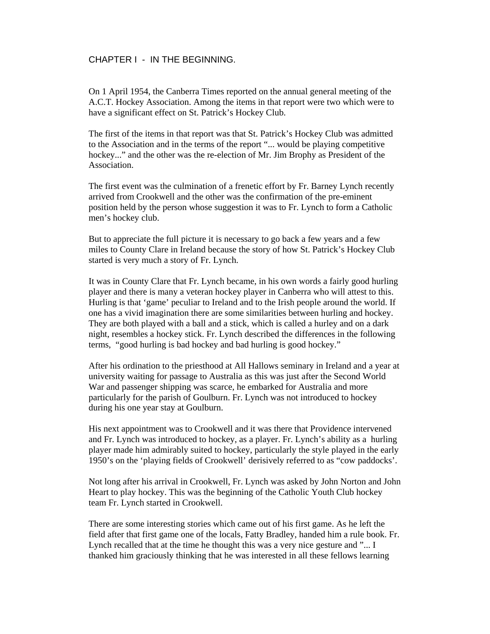CHAPTER I - IN THE BEGINNING.

On 1 April 1954, the Canberra Times reported on the annual general meeting of the A.C.T. Hockey Association. Among the items in that report were two which were to have a significant effect on St. Patrick's Hockey Club.

The first of the items in that report was that St. Patrick's Hockey Club was admitted to the Association and in the terms of the report "... would be playing competitive hockey..." and the other was the re-election of Mr. Jim Brophy as President of the Association.

The first event was the culmination of a frenetic effort by Fr. Barney Lynch recently arrived from Crookwell and the other was the confirmation of the pre-eminent position held by the person whose suggestion it was to Fr. Lynch to form a Catholic men's hockey club.

But to appreciate the full picture it is necessary to go back a few years and a few miles to County Clare in Ireland because the story of how St. Patrick's Hockey Club started is very much a story of Fr. Lynch.

It was in County Clare that Fr. Lynch became, in his own words a fairly good hurling player and there is many a veteran hockey player in Canberra who will attest to this. Hurling is that 'game' peculiar to Ireland and to the Irish people around the world. If one has a vivid imagination there are some similarities between hurling and hockey. They are both played with a ball and a stick, which is called a hurley and on a dark night, resembles a hockey stick. Fr. Lynch described the differences in the following terms, "good hurling is bad hockey and bad hurling is good hockey."

After his ordination to the priesthood at All Hallows seminary in Ireland and a year at university waiting for passage to Australia as this was just after the Second World War and passenger shipping was scarce, he embarked for Australia and more particularly for the parish of Goulburn. Fr. Lynch was not introduced to hockey during his one year stay at Goulburn.

His next appointment was to Crookwell and it was there that Providence intervened and Fr. Lynch was introduced to hockey, as a player. Fr. Lynch's ability as a hurling player made him admirably suited to hockey, particularly the style played in the early 1950's on the 'playing fields of Crookwell' derisively referred to as "cow paddocks'.

Not long after his arrival in Crookwell, Fr. Lynch was asked by John Norton and John Heart to play hockey. This was the beginning of the Catholic Youth Club hockey team Fr. Lynch started in Crookwell.

There are some interesting stories which came out of his first game. As he left the field after that first game one of the locals, Fatty Bradley, handed him a rule book. Fr. Lynch recalled that at the time he thought this was a very nice gesture and "... I thanked him graciously thinking that he was interested in all these fellows learning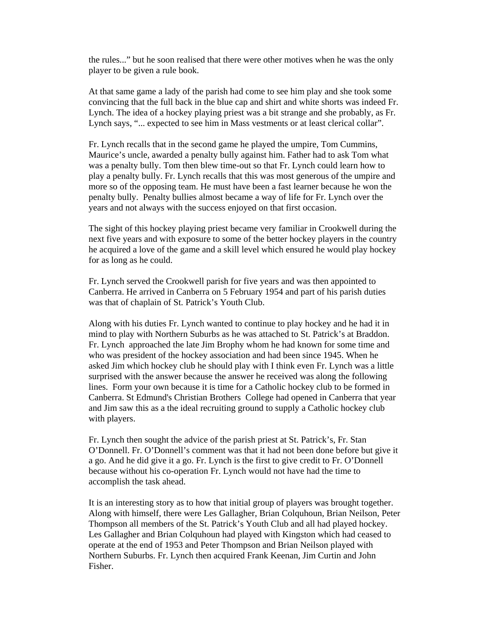the rules..." but he soon realised that there were other motives when he was the only player to be given a rule book.

At that same game a lady of the parish had come to see him play and she took some convincing that the full back in the blue cap and shirt and white shorts was indeed Fr. Lynch. The idea of a hockey playing priest was a bit strange and she probably, as Fr. Lynch says, "... expected to see him in Mass vestments or at least clerical collar".

Fr. Lynch recalls that in the second game he played the umpire, Tom Cummins, Maurice's uncle, awarded a penalty bully against him. Father had to ask Tom what was a penalty bully. Tom then blew time-out so that Fr. Lynch could learn how to play a penalty bully. Fr. Lynch recalls that this was most generous of the umpire and more so of the opposing team. He must have been a fast learner because he won the penalty bully. Penalty bullies almost became a way of life for Fr. Lynch over the years and not always with the success enjoyed on that first occasion.

The sight of this hockey playing priest became very familiar in Crookwell during the next five years and with exposure to some of the better hockey players in the country he acquired a love of the game and a skill level which ensured he would play hockey for as long as he could.

Fr. Lynch served the Crookwell parish for five years and was then appointed to Canberra. He arrived in Canberra on 5 February 1954 and part of his parish duties was that of chaplain of St. Patrick's Youth Club.

Along with his duties Fr. Lynch wanted to continue to play hockey and he had it in mind to play with Northern Suburbs as he was attached to St. Patrick's at Braddon. Fr. Lynch approached the late Jim Brophy whom he had known for some time and who was president of the hockey association and had been since 1945. When he asked Jim which hockey club he should play with I think even Fr. Lynch was a little surprised with the answer because the answer he received was along the following lines. Form your own because it is time for a Catholic hockey club to be formed in Canberra. St Edmund's Christian Brothers College had opened in Canberra that year and Jim saw this as a the ideal recruiting ground to supply a Catholic hockey club with players.

Fr. Lynch then sought the advice of the parish priest at St. Patrick's, Fr. Stan O'Donnell. Fr. O'Donnell's comment was that it had not been done before but give it a go. And he did give it a go. Fr. Lynch is the first to give credit to Fr. O'Donnell because without his co-operation Fr. Lynch would not have had the time to accomplish the task ahead.

It is an interesting story as to how that initial group of players was brought together. Along with himself, there were Les Gallagher, Brian Colquhoun, Brian Neilson, Peter Thompson all members of the St. Patrick's Youth Club and all had played hockey. Les Gallagher and Brian Colquhoun had played with Kingston which had ceased to operate at the end of 1953 and Peter Thompson and Brian Neilson played with Northern Suburbs. Fr. Lynch then acquired Frank Keenan, Jim Curtin and John Fisher.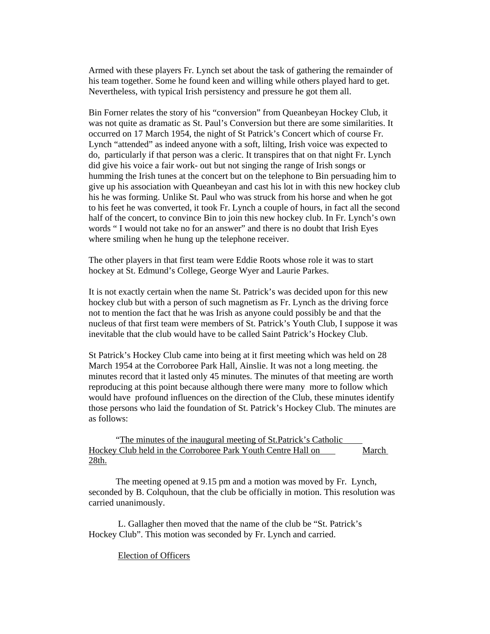Armed with these players Fr. Lynch set about the task of gathering the remainder of his team together. Some he found keen and willing while others played hard to get. Nevertheless, with typical Irish persistency and pressure he got them all.

Bin Forner relates the story of his "conversion" from Queanbeyan Hockey Club, it was not quite as dramatic as St. Paul's Conversion but there are some similarities. It occurred on 17 March 1954, the night of St Patrick's Concert which of course Fr. Lynch "attended" as indeed anyone with a soft, lilting, Irish voice was expected to do, particularly if that person was a cleric. It transpires that on that night Fr. Lynch did give his voice a fair work- out but not singing the range of Irish songs or humming the Irish tunes at the concert but on the telephone to Bin persuading him to give up his association with Queanbeyan and cast his lot in with this new hockey club his he was forming. Unlike St. Paul who was struck from his horse and when he got to his feet he was converted, it took Fr. Lynch a couple of hours, in fact all the second half of the concert, to convince Bin to join this new hockey club. In Fr. Lynch's own words " I would not take no for an answer" and there is no doubt that Irish Eyes where smiling when he hung up the telephone receiver.

The other players in that first team were Eddie Roots whose role it was to start hockey at St. Edmund's College, George Wyer and Laurie Parkes.

It is not exactly certain when the name St. Patrick's was decided upon for this new hockey club but with a person of such magnetism as Fr. Lynch as the driving force not to mention the fact that he was Irish as anyone could possibly be and that the nucleus of that first team were members of St. Patrick's Youth Club, I suppose it was inevitable that the club would have to be called Saint Patrick's Hockey Club.

St Patrick's Hockey Club came into being at it first meeting which was held on 28 March 1954 at the Corroboree Park Hall, Ainslie. It was not a long meeting. the minutes record that it lasted only 45 minutes. The minutes of that meeting are worth reproducing at this point because although there were many more to follow which would have profound influences on the direction of the Club, these minutes identify those persons who laid the foundation of St. Patrick's Hockey Club. The minutes are as follows:

 "The minutes of the inaugural meeting of St.Patrick's Catholic Hockey Club held in the Corroboree Park Youth Centre Hall on March 28th.

 The meeting opened at 9.15 pm and a motion was moved by Fr. Lynch, seconded by B. Colquhoun, that the club be officially in motion. This resolution was carried unanimously.

 L. Gallagher then moved that the name of the club be "St. Patrick's Hockey Club". This motion was seconded by Fr. Lynch and carried.

#### Election of Officers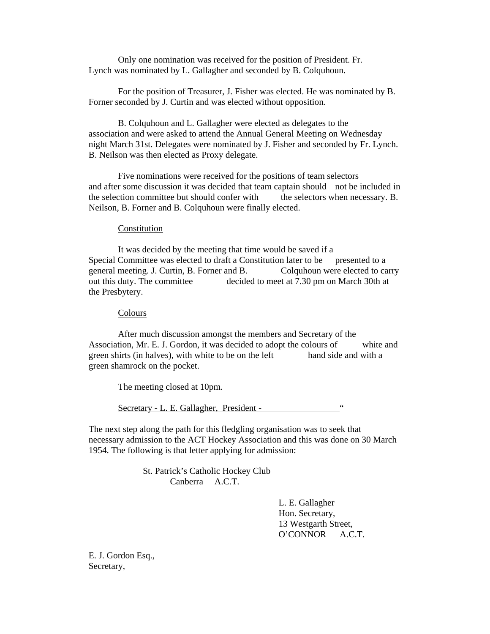Only one nomination was received for the position of President. Fr. Lynch was nominated by L. Gallagher and seconded by B. Colquhoun.

 For the position of Treasurer, J. Fisher was elected. He was nominated by B. Forner seconded by J. Curtin and was elected without opposition.

 B. Colquhoun and L. Gallagher were elected as delegates to the association and were asked to attend the Annual General Meeting on Wednesday night March 31st. Delegates were nominated by J. Fisher and seconded by Fr. Lynch. B. Neilson was then elected as Proxy delegate.

 Five nominations were received for the positions of team selectors and after some discussion it was decided that team captain should not be included in the selection committee but should confer with the selectors when necessary. B. Neilson, B. Forner and B. Colquhoun were finally elected.

#### **Constitution**

 It was decided by the meeting that time would be saved if a Special Committee was elected to draft a Constitution later to be presented to a general meeting. J. Curtin, B. Forner and B. Colquhoun were elected to carry out this duty. The committee decided to meet at 7.30 pm on March 30th at the Presbytery.

#### **Colours**

 After much discussion amongst the members and Secretary of the Association, Mr. E. J. Gordon, it was decided to adopt the colours of white and green shirts (in halves), with white to be on the left hand side and with a green shamrock on the pocket.

The meeting closed at 10pm.

Secretary - L. E. Gallagher, President -

The next step along the path for this fledgling organisation was to seek that necessary admission to the ACT Hockey Association and this was done on 30 March 1954. The following is that letter applying for admission:

> St. Patrick's Catholic Hockey Club Canberra A.C.T.

> > L. E. Gallagher Hon. Secretary, 13 Westgarth Street, O'CONNOR A.C.T.

E. J. Gordon Esq., Secretary,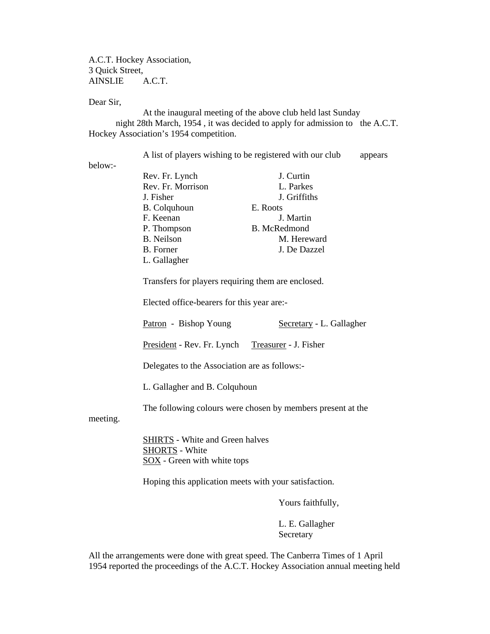A.C.T. Hockey Association, 3 Quick Street, AINSLIE A.C.T.

Dear Sir,

 At the inaugural meeting of the above club held last Sunday night 28th March, 1954 , it was decided to apply for admission to the A.C.T. Hockey Association's 1954 competition.

A list of players wishing to be registered with our club appears

below:-

| below:- |                     |                     |
|---------|---------------------|---------------------|
|         | Rev. Fr. Lynch      | J. Curtin           |
|         | Rev. Fr. Morrison   | L. Parkes           |
|         | J. Fisher           | J. Griffiths        |
|         | <b>B.</b> Colquhoun | E. Roots            |
|         | F. Keenan           | J. Martin           |
|         | P. Thompson         | <b>B.</b> McRedmond |
|         | <b>B.</b> Neilson   | M. Hereward         |
|         | B. Forner           | J. De Dazzel        |
|         | L. Gallagher        |                     |

Transfers for players requiring them are enclosed.

Elected office-bearers for this year are:-

Patron - Bishop Young Secretary - L. Gallagher

President - Rev. Fr. Lynch Treasurer - J. Fisher

Delegates to the Association are as follows:-

L. Gallagher and B. Colquhoun

The following colours were chosen by members present at the

meeting.

 SHIRTS - White and Green halves SHORTS - White SOX - Green with white tops

Hoping this application meets with your satisfaction.

Yours faithfully,

 L. E. Gallagher Secretary

All the arrangements were done with great speed. The Canberra Times of 1 April 1954 reported the proceedings of the A.C.T. Hockey Association annual meeting held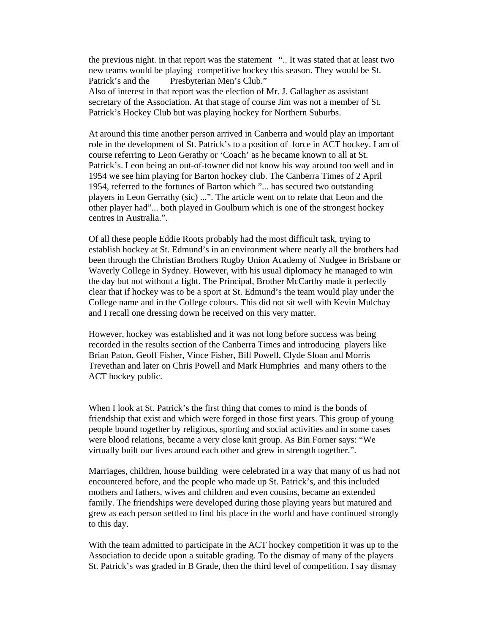the previous night. in that report was the statement ".. It was stated that at least two new teams would be playing competitive hockey this season. They would be St. Patrick's and the Presbyterian Men's Club." Also of interest in that report was the election of Mr. J. Gallagher as assistant secretary of the Association. At that stage of course Jim was not a member of St. Patrick's Hockey Club but was playing hockey for Northern Suburbs.

At around this time another person arrived in Canberra and would play an important role in the development of St. Patrick's to a position of force in ACT hockey. I am of course referring to Leon Gerathy or 'Coach' as he became known to all at St. Patrick's. Leon being an out-of-towner did not know his way around too well and in 1954 we see him playing for Barton hockey club. The Canberra Times of 2 April 1954, referred to the fortunes of Barton which "... has secured two outstanding players in Leon Gerrathy (sic) ...". The article went on to relate that Leon and the other player had"... both played in Goulburn which is one of the strongest hockey centres in Australia.".

Of all these people Eddie Roots probably had the most difficult task, trying to establish hockey at St. Edmund's in an environment where nearly all the brothers had been through the Christian Brothers Rugby Union Academy of Nudgee in Brisbane or Waverly College in Sydney. However, with his usual diplomacy he managed to win the day but not without a fight. The Principal, Brother McCarthy made it perfectly clear that if hockey was to be a sport at St. Edmund's the team would play under the College name and in the College colours. This did not sit well with Kevin Mulchay and I recall one dressing down he received on this very matter.

However, hockey was established and it was not long before success was being recorded in the results section of the Canberra Times and introducing players like Brian Paton, Geoff Fisher, Vince Fisher, Bill Powell, Clyde Sloan and Morris Trevethan and later on Chris Powell and Mark Humphries and many others to the ACT hockey public.

When I look at St. Patrick's the first thing that comes to mind is the bonds of friendship that exist and which were forged in those first years. This group of young people bound together by religious, sporting and social activities and in some cases were blood relations, became a very close knit group. As Bin Forner says: "We virtually built our lives around each other and grew in strength together.".

Marriages, children, house building were celebrated in a way that many of us had not encountered before, and the people who made up St. Patrick's, and this included mothers and fathers, wives and children and even cousins, became an extended family. The friendships were developed during those playing years but matured and grew as each person settled to find his place in the world and have continued strongly to this day.

With the team admitted to participate in the ACT hockey competition it was up to the Association to decide upon a suitable grading. To the dismay of many of the players St. Patrick's was graded in B Grade, then the third level of competition. I say dismay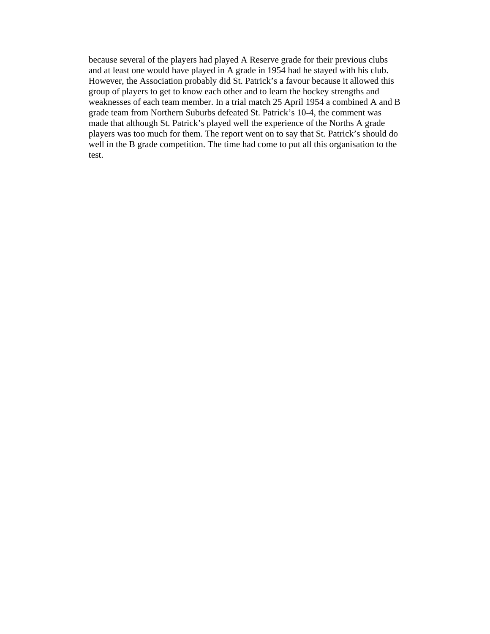because several of the players had played A Reserve grade for their previous clubs and at least one would have played in A grade in 1954 had he stayed with his club. However, the Association probably did St. Patrick's a favour because it allowed this group of players to get to know each other and to learn the hockey strengths and weaknesses of each team member. In a trial match 25 April 1954 a combined A and B grade team from Northern Suburbs defeated St. Patrick's 10-4, the comment was made that although St. Patrick's played well the experience of the Norths A grade players was too much for them. The report went on to say that St. Patrick's should do well in the B grade competition. The time had come to put all this organisation to the test.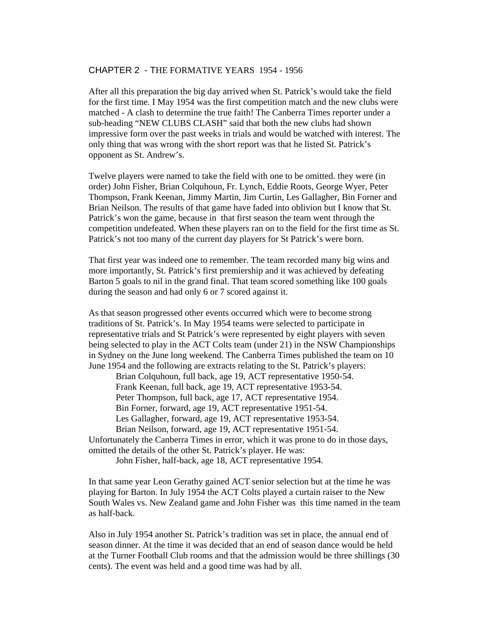## CHAPTER 2 - THE FORMATIVE YEARS 1954 - 1956

After all this preparation the big day arrived when St. Patrick's would take the field for the first time. I May 1954 was the first competition match and the new clubs were matched - A clash to determine the true faith! The Canberra Times reporter under a sub-heading "NEW CLUBS CLASH" said that both the new clubs had shown impressive form over the past weeks in trials and would be watched with interest. The only thing that was wrong with the short report was that he listed St. Patrick's opponent as St. Andrew's.

Twelve players were named to take the field with one to be omitted. they were (in order) John Fisher, Brian Colquhoun, Fr. Lynch, Eddie Roots, George Wyer, Peter Thompson, Frank Keenan, Jimmy Martin, Jim Curtin, Les Gallagher, Bin Forner and Brian Neilson. The results of that game have faded into oblivion but I know that St. Patrick's won the game, because in that first season the team went through the competition undefeated. When these players ran on to the field for the first time as St. Patrick's not too many of the current day players for St Patrick's were born.

That first year was indeed one to remember. The team recorded many big wins and more importantly, St. Patrick's first premiership and it was achieved by defeating Barton 5 goals to nil in the grand final. That team scored something like 100 goals during the season and had only 6 or 7 scored against it.

As that season progressed other events occurred which were to become strong traditions of St. Patrick's. In May 1954 teams were selected to participate in representative trials and St Patrick's were represented by eight players with seven being selected to play in the ACT Colts team (under 21) in the NSW Championships in Sydney on the June long weekend. The Canberra Times published the team on 10 June 1954 and the following are extracts relating to the St. Patrick's players:

 Brian Colquhoun, full back, age 19, ACT representative 1950-54. Frank Keenan, full back, age 19, ACT representative 1953-54. Peter Thompson, full back, age 17, ACT representative 1954. Bin Forner, forward, age 19, ACT representative 1951-54. Les Gallagher, forward, age 19, ACT representative 1953-54. Brian Neilson, forward, age 19, ACT representative 1951-54.

Unfortunately the Canberra Times in error, which it was prone to do in those days, omitted the details of the other St. Patrick's player. He was:

John Fisher, half-back, age 18, ACT representative 1954.

In that same year Leon Gerathy gained ACT senior selection but at the time he was playing for Barton. In July 1954 the ACT Colts played a curtain raiser to the New South Wales vs. New Zealand game and John Fisher was this time named in the team as half-back.

Also in July 1954 another St. Patrick's tradition was set in place, the annual end of season dinner. At the time it was decided that an end of season dance would be held at the Turner Football Club rooms and that the admission would be three shillings (30 cents). The event was held and a good time was had by all.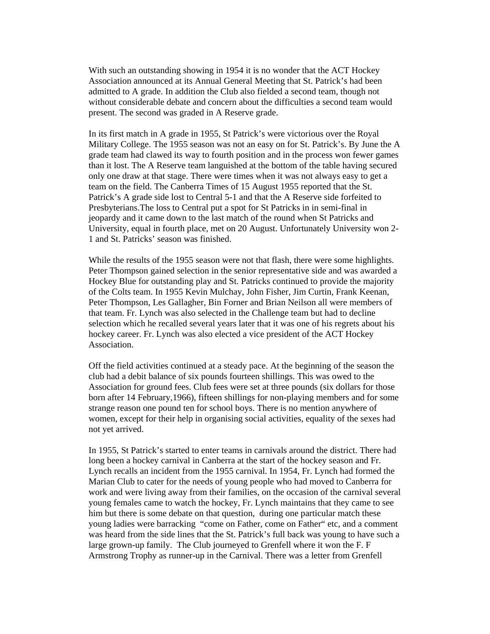With such an outstanding showing in 1954 it is no wonder that the ACT Hockey Association announced at its Annual General Meeting that St. Patrick's had been admitted to A grade. In addition the Club also fielded a second team, though not without considerable debate and concern about the difficulties a second team would present. The second was graded in A Reserve grade.

In its first match in A grade in 1955, St Patrick's were victorious over the Royal Military College. The 1955 season was not an easy on for St. Patrick's. By June the A grade team had clawed its way to fourth position and in the process won fewer games than it lost. The A Reserve team languished at the bottom of the table having secured only one draw at that stage. There were times when it was not always easy to get a team on the field. The Canberra Times of 15 August 1955 reported that the St. Patrick's A grade side lost to Central 5-1 and that the A Reserve side forfeited to Presbyterians.The loss to Central put a spot for St Patricks in in semi-final in jeopardy and it came down to the last match of the round when St Patricks and University, equal in fourth place, met on 20 August. Unfortunately University won 2- 1 and St. Patricks' season was finished.

While the results of the 1955 season were not that flash, there were some highlights. Peter Thompson gained selection in the senior representative side and was awarded a Hockey Blue for outstanding play and St. Patricks continued to provide the majority of the Colts team. In 1955 Kevin Mulchay, John Fisher, Jim Curtin, Frank Keenan, Peter Thompson, Les Gallagher, Bin Forner and Brian Neilson all were members of that team. Fr. Lynch was also selected in the Challenge team but had to decline selection which he recalled several years later that it was one of his regrets about his hockey career. Fr. Lynch was also elected a vice president of the ACT Hockey Association.

Off the field activities continued at a steady pace. At the beginning of the season the club had a debit balance of six pounds fourteen shillings. This was owed to the Association for ground fees. Club fees were set at three pounds (six dollars for those born after 14 February,1966), fifteen shillings for non-playing members and for some strange reason one pound ten for school boys. There is no mention anywhere of women, except for their help in organising social activities, equality of the sexes had not yet arrived.

In 1955, St Patrick's started to enter teams in carnivals around the district. There had long been a hockey carnival in Canberra at the start of the hockey season and Fr. Lynch recalls an incident from the 1955 carnival. In 1954, Fr. Lynch had formed the Marian Club to cater for the needs of young people who had moved to Canberra for work and were living away from their families, on the occasion of the carnival several young females came to watch the hockey, Fr. Lynch maintains that they came to see him but there is some debate on that question, during one particular match these young ladies were barracking "come on Father, come on Father" etc, and a comment was heard from the side lines that the St. Patrick's full back was young to have such a large grown-up family. The Club journeyed to Grenfell where it won the F. F Armstrong Trophy as runner-up in the Carnival. There was a letter from Grenfell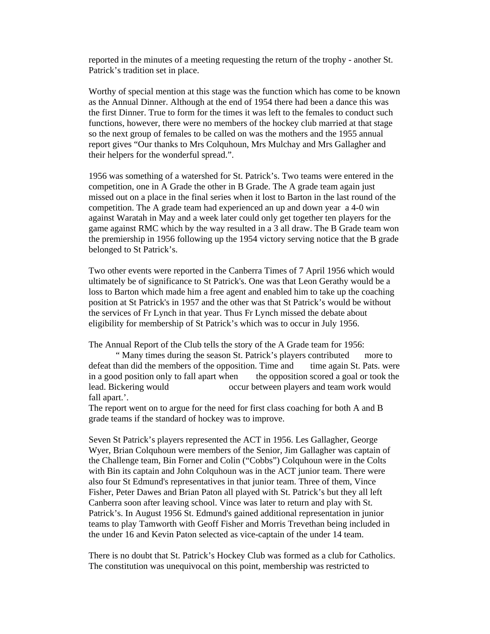reported in the minutes of a meeting requesting the return of the trophy - another St. Patrick's tradition set in place.

Worthy of special mention at this stage was the function which has come to be known as the Annual Dinner. Although at the end of 1954 there had been a dance this was the first Dinner. True to form for the times it was left to the females to conduct such functions, however, there were no members of the hockey club married at that stage so the next group of females to be called on was the mothers and the 1955 annual report gives "Our thanks to Mrs Colquhoun, Mrs Mulchay and Mrs Gallagher and their helpers for the wonderful spread.".

1956 was something of a watershed for St. Patrick's. Two teams were entered in the competition, one in A Grade the other in B Grade. The A grade team again just missed out on a place in the final series when it lost to Barton in the last round of the competition. The A grade team had experienced an up and down year a 4-0 win against Waratah in May and a week later could only get together ten players for the game against RMC which by the way resulted in a 3 all draw. The B Grade team won the premiership in 1956 following up the 1954 victory serving notice that the B grade belonged to St Patrick's.

Two other events were reported in the Canberra Times of 7 April 1956 which would ultimately be of significance to St Patrick's. One was that Leon Gerathy would be a loss to Barton which made him a free agent and enabled him to take up the coaching position at St Patrick's in 1957 and the other was that St Patrick's would be without the services of Fr Lynch in that year. Thus Fr Lynch missed the debate about eligibility for membership of St Patrick's which was to occur in July 1956.

The Annual Report of the Club tells the story of the A Grade team for 1956:

 " Many times during the season St. Patrick's players contributed more to defeat than did the members of the opposition. Time and time again St. Pats. were in a good position only to fall apart when the opposition scored a goal or took the lead. Bickering would occur between players and team work would fall apart.'.

The report went on to argue for the need for first class coaching for both A and B grade teams if the standard of hockey was to improve.

Seven St Patrick's players represented the ACT in 1956. Les Gallagher, George Wyer, Brian Colquhoun were members of the Senior, Jim Gallagher was captain of the Challenge team, Bin Forner and Colin ("Cobbs") Colquhoun were in the Colts with Bin its captain and John Colquhoun was in the ACT junior team. There were also four St Edmund's representatives in that junior team. Three of them, Vince Fisher, Peter Dawes and Brian Paton all played with St. Patrick's but they all left Canberra soon after leaving school. Vince was later to return and play with St. Patrick's. In August 1956 St. Edmund's gained additional representation in junior teams to play Tamworth with Geoff Fisher and Morris Trevethan being included in the under 16 and Kevin Paton selected as vice-captain of the under 14 team.

There is no doubt that St. Patrick's Hockey Club was formed as a club for Catholics. The constitution was unequivocal on this point, membership was restricted to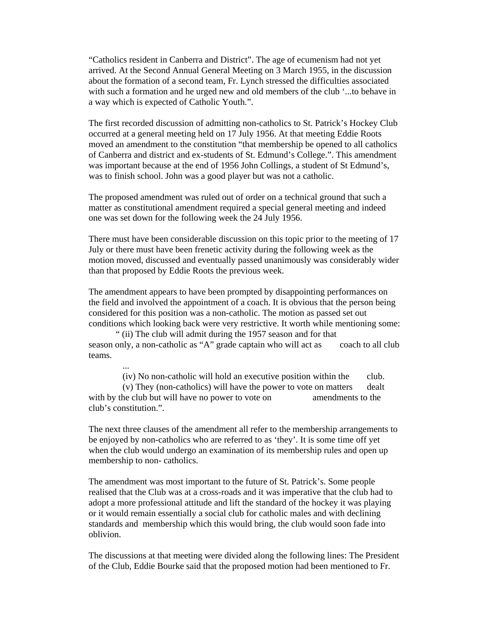"Catholics resident in Canberra and District". The age of ecumenism had not yet arrived. At the Second Annual General Meeting on 3 March 1955, in the discussion about the formation of a second team, Fr. Lynch stressed the difficulties associated with such a formation and he urged new and old members of the club '...to behave in a way which is expected of Catholic Youth.".

The first recorded discussion of admitting non-catholics to St. Patrick's Hockey Club occurred at a general meeting held on 17 July 1956. At that meeting Eddie Roots moved an amendment to the constitution "that membership be opened to all catholics of Canberra and district and ex-students of St. Edmund's College.". This amendment was important because at the end of 1956 John Collings, a student of St Edmund's, was to finish school. John was a good player but was not a catholic.

The proposed amendment was ruled out of order on a technical ground that such a matter as constitutional amendment required a special general meeting and indeed one was set down for the following week the 24 July 1956.

There must have been considerable discussion on this topic prior to the meeting of 17 July or there must have been frenetic activity during the following week as the motion moved, discussed and eventually passed unanimously was considerably wider than that proposed by Eddie Roots the previous week.

The amendment appears to have been prompted by disappointing performances on the field and involved the appointment of a coach. It is obvious that the person being considered for this position was a non-catholic. The motion as passed set out conditions which looking back were very restrictive. It worth while mentioning some:

" (ii) The club will admit during the 1957 season and for that season only, a non-catholic as "A" grade captain who will act as coach to all club teams.

(iv) No non-catholic will hold an executive position within the club.

 (v) They (non-catholics) will have the power to vote on matters dealt with by the club but will have no power to vote on amendments to the club's constitution.".

...

The next three clauses of the amendment all refer to the membership arrangements to be enjoyed by non-catholics who are referred to as 'they'. It is some time off yet when the club would undergo an examination of its membership rules and open up membership to non- catholics.

The amendment was most important to the future of St. Patrick's. Some people realised that the Club was at a cross-roads and it was imperative that the club had to adopt a more professional attitude and lift the standard of the hockey it was playing or it would remain essentially a social club for catholic males and with declining standards and membership which this would bring, the club would soon fade into oblivion.

The discussions at that meeting were divided along the following lines: The President of the Club, Eddie Bourke said that the proposed motion had been mentioned to Fr.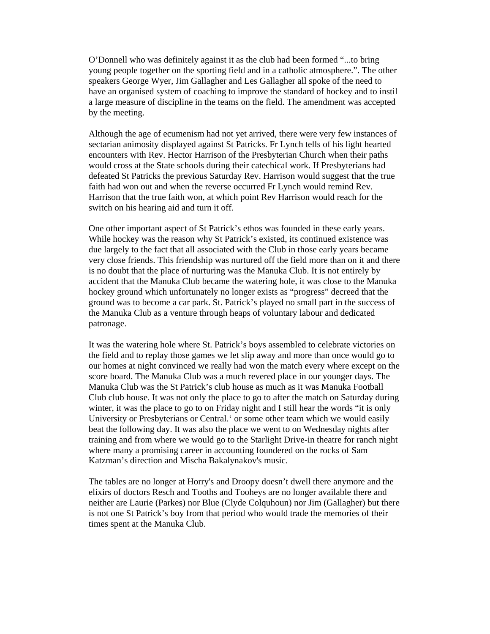O'Donnell who was definitely against it as the club had been formed "...to bring young people together on the sporting field and in a catholic atmosphere.". The other speakers George Wyer, Jim Gallagher and Les Gallagher all spoke of the need to have an organised system of coaching to improve the standard of hockey and to instil a large measure of discipline in the teams on the field. The amendment was accepted by the meeting.

Although the age of ecumenism had not yet arrived, there were very few instances of sectarian animosity displayed against St Patricks. Fr Lynch tells of his light hearted encounters with Rev. Hector Harrison of the Presbyterian Church when their paths would cross at the State schools during their catechical work. If Presbyterians had defeated St Patricks the previous Saturday Rev. Harrison would suggest that the true faith had won out and when the reverse occurred Fr Lynch would remind Rev. Harrison that the true faith won, at which point Rev Harrison would reach for the switch on his hearing aid and turn it off.

One other important aspect of St Patrick's ethos was founded in these early years. While hockey was the reason why St Patrick's existed, its continued existence was due largely to the fact that all associated with the Club in those early years became very close friends. This friendship was nurtured off the field more than on it and there is no doubt that the place of nurturing was the Manuka Club. It is not entirely by accident that the Manuka Club became the watering hole, it was close to the Manuka hockey ground which unfortunately no longer exists as "progress" decreed that the ground was to become a car park. St. Patrick's played no small part in the success of the Manuka Club as a venture through heaps of voluntary labour and dedicated patronage.

It was the watering hole where St. Patrick's boys assembled to celebrate victories on the field and to replay those games we let slip away and more than once would go to our homes at night convinced we really had won the match every where except on the score board. The Manuka Club was a much revered place in our younger days. The Manuka Club was the St Patrick's club house as much as it was Manuka Football Club club house. It was not only the place to go to after the match on Saturday during winter, it was the place to go to on Friday night and I still hear the words "it is only University or Presbyterians or Central.' or some other team which we would easily beat the following day. It was also the place we went to on Wednesday nights after training and from where we would go to the Starlight Drive-in theatre for ranch night where many a promising career in accounting foundered on the rocks of Sam Katzman's direction and Mischa Bakalynakov's music.

The tables are no longer at Horry's and Droopy doesn't dwell there anymore and the elixirs of doctors Resch and Tooths and Tooheys are no longer available there and neither are Laurie (Parkes) nor Blue (Clyde Colquhoun) nor Jim (Gallagher) but there is not one St Patrick's boy from that period who would trade the memories of their times spent at the Manuka Club.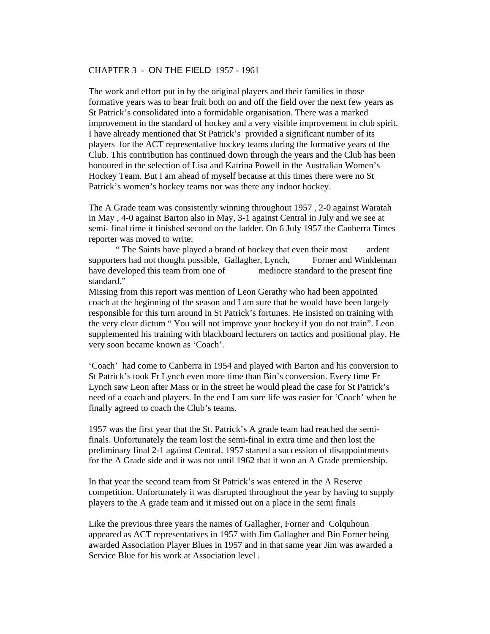#### CHAPTER 3 - ON THE FIELD 1957 - 1961

The work and effort put in by the original players and their families in those formative years was to bear fruit both on and off the field over the next few years as St Patrick's consolidated into a formidable organisation. There was a marked improvement in the standard of hockey and a very visible improvement in club spirit. I have already mentioned that St Patrick's provided a significant number of its players for the ACT representative hockey teams during the formative years of the Club. This contribution has continued down through the years and the Club has been honoured in the selection of Lisa and Katrina Powell in the Australian Women's Hockey Team. But I am ahead of myself because at this times there were no St Patrick's women's hockey teams nor was there any indoor hockey.

The A Grade team was consistently winning throughout 1957 , 2-0 against Waratah in May , 4-0 against Barton also in May, 3-1 against Central in July and we see at semi- final time it finished second on the ladder. On 6 July 1957 the Canberra Times reporter was moved to write:

 " The Saints have played a brand of hockey that even their most ardent supporters had not thought possible, Gallagher, Lynch, Forner and Winkleman have developed this team from one of mediocre standard to the present fine standard."

Missing from this report was mention of Leon Gerathy who had been appointed coach at the beginning of the season and I am sure that he would have been largely responsible for this turn around in St Patrick's fortunes. He insisted on training with the very clear dictum " You will not improve your hockey if you do not train". Leon supplemented his training with blackboard lecturers on tactics and positional play. He very soon became known as 'Coach'.

'Coach' had come to Canberra in 1954 and played with Barton and his conversion to St Patrick's took Fr Lynch even more time than Bin's conversion. Every time Fr Lynch saw Leon after Mass or in the street he would plead the case for St Patrick's need of a coach and players. In the end I am sure life was easier for 'Coach' when he finally agreed to coach the Club's teams.

1957 was the first year that the St. Patrick's A grade team had reached the semifinals. Unfortunately the team lost the semi-final in extra time and then lost the preliminary final 2-1 against Central. 1957 started a succession of disappointments for the A Grade side and it was not until 1962 that it won an A Grade premiership.

In that year the second team from St Patrick's was entered in the A Reserve competition. Unfortunately it was disrupted throughout the year by having to supply players to the A grade team and it missed out on a place in the semi finals

Like the previous three years the names of Gallagher, Forner and Colquhoun appeared as ACT representatives in 1957 with Jim Gallagher and Bin Forner being awarded Association Player Blues in 1957 and in that same year Jim was awarded a Service Blue for his work at Association level .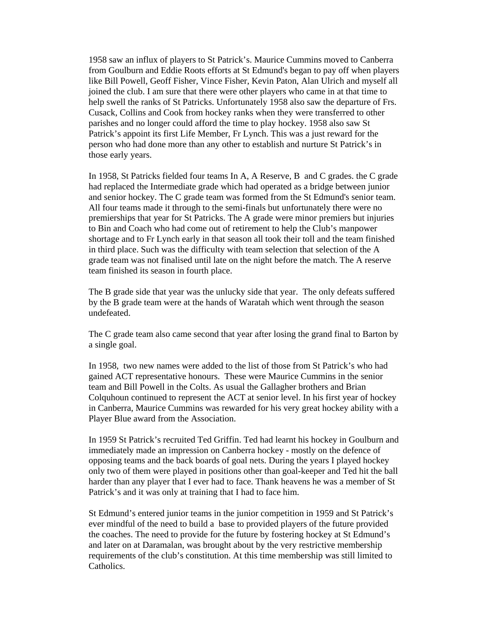1958 saw an influx of players to St Patrick's. Maurice Cummins moved to Canberra from Goulburn and Eddie Roots efforts at St Edmund's began to pay off when players like Bill Powell, Geoff Fisher, Vince Fisher, Kevin Paton, Alan Ulrich and myself all joined the club. I am sure that there were other players who came in at that time to help swell the ranks of St Patricks. Unfortunately 1958 also saw the departure of Frs. Cusack, Collins and Cook from hockey ranks when they were transferred to other parishes and no longer could afford the time to play hockey. 1958 also saw St Patrick's appoint its first Life Member, Fr Lynch. This was a just reward for the person who had done more than any other to establish and nurture St Patrick's in those early years.

In 1958, St Patricks fielded four teams In A, A Reserve, B and C grades. the C grade had replaced the Intermediate grade which had operated as a bridge between junior and senior hockey. The C grade team was formed from the St Edmund's senior team. All four teams made it through to the semi-finals but unfortunately there were no premierships that year for St Patricks. The A grade were minor premiers but injuries to Bin and Coach who had come out of retirement to help the Club's manpower shortage and to Fr Lynch early in that season all took their toll and the team finished in third place. Such was the difficulty with team selection that selection of the A grade team was not finalised until late on the night before the match. The A reserve team finished its season in fourth place.

The B grade side that year was the unlucky side that year. The only defeats suffered by the B grade team were at the hands of Waratah which went through the season undefeated.

The C grade team also came second that year after losing the grand final to Barton by a single goal.

In 1958, two new names were added to the list of those from St Patrick's who had gained ACT representative honours. These were Maurice Cummins in the senior team and Bill Powell in the Colts. As usual the Gallagher brothers and Brian Colquhoun continued to represent the ACT at senior level. In his first year of hockey in Canberra, Maurice Cummins was rewarded for his very great hockey ability with a Player Blue award from the Association.

In 1959 St Patrick's recruited Ted Griffin. Ted had learnt his hockey in Goulburn and immediately made an impression on Canberra hockey - mostly on the defence of opposing teams and the back boards of goal nets. During the years I played hockey only two of them were played in positions other than goal-keeper and Ted hit the ball harder than any player that I ever had to face. Thank heavens he was a member of St Patrick's and it was only at training that I had to face him.

St Edmund's entered junior teams in the junior competition in 1959 and St Patrick's ever mindful of the need to build a base to provided players of the future provided the coaches. The need to provide for the future by fostering hockey at St Edmund's and later on at Daramalan, was brought about by the very restrictive membership requirements of the club's constitution. At this time membership was still limited to Catholics.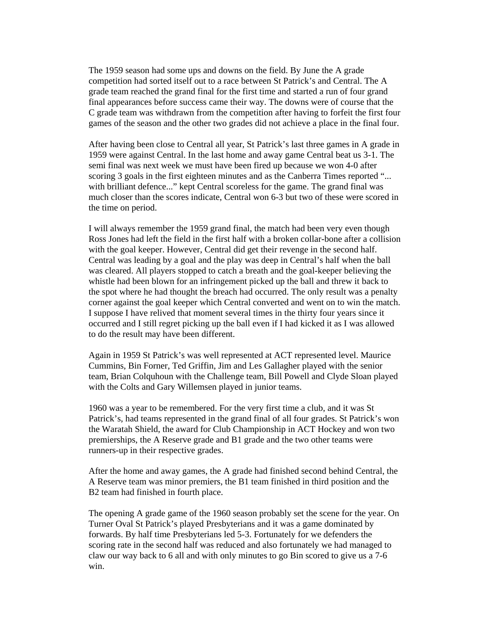The 1959 season had some ups and downs on the field. By June the A grade competition had sorted itself out to a race between St Patrick's and Central. The A grade team reached the grand final for the first time and started a run of four grand final appearances before success came their way. The downs were of course that the C grade team was withdrawn from the competition after having to forfeit the first four games of the season and the other two grades did not achieve a place in the final four.

After having been close to Central all year, St Patrick's last three games in A grade in 1959 were against Central. In the last home and away game Central beat us 3-1. The semi final was next week we must have been fired up because we won 4-0 after scoring 3 goals in the first eighteen minutes and as the Canberra Times reported "... with brilliant defence..." kept Central scoreless for the game. The grand final was much closer than the scores indicate, Central won 6-3 but two of these were scored in the time on period.

I will always remember the 1959 grand final, the match had been very even though Ross Jones had left the field in the first half with a broken collar-bone after a collision with the goal keeper. However, Central did get their revenge in the second half. Central was leading by a goal and the play was deep in Central's half when the ball was cleared. All players stopped to catch a breath and the goal-keeper believing the whistle had been blown for an infringement picked up the ball and threw it back to the spot where he had thought the breach had occurred. The only result was a penalty corner against the goal keeper which Central converted and went on to win the match. I suppose I have relived that moment several times in the thirty four years since it occurred and I still regret picking up the ball even if I had kicked it as I was allowed to do the result may have been different.

Again in 1959 St Patrick's was well represented at ACT represented level. Maurice Cummins, Bin Forner, Ted Griffin, Jim and Les Gallagher played with the senior team, Brian Colquhoun with the Challenge team, Bill Powell and Clyde Sloan played with the Colts and Gary Willemsen played in junior teams.

1960 was a year to be remembered. For the very first time a club, and it was St Patrick's, had teams represented in the grand final of all four grades. St Patrick's won the Waratah Shield, the award for Club Championship in ACT Hockey and won two premierships, the A Reserve grade and B1 grade and the two other teams were runners-up in their respective grades.

After the home and away games, the A grade had finished second behind Central, the A Reserve team was minor premiers, the B1 team finished in third position and the B2 team had finished in fourth place.

The opening A grade game of the 1960 season probably set the scene for the year. On Turner Oval St Patrick's played Presbyterians and it was a game dominated by forwards. By half time Presbyterians led 5-3. Fortunately for we defenders the scoring rate in the second half was reduced and also fortunately we had managed to claw our way back to 6 all and with only minutes to go Bin scored to give us a 7-6 win.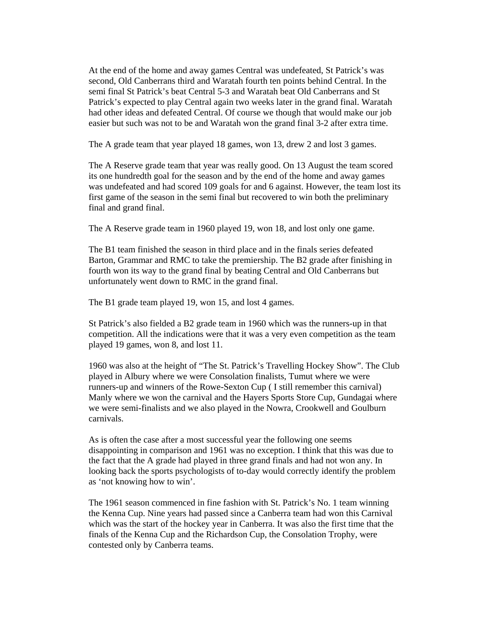At the end of the home and away games Central was undefeated, St Patrick's was second, Old Canberrans third and Waratah fourth ten points behind Central. In the semi final St Patrick's beat Central 5-3 and Waratah beat Old Canberrans and St Patrick's expected to play Central again two weeks later in the grand final. Waratah had other ideas and defeated Central. Of course we though that would make our job easier but such was not to be and Waratah won the grand final 3-2 after extra time.

The A grade team that year played 18 games, won 13, drew 2 and lost 3 games.

The A Reserve grade team that year was really good. On 13 August the team scored its one hundredth goal for the season and by the end of the home and away games was undefeated and had scored 109 goals for and 6 against. However, the team lost its first game of the season in the semi final but recovered to win both the preliminary final and grand final.

The A Reserve grade team in 1960 played 19, won 18, and lost only one game.

The B1 team finished the season in third place and in the finals series defeated Barton, Grammar and RMC to take the premiership. The B2 grade after finishing in fourth won its way to the grand final by beating Central and Old Canberrans but unfortunately went down to RMC in the grand final.

The B1 grade team played 19, won 15, and lost 4 games.

St Patrick's also fielded a B2 grade team in 1960 which was the runners-up in that competition. All the indications were that it was a very even competition as the team played 19 games, won 8, and lost 11.

1960 was also at the height of "The St. Patrick's Travelling Hockey Show". The Club played in Albury where we were Consolation finalists, Tumut where we were runners-up and winners of the Rowe-Sexton Cup ( I still remember this carnival) Manly where we won the carnival and the Hayers Sports Store Cup, Gundagai where we were semi-finalists and we also played in the Nowra, Crookwell and Goulburn carnivals.

As is often the case after a most successful year the following one seems disappointing in comparison and 1961 was no exception. I think that this was due to the fact that the A grade had played in three grand finals and had not won any. In looking back the sports psychologists of to-day would correctly identify the problem as 'not knowing how to win'.

The 1961 season commenced in fine fashion with St. Patrick's No. 1 team winning the Kenna Cup. Nine years had passed since a Canberra team had won this Carnival which was the start of the hockey year in Canberra. It was also the first time that the finals of the Kenna Cup and the Richardson Cup, the Consolation Trophy, were contested only by Canberra teams.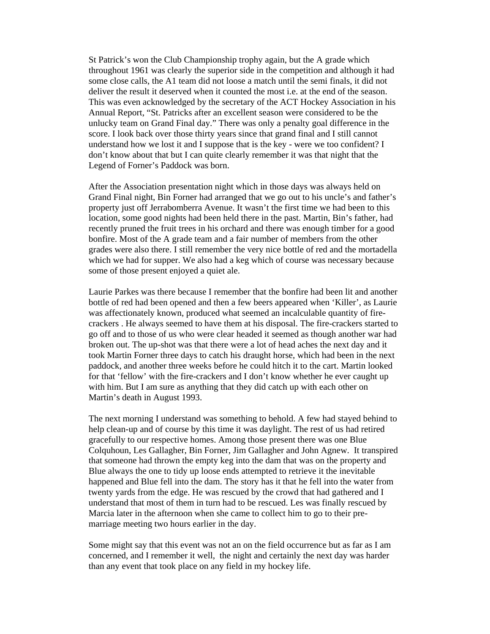St Patrick's won the Club Championship trophy again, but the A grade which throughout 1961 was clearly the superior side in the competition and although it had some close calls, the A1 team did not loose a match until the semi finals, it did not deliver the result it deserved when it counted the most i.e. at the end of the season. This was even acknowledged by the secretary of the ACT Hockey Association in his Annual Report, "St. Patricks after an excellent season were considered to be the unlucky team on Grand Final day." There was only a penalty goal difference in the score. I look back over those thirty years since that grand final and I still cannot understand how we lost it and I suppose that is the key - were we too confident? I don't know about that but I can quite clearly remember it was that night that the Legend of Forner's Paddock was born.

After the Association presentation night which in those days was always held on Grand Final night, Bin Forner had arranged that we go out to his uncle's and father's property just off Jerrabomberra Avenue. It wasn't the first time we had been to this location, some good nights had been held there in the past. Martin, Bin's father, had recently pruned the fruit trees in his orchard and there was enough timber for a good bonfire. Most of the A grade team and a fair number of members from the other grades were also there. I still remember the very nice bottle of red and the mortadella which we had for supper. We also had a keg which of course was necessary because some of those present enjoyed a quiet ale.

Laurie Parkes was there because I remember that the bonfire had been lit and another bottle of red had been opened and then a few beers appeared when 'Killer', as Laurie was affectionately known, produced what seemed an incalculable quantity of firecrackers . He always seemed to have them at his disposal. The fire-crackers started to go off and to those of us who were clear headed it seemed as though another war had broken out. The up-shot was that there were a lot of head aches the next day and it took Martin Forner three days to catch his draught horse, which had been in the next paddock, and another three weeks before he could hitch it to the cart. Martin looked for that 'fellow' with the fire-crackers and I don't know whether he ever caught up with him. But I am sure as anything that they did catch up with each other on Martin's death in August 1993.

The next morning I understand was something to behold. A few had stayed behind to help clean-up and of course by this time it was daylight. The rest of us had retired gracefully to our respective homes. Among those present there was one Blue Colquhoun, Les Gallagher, Bin Forner, Jim Gallagher and John Agnew. It transpired that someone had thrown the empty keg into the dam that was on the property and Blue always the one to tidy up loose ends attempted to retrieve it the inevitable happened and Blue fell into the dam. The story has it that he fell into the water from twenty yards from the edge. He was rescued by the crowd that had gathered and I understand that most of them in turn had to be rescued. Les was finally rescued by Marcia later in the afternoon when she came to collect him to go to their premarriage meeting two hours earlier in the day.

Some might say that this event was not an on the field occurrence but as far as I am concerned, and I remember it well, the night and certainly the next day was harder than any event that took place on any field in my hockey life.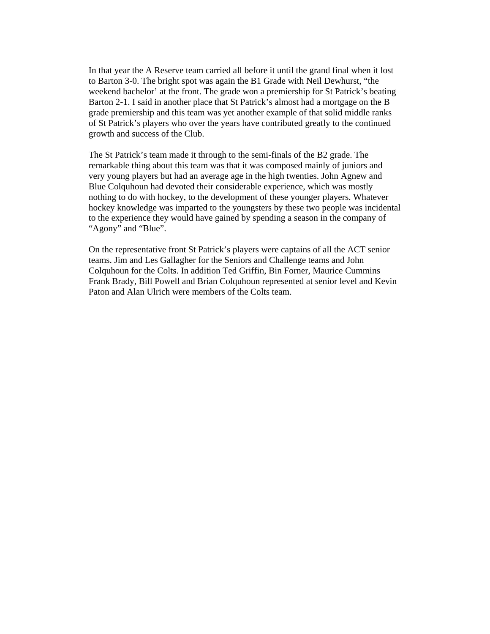In that year the A Reserve team carried all before it until the grand final when it lost to Barton 3-0. The bright spot was again the B1 Grade with Neil Dewhurst, "the weekend bachelor' at the front. The grade won a premiership for St Patrick's beating Barton 2-1. I said in another place that St Patrick's almost had a mortgage on the B grade premiership and this team was yet another example of that solid middle ranks of St Patrick's players who over the years have contributed greatly to the continued growth and success of the Club.

The St Patrick's team made it through to the semi-finals of the B2 grade. The remarkable thing about this team was that it was composed mainly of juniors and very young players but had an average age in the high twenties. John Agnew and Blue Colquhoun had devoted their considerable experience, which was mostly nothing to do with hockey, to the development of these younger players. Whatever hockey knowledge was imparted to the youngsters by these two people was incidental to the experience they would have gained by spending a season in the company of "Agony" and "Blue".

On the representative front St Patrick's players were captains of all the ACT senior teams. Jim and Les Gallagher for the Seniors and Challenge teams and John Colquhoun for the Colts. In addition Ted Griffin, Bin Forner, Maurice Cummins Frank Brady, Bill Powell and Brian Colquhoun represented at senior level and Kevin Paton and Alan Ulrich were members of the Colts team.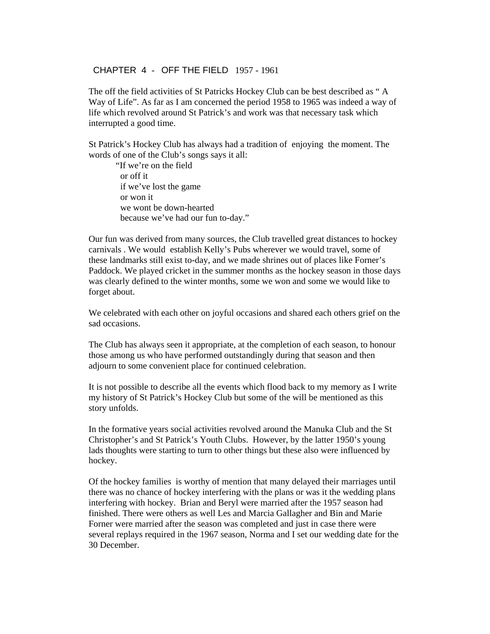#### CHAPTER 4 - OFF THE FIELD 1957 - 1961

The off the field activities of St Patricks Hockey Club can be best described as " A Way of Life". As far as I am concerned the period 1958 to 1965 was indeed a way of life which revolved around St Patrick's and work was that necessary task which interrupted a good time.

St Patrick's Hockey Club has always had a tradition of enjoying the moment. The words of one of the Club's songs says it all:

 "If we're on the field or off it if we've lost the game or won it we wont be down-hearted because we've had our fun to-day."

Our fun was derived from many sources, the Club travelled great distances to hockey carnivals . We would establish Kelly's Pubs wherever we would travel, some of these landmarks still exist to-day, and we made shrines out of places like Forner's Paddock. We played cricket in the summer months as the hockey season in those days was clearly defined to the winter months, some we won and some we would like to forget about.

We celebrated with each other on joyful occasions and shared each others grief on the sad occasions.

The Club has always seen it appropriate, at the completion of each season, to honour those among us who have performed outstandingly during that season and then adjourn to some convenient place for continued celebration.

It is not possible to describe all the events which flood back to my memory as I write my history of St Patrick's Hockey Club but some of the will be mentioned as this story unfolds.

In the formative years social activities revolved around the Manuka Club and the St Christopher's and St Patrick's Youth Clubs. However, by the latter 1950's young lads thoughts were starting to turn to other things but these also were influenced by hockey.

Of the hockey families is worthy of mention that many delayed their marriages until there was no chance of hockey interfering with the plans or was it the wedding plans interfering with hockey. Brian and Beryl were married after the 1957 season had finished. There were others as well Les and Marcia Gallagher and Bin and Marie Forner were married after the season was completed and just in case there were several replays required in the 1967 season, Norma and I set our wedding date for the 30 December.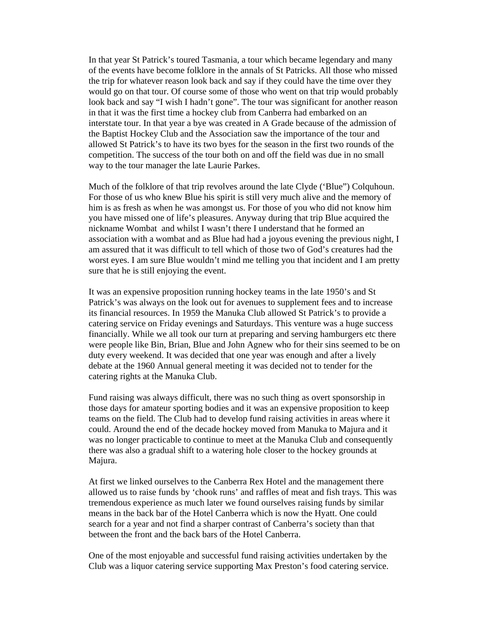In that year St Patrick's toured Tasmania, a tour which became legendary and many of the events have become folklore in the annals of St Patricks. All those who missed the trip for whatever reason look back and say if they could have the time over they would go on that tour. Of course some of those who went on that trip would probably look back and say "I wish I hadn't gone". The tour was significant for another reason in that it was the first time a hockey club from Canberra had embarked on an interstate tour. In that year a bye was created in A Grade because of the admission of the Baptist Hockey Club and the Association saw the importance of the tour and allowed St Patrick's to have its two byes for the season in the first two rounds of the competition. The success of the tour both on and off the field was due in no small way to the tour manager the late Laurie Parkes.

Much of the folklore of that trip revolves around the late Clyde ('Blue") Colquhoun. For those of us who knew Blue his spirit is still very much alive and the memory of him is as fresh as when he was amongst us. For those of you who did not know him you have missed one of life's pleasures. Anyway during that trip Blue acquired the nickname Wombat and whilst I wasn't there I understand that he formed an association with a wombat and as Blue had had a joyous evening the previous night, I am assured that it was difficult to tell which of those two of God's creatures had the worst eyes. I am sure Blue wouldn't mind me telling you that incident and I am pretty sure that he is still enjoying the event.

It was an expensive proposition running hockey teams in the late 1950's and St Patrick's was always on the look out for avenues to supplement fees and to increase its financial resources. In 1959 the Manuka Club allowed St Patrick's to provide a catering service on Friday evenings and Saturdays. This venture was a huge success financially. While we all took our turn at preparing and serving hamburgers etc there were people like Bin, Brian, Blue and John Agnew who for their sins seemed to be on duty every weekend. It was decided that one year was enough and after a lively debate at the 1960 Annual general meeting it was decided not to tender for the catering rights at the Manuka Club.

Fund raising was always difficult, there was no such thing as overt sponsorship in those days for amateur sporting bodies and it was an expensive proposition to keep teams on the field. The Club had to develop fund raising activities in areas where it could. Around the end of the decade hockey moved from Manuka to Majura and it was no longer practicable to continue to meet at the Manuka Club and consequently there was also a gradual shift to a watering hole closer to the hockey grounds at Majura.

At first we linked ourselves to the Canberra Rex Hotel and the management there allowed us to raise funds by 'chook runs' and raffles of meat and fish trays. This was tremendous experience as much later we found ourselves raising funds by similar means in the back bar of the Hotel Canberra which is now the Hyatt. One could search for a year and not find a sharper contrast of Canberra's society than that between the front and the back bars of the Hotel Canberra.

One of the most enjoyable and successful fund raising activities undertaken by the Club was a liquor catering service supporting Max Preston's food catering service.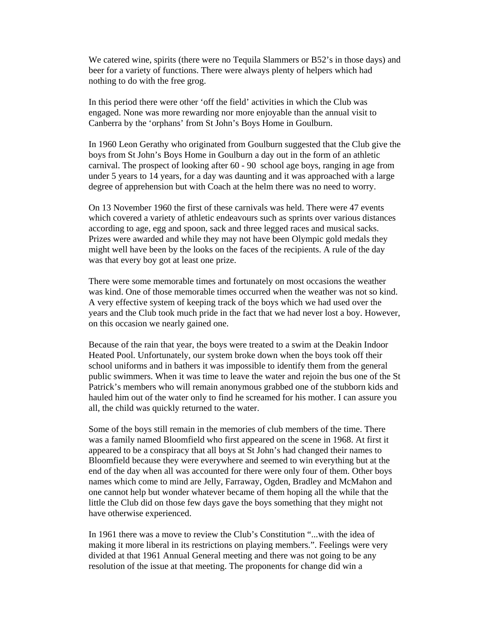We catered wine, spirits (there were no Tequila Slammers or B52's in those days) and beer for a variety of functions. There were always plenty of helpers which had nothing to do with the free grog.

In this period there were other 'off the field' activities in which the Club was engaged. None was more rewarding nor more enjoyable than the annual visit to Canberra by the 'orphans' from St John's Boys Home in Goulburn.

In 1960 Leon Gerathy who originated from Goulburn suggested that the Club give the boys from St John's Boys Home in Goulburn a day out in the form of an athletic carnival. The prospect of looking after 60 - 90 school age boys, ranging in age from under 5 years to 14 years, for a day was daunting and it was approached with a large degree of apprehension but with Coach at the helm there was no need to worry.

On 13 November 1960 the first of these carnivals was held. There were 47 events which covered a variety of athletic endeavours such as sprints over various distances according to age, egg and spoon, sack and three legged races and musical sacks. Prizes were awarded and while they may not have been Olympic gold medals they might well have been by the looks on the faces of the recipients. A rule of the day was that every boy got at least one prize.

There were some memorable times and fortunately on most occasions the weather was kind. One of those memorable times occurred when the weather was not so kind. A very effective system of keeping track of the boys which we had used over the years and the Club took much pride in the fact that we had never lost a boy. However, on this occasion we nearly gained one.

Because of the rain that year, the boys were treated to a swim at the Deakin Indoor Heated Pool. Unfortunately, our system broke down when the boys took off their school uniforms and in bathers it was impossible to identify them from the general public swimmers. When it was time to leave the water and rejoin the bus one of the St Patrick's members who will remain anonymous grabbed one of the stubborn kids and hauled him out of the water only to find he screamed for his mother. I can assure you all, the child was quickly returned to the water.

Some of the boys still remain in the memories of club members of the time. There was a family named Bloomfield who first appeared on the scene in 1968. At first it appeared to be a conspiracy that all boys at St John's had changed their names to Bloomfield because they were everywhere and seemed to win everything but at the end of the day when all was accounted for there were only four of them. Other boys names which come to mind are Jelly, Farraway, Ogden, Bradley and McMahon and one cannot help but wonder whatever became of them hoping all the while that the little the Club did on those few days gave the boys something that they might not have otherwise experienced.

In 1961 there was a move to review the Club's Constitution "...with the idea of making it more liberal in its restrictions on playing members.". Feelings were very divided at that 1961 Annual General meeting and there was not going to be any resolution of the issue at that meeting. The proponents for change did win a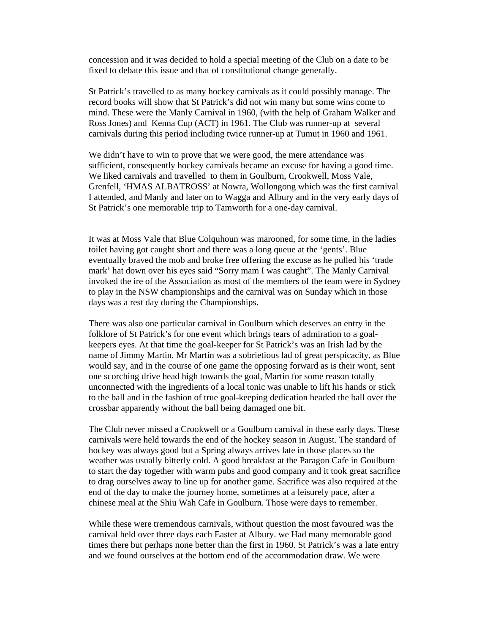concession and it was decided to hold a special meeting of the Club on a date to be fixed to debate this issue and that of constitutional change generally.

St Patrick's travelled to as many hockey carnivals as it could possibly manage. The record books will show that St Patrick's did not win many but some wins come to mind. These were the Manly Carnival in 1960, (with the help of Graham Walker and Ross Jones) and Kenna Cup (ACT) in 1961. The Club was runner-up at several carnivals during this period including twice runner-up at Tumut in 1960 and 1961.

We didn't have to win to prove that we were good, the mere attendance was sufficient, consequently hockey carnivals became an excuse for having a good time. We liked carnivals and travelled to them in Goulburn, Crookwell, Moss Vale, Grenfell, 'HMAS ALBATROSS' at Nowra, Wollongong which was the first carnival I attended, and Manly and later on to Wagga and Albury and in the very early days of St Patrick's one memorable trip to Tamworth for a one-day carnival.

It was at Moss Vale that Blue Colquhoun was marooned, for some time, in the ladies toilet having got caught short and there was a long queue at the 'gents'. Blue eventually braved the mob and broke free offering the excuse as he pulled his 'trade mark' hat down over his eyes said "Sorry mam I was caught". The Manly Carnival invoked the ire of the Association as most of the members of the team were in Sydney to play in the NSW championships and the carnival was on Sunday which in those days was a rest day during the Championships.

There was also one particular carnival in Goulburn which deserves an entry in the folklore of St Patrick's for one event which brings tears of admiration to a goalkeepers eyes. At that time the goal-keeper for St Patrick's was an Irish lad by the name of Jimmy Martin. Mr Martin was a sobrietious lad of great perspicacity, as Blue would say, and in the course of one game the opposing forward as is their wont, sent one scorching drive head high towards the goal, Martin for some reason totally unconnected with the ingredients of a local tonic was unable to lift his hands or stick to the ball and in the fashion of true goal-keeping dedication headed the ball over the crossbar apparently without the ball being damaged one bit.

The Club never missed a Crookwell or a Goulburn carnival in these early days. These carnivals were held towards the end of the hockey season in August. The standard of hockey was always good but a Spring always arrives late in those places so the weather was usually bitterly cold. A good breakfast at the Paragon Cafe in Goulburn to start the day together with warm pubs and good company and it took great sacrifice to drag ourselves away to line up for another game. Sacrifice was also required at the end of the day to make the journey home, sometimes at a leisurely pace, after a chinese meal at the Shiu Wah Cafe in Goulburn. Those were days to remember.

While these were tremendous carnivals, without question the most favoured was the carnival held over three days each Easter at Albury. we Had many memorable good times there but perhaps none better than the first in 1960. St Patrick's was a late entry and we found ourselves at the bottom end of the accommodation draw. We were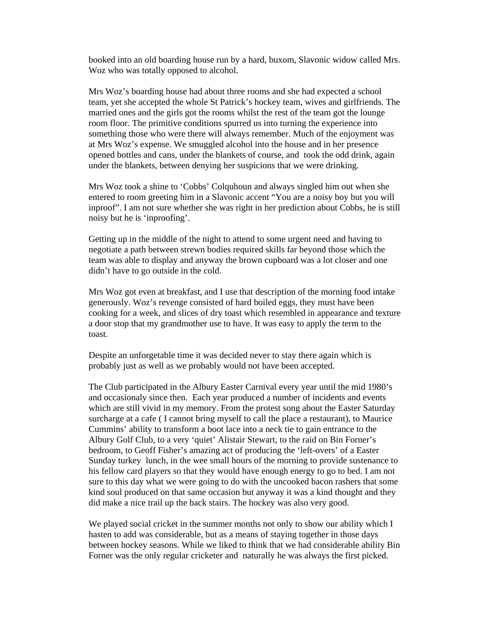booked into an old boarding house run by a hard, buxom, Slavonic widow called Mrs. Woz who was totally opposed to alcohol.

Mrs Woz's boarding house had about three rooms and she had expected a school team, yet she accepted the whole St Patrick's hockey team, wives and girlfriends. The married ones and the girls got the rooms whilst the rest of the team got the lounge room floor. The primitive conditions spurred us into turning the experience into something those who were there will always remember. Much of the enjoyment was at Mrs Woz's expense. We smuggled alcohol into the house and in her presence opened bottles and cans, under the blankets of course, and took the odd drink, again under the blankets, between denying her suspicions that we were drinking.

Mrs Woz took a shine to 'Cobbs' Colquhoun and always singled him out when she entered to room greeting him in a Slavonic accent "You are a noisy boy but you will inproof". I am not sure whether she was right in her prediction about Cobbs, he is still noisy but he is 'inproofing'.

Getting up in the middle of the night to attend to some urgent need and having to negotiate a path between strewn bodies required skills far beyond those which the team was able to display and anyway the brown cupboard was a lot closer and one didn't have to go outside in the cold.

Mrs Woz got even at breakfast, and I use that description of the morning food intake generously. Woz's revenge consisted of hard boiled eggs, they must have been cooking for a week, and slices of dry toast which resembled in appearance and texture a door stop that my grandmother use to have. It was easy to apply the term to the toast.

Despite an unforgetable time it was decided never to stay there again which is probably just as well as we probably would not have been accepted.

The Club participated in the Albury Easter Carnival every year until the mid 1980's and occasionaly since then. Each year produced a number of incidents and events which are still vivid in my memory. From the protest song about the Easter Saturday surcharge at a cafe ( I cannot bring myself to call the place a restaurant), to Maurice Cummins' ability to transform a boot lace into a neck tie to gain entrance to the Albury Golf Club, to a very 'quiet' Alistair Stewart, to the raid on Bin Forner's bedroom, to Geoff Fisher's amazing act of producing the 'left-overs' of a Easter Sunday turkey lunch, in the wee small hours of the morning to provide sustenance to his fellow card players so that they would have enough energy to go to bed. I am not sure to this day what we were going to do with the uncooked bacon rashers that some kind soul produced on that same occasion but anyway it was a kind thought and they did make a nice trail up the back stairs. The hockey was also very good.

We played social cricket in the summer months not only to show our ability which I hasten to add was considerable, but as a means of staying together in those days between hockey seasons. While we liked to think that we had considerable ability Bin Forner was the only regular cricketer and naturally he was always the first picked.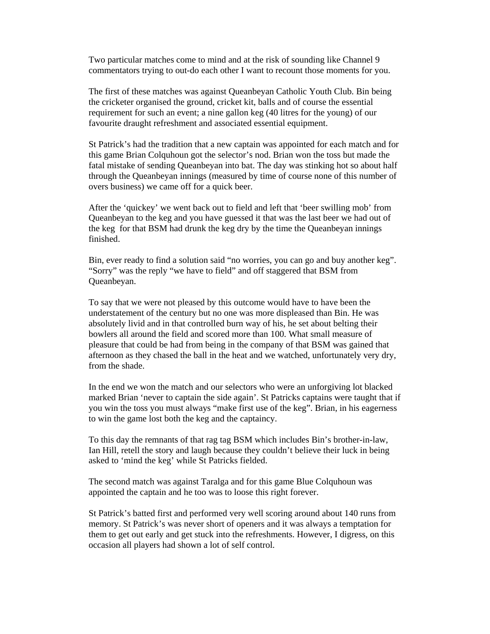Two particular matches come to mind and at the risk of sounding like Channel 9 commentators trying to out-do each other I want to recount those moments for you.

The first of these matches was against Queanbeyan Catholic Youth Club. Bin being the cricketer organised the ground, cricket kit, balls and of course the essential requirement for such an event; a nine gallon keg (40 litres for the young) of our favourite draught refreshment and associated essential equipment.

St Patrick's had the tradition that a new captain was appointed for each match and for this game Brian Colquhoun got the selector's nod. Brian won the toss but made the fatal mistake of sending Queanbeyan into bat. The day was stinking hot so about half through the Queanbeyan innings (measured by time of course none of this number of overs business) we came off for a quick beer.

After the 'quickey' we went back out to field and left that 'beer swilling mob' from Queanbeyan to the keg and you have guessed it that was the last beer we had out of the keg for that BSM had drunk the keg dry by the time the Queanbeyan innings finished.

Bin, ever ready to find a solution said "no worries, you can go and buy another keg". "Sorry" was the reply "we have to field" and off staggered that BSM from Queanbeyan.

To say that we were not pleased by this outcome would have to have been the understatement of the century but no one was more displeased than Bin. He was absolutely livid and in that controlled burn way of his, he set about belting their bowlers all around the field and scored more than 100. What small measure of pleasure that could be had from being in the company of that BSM was gained that afternoon as they chased the ball in the heat and we watched, unfortunately very dry, from the shade.

In the end we won the match and our selectors who were an unforgiving lot blacked marked Brian 'never to captain the side again'. St Patricks captains were taught that if you win the toss you must always "make first use of the keg". Brian, in his eagerness to win the game lost both the keg and the captaincy.

To this day the remnants of that rag tag BSM which includes Bin's brother-in-law, Ian Hill, retell the story and laugh because they couldn't believe their luck in being asked to 'mind the keg' while St Patricks fielded.

The second match was against Taralga and for this game Blue Colquhoun was appointed the captain and he too was to loose this right forever.

St Patrick's batted first and performed very well scoring around about 140 runs from memory. St Patrick's was never short of openers and it was always a temptation for them to get out early and get stuck into the refreshments. However, I digress, on this occasion all players had shown a lot of self control.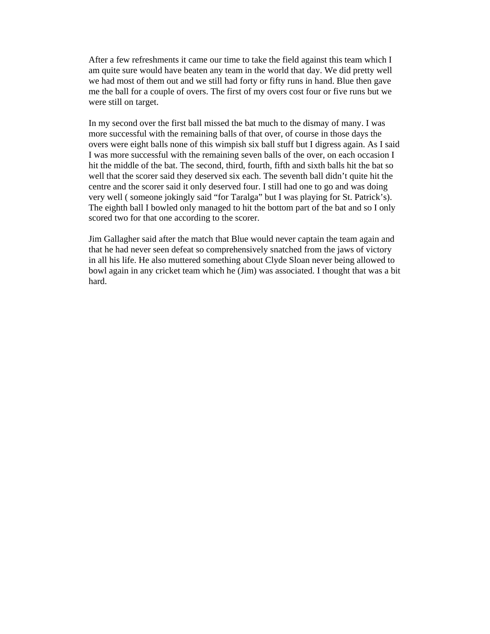After a few refreshments it came our time to take the field against this team which I am quite sure would have beaten any team in the world that day. We did pretty well we had most of them out and we still had forty or fifty runs in hand. Blue then gave me the ball for a couple of overs. The first of my overs cost four or five runs but we were still on target.

In my second over the first ball missed the bat much to the dismay of many. I was more successful with the remaining balls of that over, of course in those days the overs were eight balls none of this wimpish six ball stuff but I digress again. As I said I was more successful with the remaining seven balls of the over, on each occasion I hit the middle of the bat. The second, third, fourth, fifth and sixth balls hit the bat so well that the scorer said they deserved six each. The seventh ball didn't quite hit the centre and the scorer said it only deserved four. I still had one to go and was doing very well ( someone jokingly said "for Taralga" but I was playing for St. Patrick's). The eighth ball I bowled only managed to hit the bottom part of the bat and so I only scored two for that one according to the scorer.

Jim Gallagher said after the match that Blue would never captain the team again and that he had never seen defeat so comprehensively snatched from the jaws of victory in all his life. He also muttered something about Clyde Sloan never being allowed to bowl again in any cricket team which he (Jim) was associated. I thought that was a bit hard.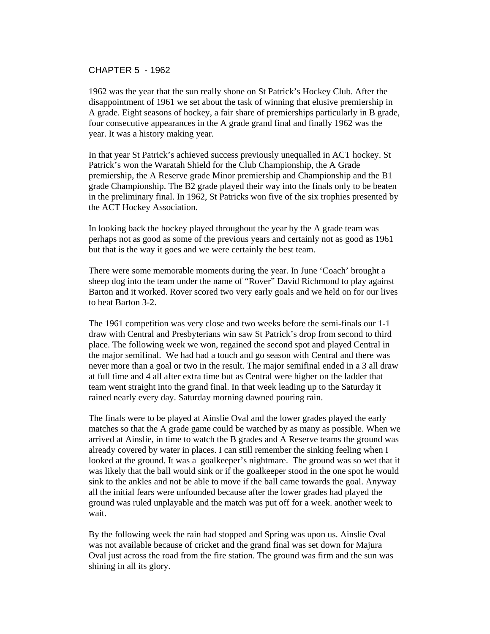## CHAPTER 5 - 1962

1962 was the year that the sun really shone on St Patrick's Hockey Club. After the disappointment of 1961 we set about the task of winning that elusive premiership in A grade. Eight seasons of hockey, a fair share of premierships particularly in B grade, four consecutive appearances in the A grade grand final and finally 1962 was the year. It was a history making year.

In that year St Patrick's achieved success previously unequalled in ACT hockey. St Patrick's won the Waratah Shield for the Club Championship, the A Grade premiership, the A Reserve grade Minor premiership and Championship and the B1 grade Championship. The B2 grade played their way into the finals only to be beaten in the preliminary final. In 1962, St Patricks won five of the six trophies presented by the ACT Hockey Association.

In looking back the hockey played throughout the year by the A grade team was perhaps not as good as some of the previous years and certainly not as good as 1961 but that is the way it goes and we were certainly the best team.

There were some memorable moments during the year. In June 'Coach' brought a sheep dog into the team under the name of "Rover" David Richmond to play against Barton and it worked. Rover scored two very early goals and we held on for our lives to beat Barton 3-2.

The 1961 competition was very close and two weeks before the semi-finals our 1-1 draw with Central and Presbyterians win saw St Patrick's drop from second to third place. The following week we won, regained the second spot and played Central in the major semifinal. We had had a touch and go season with Central and there was never more than a goal or two in the result. The major semifinal ended in a 3 all draw at full time and 4 all after extra time but as Central were higher on the ladder that team went straight into the grand final. In that week leading up to the Saturday it rained nearly every day. Saturday morning dawned pouring rain.

The finals were to be played at Ainslie Oval and the lower grades played the early matches so that the A grade game could be watched by as many as possible. When we arrived at Ainslie, in time to watch the B grades and A Reserve teams the ground was already covered by water in places. I can still remember the sinking feeling when I looked at the ground. It was a goalkeeper's nightmare. The ground was so wet that it was likely that the ball would sink or if the goalkeeper stood in the one spot he would sink to the ankles and not be able to move if the ball came towards the goal. Anyway all the initial fears were unfounded because after the lower grades had played the ground was ruled unplayable and the match was put off for a week. another week to wait.

By the following week the rain had stopped and Spring was upon us. Ainslie Oval was not available because of cricket and the grand final was set down for Majura Oval just across the road from the fire station. The ground was firm and the sun was shining in all its glory.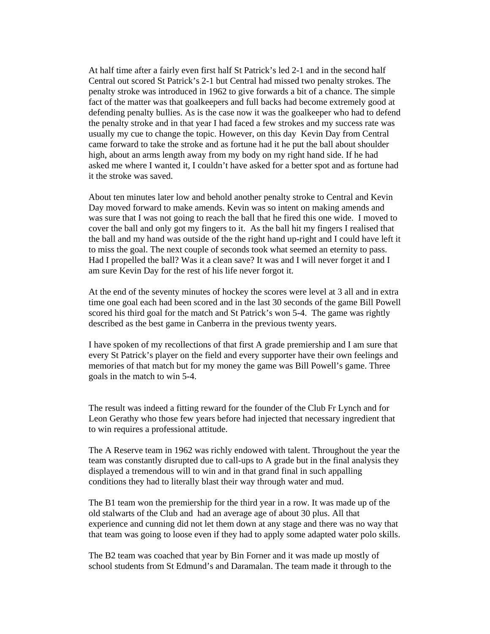At half time after a fairly even first half St Patrick's led 2-1 and in the second half Central out scored St Patrick's 2-1 but Central had missed two penalty strokes. The penalty stroke was introduced in 1962 to give forwards a bit of a chance. The simple fact of the matter was that goalkeepers and full backs had become extremely good at defending penalty bullies. As is the case now it was the goalkeeper who had to defend the penalty stroke and in that year I had faced a few strokes and my success rate was usually my cue to change the topic. However, on this day Kevin Day from Central came forward to take the stroke and as fortune had it he put the ball about shoulder high, about an arms length away from my body on my right hand side. If he had asked me where I wanted it, I couldn't have asked for a better spot and as fortune had it the stroke was saved.

About ten minutes later low and behold another penalty stroke to Central and Kevin Day moved forward to make amends. Kevin was so intent on making amends and was sure that I was not going to reach the ball that he fired this one wide. I moved to cover the ball and only got my fingers to it. As the ball hit my fingers I realised that the ball and my hand was outside of the the right hand up-right and I could have left it to miss the goal. The next couple of seconds took what seemed an eternity to pass. Had I propelled the ball? Was it a clean save? It was and I will never forget it and I am sure Kevin Day for the rest of his life never forgot it.

At the end of the seventy minutes of hockey the scores were level at 3 all and in extra time one goal each had been scored and in the last 30 seconds of the game Bill Powell scored his third goal for the match and St Patrick's won 5-4. The game was rightly described as the best game in Canberra in the previous twenty years.

I have spoken of my recollections of that first A grade premiership and I am sure that every St Patrick's player on the field and every supporter have their own feelings and memories of that match but for my money the game was Bill Powell's game. Three goals in the match to win 5-4.

The result was indeed a fitting reward for the founder of the Club Fr Lynch and for Leon Gerathy who those few years before had injected that necessary ingredient that to win requires a professional attitude.

The A Reserve team in 1962 was richly endowed with talent. Throughout the year the team was constantly disrupted due to call-ups to A grade but in the final analysis they displayed a tremendous will to win and in that grand final in such appalling conditions they had to literally blast their way through water and mud.

The B1 team won the premiership for the third year in a row. It was made up of the old stalwarts of the Club and had an average age of about 30 plus. All that experience and cunning did not let them down at any stage and there was no way that that team was going to loose even if they had to apply some adapted water polo skills.

The B2 team was coached that year by Bin Forner and it was made up mostly of school students from St Edmund's and Daramalan. The team made it through to the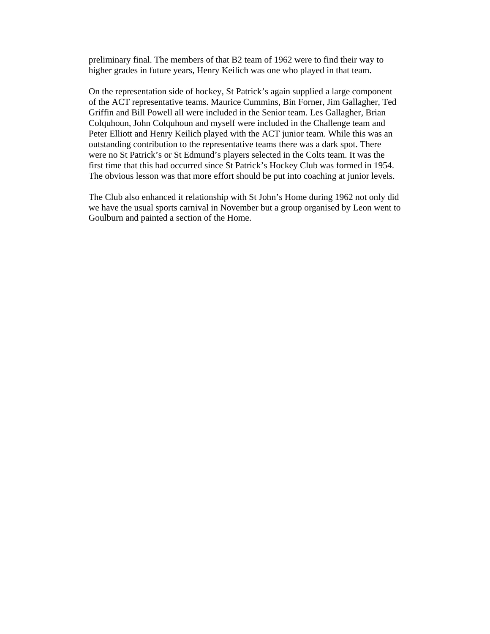preliminary final. The members of that B2 team of 1962 were to find their way to higher grades in future years, Henry Keilich was one who played in that team.

On the representation side of hockey, St Patrick's again supplied a large component of the ACT representative teams. Maurice Cummins, Bin Forner, Jim Gallagher, Ted Griffin and Bill Powell all were included in the Senior team. Les Gallagher, Brian Colquhoun, John Colquhoun and myself were included in the Challenge team and Peter Elliott and Henry Keilich played with the ACT junior team. While this was an outstanding contribution to the representative teams there was a dark spot. There were no St Patrick's or St Edmund's players selected in the Colts team. It was the first time that this had occurred since St Patrick's Hockey Club was formed in 1954. The obvious lesson was that more effort should be put into coaching at junior levels.

The Club also enhanced it relationship with St John's Home during 1962 not only did we have the usual sports carnival in November but a group organised by Leon went to Goulburn and painted a section of the Home.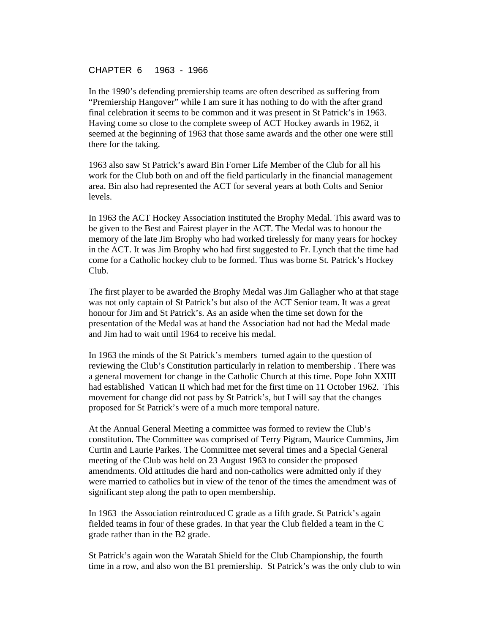## CHAPTER 6 1963 - 1966

In the 1990's defending premiership teams are often described as suffering from "Premiership Hangover" while I am sure it has nothing to do with the after grand final celebration it seems to be common and it was present in St Patrick's in 1963. Having come so close to the complete sweep of ACT Hockey awards in 1962, it seemed at the beginning of 1963 that those same awards and the other one were still there for the taking.

1963 also saw St Patrick's award Bin Forner Life Member of the Club for all his work for the Club both on and off the field particularly in the financial management area. Bin also had represented the ACT for several years at both Colts and Senior levels.

In 1963 the ACT Hockey Association instituted the Brophy Medal. This award was to be given to the Best and Fairest player in the ACT. The Medal was to honour the memory of the late Jim Brophy who had worked tirelessly for many years for hockey in the ACT. It was Jim Brophy who had first suggested to Fr. Lynch that the time had come for a Catholic hockey club to be formed. Thus was borne St. Patrick's Hockey Club.

The first player to be awarded the Brophy Medal was Jim Gallagher who at that stage was not only captain of St Patrick's but also of the ACT Senior team. It was a great honour for Jim and St Patrick's. As an aside when the time set down for the presentation of the Medal was at hand the Association had not had the Medal made and Jim had to wait until 1964 to receive his medal.

In 1963 the minds of the St Patrick's members turned again to the question of reviewing the Club's Constitution particularly in relation to membership . There was a general movement for change in the Catholic Church at this time. Pope John XXIII had established Vatican II which had met for the first time on 11 October 1962. This movement for change did not pass by St Patrick's, but I will say that the changes proposed for St Patrick's were of a much more temporal nature.

At the Annual General Meeting a committee was formed to review the Club's constitution. The Committee was comprised of Terry Pigram, Maurice Cummins, Jim Curtin and Laurie Parkes. The Committee met several times and a Special General meeting of the Club was held on 23 August 1963 to consider the proposed amendments. Old attitudes die hard and non-catholics were admitted only if they were married to catholics but in view of the tenor of the times the amendment was of significant step along the path to open membership.

In 1963 the Association reintroduced C grade as a fifth grade. St Patrick's again fielded teams in four of these grades. In that year the Club fielded a team in the C grade rather than in the B2 grade.

St Patrick's again won the Waratah Shield for the Club Championship, the fourth time in a row, and also won the B1 premiership. St Patrick's was the only club to win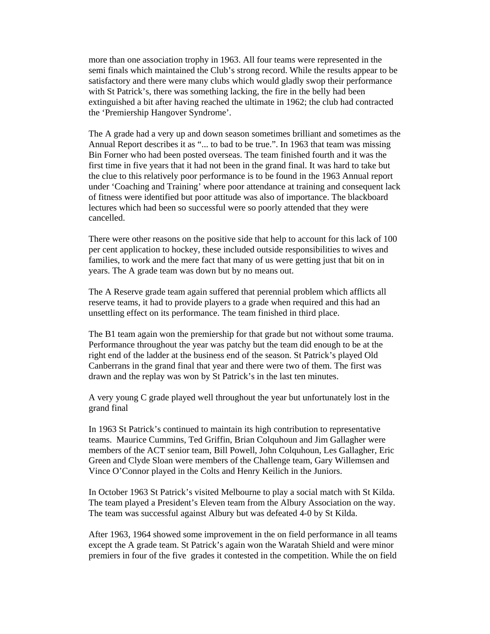more than one association trophy in 1963. All four teams were represented in the semi finals which maintained the Club's strong record. While the results appear to be satisfactory and there were many clubs which would gladly swop their performance with St Patrick's, there was something lacking, the fire in the belly had been extinguished a bit after having reached the ultimate in 1962; the club had contracted the 'Premiership Hangover Syndrome'.

The A grade had a very up and down season sometimes brilliant and sometimes as the Annual Report describes it as "... to bad to be true.". In 1963 that team was missing Bin Forner who had been posted overseas. The team finished fourth and it was the first time in five years that it had not been in the grand final. It was hard to take but the clue to this relatively poor performance is to be found in the 1963 Annual report under 'Coaching and Training' where poor attendance at training and consequent lack of fitness were identified but poor attitude was also of importance. The blackboard lectures which had been so successful were so poorly attended that they were cancelled.

There were other reasons on the positive side that help to account for this lack of 100 per cent application to hockey, these included outside responsibilities to wives and families, to work and the mere fact that many of us were getting just that bit on in years. The A grade team was down but by no means out.

The A Reserve grade team again suffered that perennial problem which afflicts all reserve teams, it had to provide players to a grade when required and this had an unsettling effect on its performance. The team finished in third place.

The B1 team again won the premiership for that grade but not without some trauma. Performance throughout the year was patchy but the team did enough to be at the right end of the ladder at the business end of the season. St Patrick's played Old Canberrans in the grand final that year and there were two of them. The first was drawn and the replay was won by St Patrick's in the last ten minutes.

A very young C grade played well throughout the year but unfortunately lost in the grand final

In 1963 St Patrick's continued to maintain its high contribution to representative teams. Maurice Cummins, Ted Griffin, Brian Colquhoun and Jim Gallagher were members of the ACT senior team, Bill Powell, John Colquhoun, Les Gallagher, Eric Green and Clyde Sloan were members of the Challenge team, Gary Willemsen and Vince O'Connor played in the Colts and Henry Keilich in the Juniors.

In October 1963 St Patrick's visited Melbourne to play a social match with St Kilda. The team played a President's Eleven team from the Albury Association on the way. The team was successful against Albury but was defeated 4-0 by St Kilda.

After 1963, 1964 showed some improvement in the on field performance in all teams except the A grade team. St Patrick's again won the Waratah Shield and were minor premiers in four of the five grades it contested in the competition. While the on field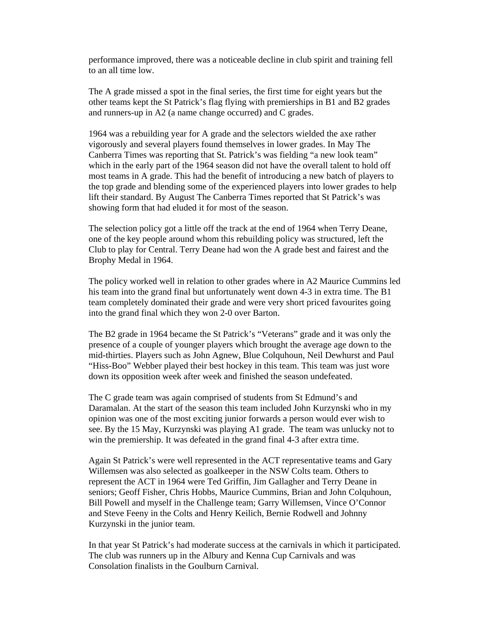performance improved, there was a noticeable decline in club spirit and training fell to an all time low.

The A grade missed a spot in the final series, the first time for eight years but the other teams kept the St Patrick's flag flying with premierships in B1 and B2 grades and runners-up in A2 (a name change occurred) and C grades.

1964 was a rebuilding year for A grade and the selectors wielded the axe rather vigorously and several players found themselves in lower grades. In May The Canberra Times was reporting that St. Patrick's was fielding "a new look team" which in the early part of the 1964 season did not have the overall talent to hold off most teams in A grade. This had the benefit of introducing a new batch of players to the top grade and blending some of the experienced players into lower grades to help lift their standard. By August The Canberra Times reported that St Patrick's was showing form that had eluded it for most of the season.

The selection policy got a little off the track at the end of 1964 when Terry Deane, one of the key people around whom this rebuilding policy was structured, left the Club to play for Central. Terry Deane had won the A grade best and fairest and the Brophy Medal in 1964.

The policy worked well in relation to other grades where in A2 Maurice Cummins led his team into the grand final but unfortunately went down 4-3 in extra time. The B1 team completely dominated their grade and were very short priced favourites going into the grand final which they won 2-0 over Barton.

The B2 grade in 1964 became the St Patrick's "Veterans" grade and it was only the presence of a couple of younger players which brought the average age down to the mid-thirties. Players such as John Agnew, Blue Colquhoun, Neil Dewhurst and Paul "Hiss-Boo" Webber played their best hockey in this team. This team was just wore down its opposition week after week and finished the season undefeated.

The C grade team was again comprised of students from St Edmund's and Daramalan. At the start of the season this team included John Kurzynski who in my opinion was one of the most exciting junior forwards a person would ever wish to see. By the 15 May, Kurzynski was playing A1 grade. The team was unlucky not to win the premiership. It was defeated in the grand final 4-3 after extra time.

Again St Patrick's were well represented in the ACT representative teams and Gary Willemsen was also selected as goalkeeper in the NSW Colts team. Others to represent the ACT in 1964 were Ted Griffin, Jim Gallagher and Terry Deane in seniors; Geoff Fisher, Chris Hobbs, Maurice Cummins, Brian and John Colquhoun, Bill Powell and myself in the Challenge team; Garry Willemsen, Vince O'Connor and Steve Feeny in the Colts and Henry Keilich, Bernie Rodwell and Johnny Kurzynski in the junior team.

In that year St Patrick's had moderate success at the carnivals in which it participated. The club was runners up in the Albury and Kenna Cup Carnivals and was Consolation finalists in the Goulburn Carnival.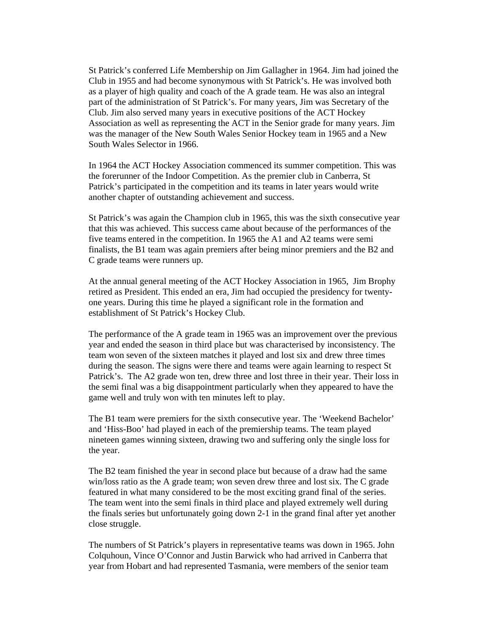St Patrick's conferred Life Membership on Jim Gallagher in 1964. Jim had joined the Club in 1955 and had become synonymous with St Patrick's. He was involved both as a player of high quality and coach of the A grade team. He was also an integral part of the administration of St Patrick's. For many years, Jim was Secretary of the Club. Jim also served many years in executive positions of the ACT Hockey Association as well as representing the ACT in the Senior grade for many years. Jim was the manager of the New South Wales Senior Hockey team in 1965 and a New South Wales Selector in 1966.

In 1964 the ACT Hockey Association commenced its summer competition. This was the forerunner of the Indoor Competition. As the premier club in Canberra, St Patrick's participated in the competition and its teams in later years would write another chapter of outstanding achievement and success.

St Patrick's was again the Champion club in 1965, this was the sixth consecutive year that this was achieved. This success came about because of the performances of the five teams entered in the competition. In 1965 the A1 and A2 teams were semi finalists, the B1 team was again premiers after being minor premiers and the B2 and C grade teams were runners up.

At the annual general meeting of the ACT Hockey Association in 1965, Jim Brophy retired as President. This ended an era, Jim had occupied the presidency for twentyone years. During this time he played a significant role in the formation and establishment of St Patrick's Hockey Club.

The performance of the A grade team in 1965 was an improvement over the previous year and ended the season in third place but was characterised by inconsistency. The team won seven of the sixteen matches it played and lost six and drew three times during the season. The signs were there and teams were again learning to respect St Patrick's. The A2 grade won ten, drew three and lost three in their year. Their loss in the semi final was a big disappointment particularly when they appeared to have the game well and truly won with ten minutes left to play.

The B1 team were premiers for the sixth consecutive year. The 'Weekend Bachelor' and 'Hiss-Boo' had played in each of the premiership teams. The team played nineteen games winning sixteen, drawing two and suffering only the single loss for the year.

The B2 team finished the year in second place but because of a draw had the same win/loss ratio as the A grade team; won seven drew three and lost six. The C grade featured in what many considered to be the most exciting grand final of the series. The team went into the semi finals in third place and played extremely well during the finals series but unfortunately going down 2-1 in the grand final after yet another close struggle.

The numbers of St Patrick's players in representative teams was down in 1965. John Colquhoun, Vince O'Connor and Justin Barwick who had arrived in Canberra that year from Hobart and had represented Tasmania, were members of the senior team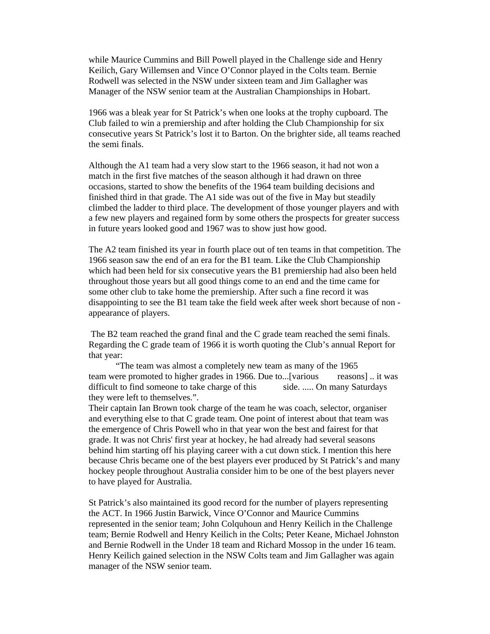while Maurice Cummins and Bill Powell played in the Challenge side and Henry Keilich, Gary Willemsen and Vince O'Connor played in the Colts team. Bernie Rodwell was selected in the NSW under sixteen team and Jim Gallagher was Manager of the NSW senior team at the Australian Championships in Hobart.

1966 was a bleak year for St Patrick's when one looks at the trophy cupboard. The Club failed to win a premiership and after holding the Club Championship for six consecutive years St Patrick's lost it to Barton. On the brighter side, all teams reached the semi finals.

Although the A1 team had a very slow start to the 1966 season, it had not won a match in the first five matches of the season although it had drawn on three occasions, started to show the benefits of the 1964 team building decisions and finished third in that grade. The A1 side was out of the five in May but steadily climbed the ladder to third place. The development of those younger players and with a few new players and regained form by some others the prospects for greater success in future years looked good and 1967 was to show just how good.

The A2 team finished its year in fourth place out of ten teams in that competition. The 1966 season saw the end of an era for the B1 team. Like the Club Championship which had been held for six consecutive years the B1 premiership had also been held throughout those years but all good things come to an end and the time came for some other club to take home the premiership. After such a fine record it was disappointing to see the B1 team take the field week after week short because of non appearance of players.

 The B2 team reached the grand final and the C grade team reached the semi finals. Regarding the C grade team of 1966 it is worth quoting the Club's annual Report for that year:

 "The team was almost a completely new team as many of the 1965 team were promoted to higher grades in 1966. Due to...[various reasons] .. it was difficult to find someone to take charge of this side. ..... On many Saturdays they were left to themselves.".

Their captain Ian Brown took charge of the team he was coach, selector, organiser and everything else to that C grade team. One point of interest about that team was the emergence of Chris Powell who in that year won the best and fairest for that grade. It was not Chris' first year at hockey, he had already had several seasons behind him starting off his playing career with a cut down stick. I mention this here because Chris became one of the best players ever produced by St Patrick's and many hockey people throughout Australia consider him to be one of the best players never to have played for Australia.

St Patrick's also maintained its good record for the number of players representing the ACT. In 1966 Justin Barwick, Vince O'Connor and Maurice Cummins represented in the senior team; John Colquhoun and Henry Keilich in the Challenge team; Bernie Rodwell and Henry Keilich in the Colts; Peter Keane, Michael Johnston and Bernie Rodwell in the Under 18 team and Richard Mossop in the under 16 team. Henry Keilich gained selection in the NSW Colts team and Jim Gallagher was again manager of the NSW senior team.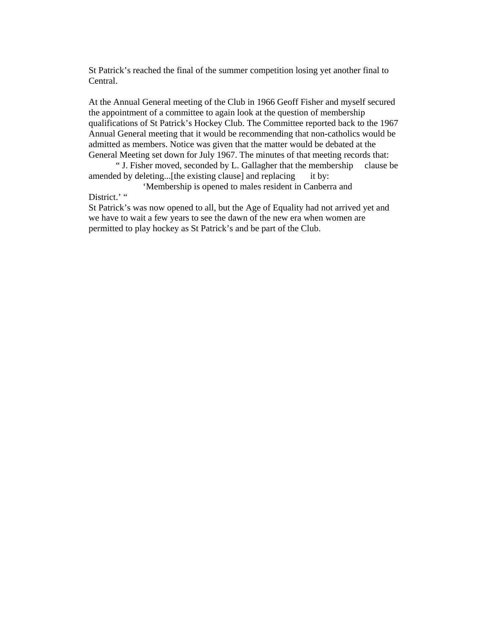St Patrick's reached the final of the summer competition losing yet another final to Central.

At the Annual General meeting of the Club in 1966 Geoff Fisher and myself secured the appointment of a committee to again look at the question of membership qualifications of St Patrick's Hockey Club. The Committee reported back to the 1967 Annual General meeting that it would be recommending that non-catholics would be admitted as members. Notice was given that the matter would be debated at the General Meeting set down for July 1967. The minutes of that meeting records that:

 " J. Fisher moved, seconded by L. Gallagher that the membership clause be amended by deleting...[the existing clause] and replacing it by:

 'Membership is opened to males resident in Canberra and District.' "

St Patrick's was now opened to all, but the Age of Equality had not arrived yet and we have to wait a few years to see the dawn of the new era when women are permitted to play hockey as St Patrick's and be part of the Club.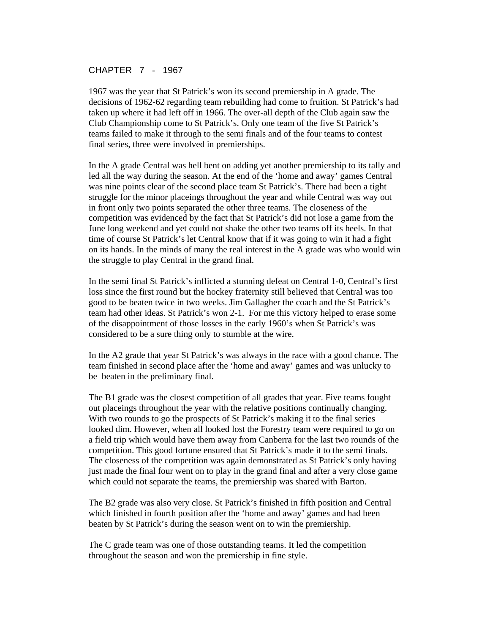### CHAPTER 7 - 1967

1967 was the year that St Patrick's won its second premiership in A grade. The decisions of 1962-62 regarding team rebuilding had come to fruition. St Patrick's had taken up where it had left off in 1966. The over-all depth of the Club again saw the Club Championship come to St Patrick's. Only one team of the five St Patrick's teams failed to make it through to the semi finals and of the four teams to contest final series, three were involved in premierships.

In the A grade Central was hell bent on adding yet another premiership to its tally and led all the way during the season. At the end of the 'home and away' games Central was nine points clear of the second place team St Patrick's. There had been a tight struggle for the minor placeings throughout the year and while Central was way out in front only two points separated the other three teams. The closeness of the competition was evidenced by the fact that St Patrick's did not lose a game from the June long weekend and yet could not shake the other two teams off its heels. In that time of course St Patrick's let Central know that if it was going to win it had a fight on its hands. In the minds of many the real interest in the A grade was who would win the struggle to play Central in the grand final.

In the semi final St Patrick's inflicted a stunning defeat on Central 1-0, Central's first loss since the first round but the hockey fraternity still believed that Central was too good to be beaten twice in two weeks. Jim Gallagher the coach and the St Patrick's team had other ideas. St Patrick's won 2-1. For me this victory helped to erase some of the disappointment of those losses in the early 1960's when St Patrick's was considered to be a sure thing only to stumble at the wire.

In the A2 grade that year St Patrick's was always in the race with a good chance. The team finished in second place after the 'home and away' games and was unlucky to be beaten in the preliminary final.

The B1 grade was the closest competition of all grades that year. Five teams fought out placeings throughout the year with the relative positions continually changing. With two rounds to go the prospects of St Patrick's making it to the final series looked dim. However, when all looked lost the Forestry team were required to go on a field trip which would have them away from Canberra for the last two rounds of the competition. This good fortune ensured that St Patrick's made it to the semi finals. The closeness of the competition was again demonstrated as St Patrick's only having just made the final four went on to play in the grand final and after a very close game which could not separate the teams, the premiership was shared with Barton.

The B2 grade was also very close. St Patrick's finished in fifth position and Central which finished in fourth position after the 'home and away' games and had been beaten by St Patrick's during the season went on to win the premiership.

The C grade team was one of those outstanding teams. It led the competition throughout the season and won the premiership in fine style.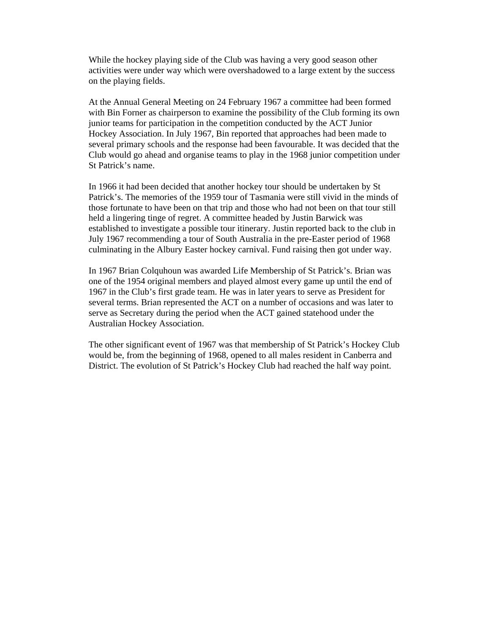While the hockey playing side of the Club was having a very good season other activities were under way which were overshadowed to a large extent by the success on the playing fields.

At the Annual General Meeting on 24 February 1967 a committee had been formed with Bin Forner as chairperson to examine the possibility of the Club forming its own junior teams for participation in the competition conducted by the ACT Junior Hockey Association. In July 1967, Bin reported that approaches had been made to several primary schools and the response had been favourable. It was decided that the Club would go ahead and organise teams to play in the 1968 junior competition under St Patrick's name.

In 1966 it had been decided that another hockey tour should be undertaken by St Patrick's. The memories of the 1959 tour of Tasmania were still vivid in the minds of those fortunate to have been on that trip and those who had not been on that tour still held a lingering tinge of regret. A committee headed by Justin Barwick was established to investigate a possible tour itinerary. Justin reported back to the club in July 1967 recommending a tour of South Australia in the pre-Easter period of 1968 culminating in the Albury Easter hockey carnival. Fund raising then got under way.

In 1967 Brian Colquhoun was awarded Life Membership of St Patrick's. Brian was one of the 1954 original members and played almost every game up until the end of 1967 in the Club's first grade team. He was in later years to serve as President for several terms. Brian represented the ACT on a number of occasions and was later to serve as Secretary during the period when the ACT gained statehood under the Australian Hockey Association.

The other significant event of 1967 was that membership of St Patrick's Hockey Club would be, from the beginning of 1968, opened to all males resident in Canberra and District. The evolution of St Patrick's Hockey Club had reached the half way point.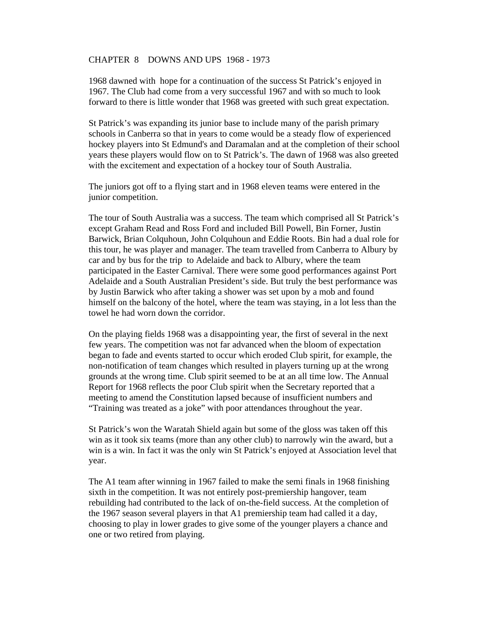#### CHAPTER 8 DOWNS AND UPS 1968 - 1973

1968 dawned with hope for a continuation of the success St Patrick's enjoyed in 1967. The Club had come from a very successful 1967 and with so much to look forward to there is little wonder that 1968 was greeted with such great expectation.

St Patrick's was expanding its junior base to include many of the parish primary schools in Canberra so that in years to come would be a steady flow of experienced hockey players into St Edmund's and Daramalan and at the completion of their school years these players would flow on to St Patrick's. The dawn of 1968 was also greeted with the excitement and expectation of a hockey tour of South Australia.

The juniors got off to a flying start and in 1968 eleven teams were entered in the junior competition.

The tour of South Australia was a success. The team which comprised all St Patrick's except Graham Read and Ross Ford and included Bill Powell, Bin Forner, Justin Barwick, Brian Colquhoun, John Colquhoun and Eddie Roots. Bin had a dual role for this tour, he was player and manager. The team travelled from Canberra to Albury by car and by bus for the trip to Adelaide and back to Albury, where the team participated in the Easter Carnival. There were some good performances against Port Adelaide and a South Australian President's side. But truly the best performance was by Justin Barwick who after taking a shower was set upon by a mob and found himself on the balcony of the hotel, where the team was staying, in a lot less than the towel he had worn down the corridor.

On the playing fields 1968 was a disappointing year, the first of several in the next few years. The competition was not far advanced when the bloom of expectation began to fade and events started to occur which eroded Club spirit, for example, the non-notification of team changes which resulted in players turning up at the wrong grounds at the wrong time. Club spirit seemed to be at an all time low. The Annual Report for 1968 reflects the poor Club spirit when the Secretary reported that a meeting to amend the Constitution lapsed because of insufficient numbers and "Training was treated as a joke" with poor attendances throughout the year.

St Patrick's won the Waratah Shield again but some of the gloss was taken off this win as it took six teams (more than any other club) to narrowly win the award, but a win is a win. In fact it was the only win St Patrick's enjoyed at Association level that year.

The A1 team after winning in 1967 failed to make the semi finals in 1968 finishing sixth in the competition. It was not entirely post-premiership hangover, team rebuilding had contributed to the lack of on-the-field success. At the completion of the 1967 season several players in that A1 premiership team had called it a day, choosing to play in lower grades to give some of the younger players a chance and one or two retired from playing.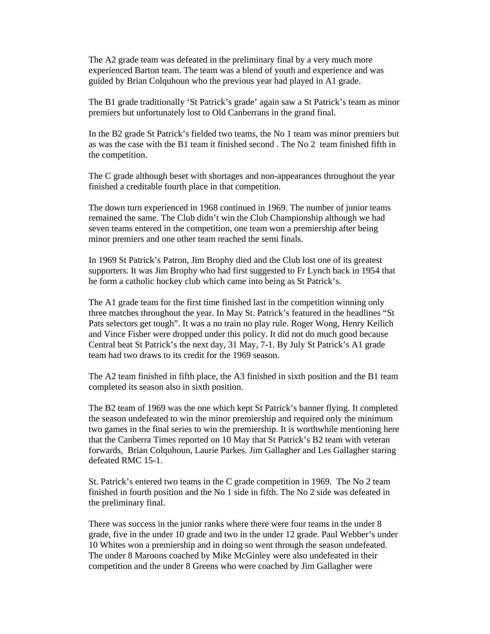The A2 grade team was defeated in the preliminary final by a very much more experienced Barton team. The team was a blend of youth and experience and was guided by Brian Colquhoun who the previous year had played in A1 grade.

The B1 grade traditionally 'St Patrick's grade' again saw a St Patrick's team as minor premiers but unfortunately lost to Old Canberrans in the grand final.

In the B2 grade St Patrick's fielded two teams, the No 1 team was minor premiers but as was the case with the B1 team it finished second . The No 2 team finished fifth in the competition.

The C grade although beset with shortages and non-appearances throughout the year finished a creditable fourth place in that competition.

The down turn experienced in 1968 continued in 1969. The number of junior teams remained the same. The Club didn't win the Club Championship although we had seven teams entered in the competition, one team won a premiership after being minor premiers and one other team reached the semi finals.

In 1969 St Patrick's Patron, Jim Brophy died and the Club lost one of its greatest supporters. It was Jim Brophy who had first suggested to Fr Lynch back in 1954 that he form a catholic hockey club which came into being as St Patrick's.

The A1 grade team for the first time finished last in the competition winning only three matches throughout the year. In May St. Patrick's featured in the headlines "St Pats selectors get tough". It was a no train no play rule. Roger Wong, Henry Keilich and Vince Fisher were dropped under this policy. It did not do much good because Central beat St Patrick's the next day, 31 May, 7-1. By July St Patrick's A1 grade team had two draws to its credit for the 1969 season.

The A2 team finished in fifth place, the A3 finished in sixth position and the B1 team completed its season also in sixth position.

The B2 team of 1969 was the one which kept St Patrick's banner flying. It completed the season undefeated to win the minor premiership and required only the minimum two games in the final series to win the premiership. It is worthwhile mentioning here that the Canberra Times reported on 10 May that St Patrick's B2 team with veteran forwards, Brian Colquhoun, Laurie Parkes. Jim Gallagher and Les Gallagher staring defeated RMC 15-1.

St. Patrick's entered two teams in the C grade competition in 1969. The No 2 team finished in fourth position and the No 1 side in fifth. The No 2 side was defeated in the preliminary final.

There was success in the junior ranks where there were four teams in the under 8 grade, five in the under 10 grade and two in the under 12 grade. Paul Webber's under 10 Whites won a premiership and in doing so went through the season undefeated. The under 8 Maroons coached by Mike McGinley were also undefeated in their competition and the under 8 Greens who were coached by Jim Gallagher were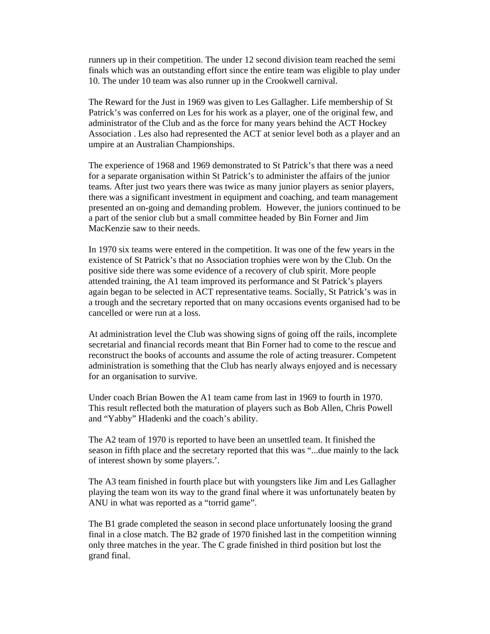runners up in their competition. The under 12 second division team reached the semi finals which was an outstanding effort since the entire team was eligible to play under 10. The under 10 team was also runner up in the Crookwell carnival.

The Reward for the Just in 1969 was given to Les Gallagher. Life membership of St Patrick's was conferred on Les for his work as a player, one of the original few, and administrator of the Club and as the force for many years behind the ACT Hockey Association . Les also had represented the ACT at senior level both as a player and an umpire at an Australian Championships.

The experience of 1968 and 1969 demonstrated to St Patrick's that there was a need for a separate organisation within St Patrick's to administer the affairs of the junior teams. After just two years there was twice as many junior players as senior players, there was a significant investment in equipment and coaching, and team management presented an on-going and demanding problem. However, the juniors continued to be a part of the senior club but a small committee headed by Bin Forner and Jim MacKenzie saw to their needs.

In 1970 six teams were entered in the competition. It was one of the few years in the existence of St Patrick's that no Association trophies were won by the Club. On the positive side there was some evidence of a recovery of club spirit. More people attended training, the A1 team improved its performance and St Patrick's players again began to be selected in ACT representative teams. Socially, St Patrick's was in a trough and the secretary reported that on many occasions events organised had to be cancelled or were run at a loss.

At administration level the Club was showing signs of going off the rails, incomplete secretarial and financial records meant that Bin Forner had to come to the rescue and reconstruct the books of accounts and assume the role of acting treasurer. Competent administration is something that the Club has nearly always enjoyed and is necessary for an organisation to survive.

Under coach Brian Bowen the A1 team came from last in 1969 to fourth in 1970. This result reflected both the maturation of players such as Bob Allen, Chris Powell and "Yabby" Hladenki and the coach's ability.

The A2 team of 1970 is reported to have been an unsettled team. It finished the season in fifth place and the secretary reported that this was "...due mainly to the lack of interest shown by some players.'.

The A3 team finished in fourth place but with youngsters like Jim and Les Gallagher playing the team won its way to the grand final where it was unfortunately beaten by ANU in what was reported as a "torrid game".

The B1 grade completed the season in second place unfortunately loosing the grand final in a close match. The B2 grade of 1970 finished last in the competition winning only three matches in the year. The C grade finished in third position but lost the grand final.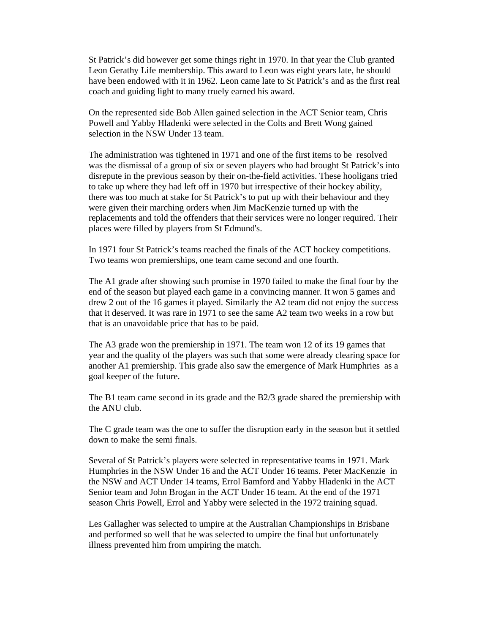St Patrick's did however get some things right in 1970. In that year the Club granted Leon Gerathy Life membership. This award to Leon was eight years late, he should have been endowed with it in 1962. Leon came late to St Patrick's and as the first real coach and guiding light to many truely earned his award.

On the represented side Bob Allen gained selection in the ACT Senior team, Chris Powell and Yabby Hladenki were selected in the Colts and Brett Wong gained selection in the NSW Under 13 team.

The administration was tightened in 1971 and one of the first items to be resolved was the dismissal of a group of six or seven players who had brought St Patrick's into disrepute in the previous season by their on-the-field activities. These hooligans tried to take up where they had left off in 1970 but irrespective of their hockey ability, there was too much at stake for St Patrick's to put up with their behaviour and they were given their marching orders when Jim MacKenzie turned up with the replacements and told the offenders that their services were no longer required. Their places were filled by players from St Edmund's.

In 1971 four St Patrick's teams reached the finals of the ACT hockey competitions. Two teams won premierships, one team came second and one fourth.

The A1 grade after showing such promise in 1970 failed to make the final four by the end of the season but played each game in a convincing manner. It won 5 games and drew 2 out of the 16 games it played. Similarly the A2 team did not enjoy the success that it deserved. It was rare in 1971 to see the same A2 team two weeks in a row but that is an unavoidable price that has to be paid.

The A3 grade won the premiership in 1971. The team won 12 of its 19 games that year and the quality of the players was such that some were already clearing space for another A1 premiership. This grade also saw the emergence of Mark Humphries as a goal keeper of the future.

The B1 team came second in its grade and the B2/3 grade shared the premiership with the ANU club.

The C grade team was the one to suffer the disruption early in the season but it settled down to make the semi finals.

Several of St Patrick's players were selected in representative teams in 1971. Mark Humphries in the NSW Under 16 and the ACT Under 16 teams. Peter MacKenzie in the NSW and ACT Under 14 teams, Errol Bamford and Yabby Hladenki in the ACT Senior team and John Brogan in the ACT Under 16 team. At the end of the 1971 season Chris Powell, Errol and Yabby were selected in the 1972 training squad.

Les Gallagher was selected to umpire at the Australian Championships in Brisbane and performed so well that he was selected to umpire the final but unfortunately illness prevented him from umpiring the match.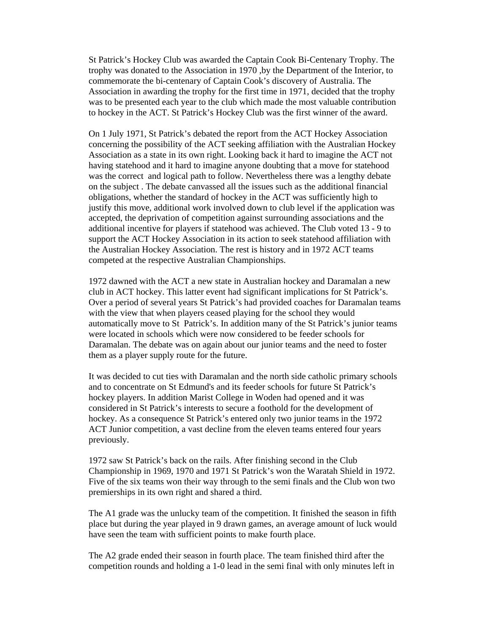St Patrick's Hockey Club was awarded the Captain Cook Bi-Centenary Trophy. The trophy was donated to the Association in 1970 ,by the Department of the Interior, to commemorate the bi-centenary of Captain Cook's discovery of Australia. The Association in awarding the trophy for the first time in 1971, decided that the trophy was to be presented each year to the club which made the most valuable contribution to hockey in the ACT. St Patrick's Hockey Club was the first winner of the award.

On 1 July 1971, St Patrick's debated the report from the ACT Hockey Association concerning the possibility of the ACT seeking affiliation with the Australian Hockey Association as a state in its own right. Looking back it hard to imagine the ACT not having statehood and it hard to imagine anyone doubting that a move for statehood was the correct and logical path to follow. Nevertheless there was a lengthy debate on the subject . The debate canvassed all the issues such as the additional financial obligations, whether the standard of hockey in the ACT was sufficiently high to justify this move, additional work involved down to club level if the application was accepted, the deprivation of competition against surrounding associations and the additional incentive for players if statehood was achieved. The Club voted 13 - 9 to support the ACT Hockey Association in its action to seek statehood affiliation with the Australian Hockey Association. The rest is history and in 1972 ACT teams competed at the respective Australian Championships.

1972 dawned with the ACT a new state in Australian hockey and Daramalan a new club in ACT hockey. This latter event had significant implications for St Patrick's. Over a period of several years St Patrick's had provided coaches for Daramalan teams with the view that when players ceased playing for the school they would automatically move to St Patrick's. In addition many of the St Patrick's junior teams were located in schools which were now considered to be feeder schools for Daramalan. The debate was on again about our junior teams and the need to foster them as a player supply route for the future.

It was decided to cut ties with Daramalan and the north side catholic primary schools and to concentrate on St Edmund's and its feeder schools for future St Patrick's hockey players. In addition Marist College in Woden had opened and it was considered in St Patrick's interests to secure a foothold for the development of hockey. As a consequence St Patrick's entered only two junior teams in the 1972 ACT Junior competition, a vast decline from the eleven teams entered four years previously.

1972 saw St Patrick's back on the rails. After finishing second in the Club Championship in 1969, 1970 and 1971 St Patrick's won the Waratah Shield in 1972. Five of the six teams won their way through to the semi finals and the Club won two premierships in its own right and shared a third.

The A1 grade was the unlucky team of the competition. It finished the season in fifth place but during the year played in 9 drawn games, an average amount of luck would have seen the team with sufficient points to make fourth place.

The A2 grade ended their season in fourth place. The team finished third after the competition rounds and holding a 1-0 lead in the semi final with only minutes left in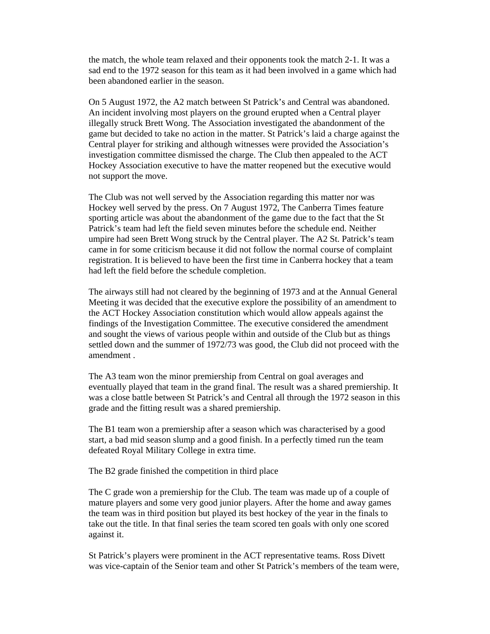the match, the whole team relaxed and their opponents took the match 2-1. It was a sad end to the 1972 season for this team as it had been involved in a game which had been abandoned earlier in the season.

On 5 August 1972, the A2 match between St Patrick's and Central was abandoned. An incident involving most players on the ground erupted when a Central player illegally struck Brett Wong. The Association investigated the abandonment of the game but decided to take no action in the matter. St Patrick's laid a charge against the Central player for striking and although witnesses were provided the Association's investigation committee dismissed the charge. The Club then appealed to the ACT Hockey Association executive to have the matter reopened but the executive would not support the move.

The Club was not well served by the Association regarding this matter nor was Hockey well served by the press. On 7 August 1972, The Canberra Times feature sporting article was about the abandonment of the game due to the fact that the St Patrick's team had left the field seven minutes before the schedule end. Neither umpire had seen Brett Wong struck by the Central player. The A2 St. Patrick's team came in for some criticism because it did not follow the normal course of complaint registration. It is believed to have been the first time in Canberra hockey that a team had left the field before the schedule completion.

The airways still had not cleared by the beginning of 1973 and at the Annual General Meeting it was decided that the executive explore the possibility of an amendment to the ACT Hockey Association constitution which would allow appeals against the findings of the Investigation Committee. The executive considered the amendment and sought the views of various people within and outside of the Club but as things settled down and the summer of 1972/73 was good, the Club did not proceed with the amendment .

The A3 team won the minor premiership from Central on goal averages and eventually played that team in the grand final. The result was a shared premiership. It was a close battle between St Patrick's and Central all through the 1972 season in this grade and the fitting result was a shared premiership.

The B1 team won a premiership after a season which was characterised by a good start, a bad mid season slump and a good finish. In a perfectly timed run the team defeated Royal Military College in extra time.

The B2 grade finished the competition in third place

The C grade won a premiership for the Club. The team was made up of a couple of mature players and some very good junior players. After the home and away games the team was in third position but played its best hockey of the year in the finals to take out the title. In that final series the team scored ten goals with only one scored against it.

St Patrick's players were prominent in the ACT representative teams. Ross Divett was vice-captain of the Senior team and other St Patrick's members of the team were,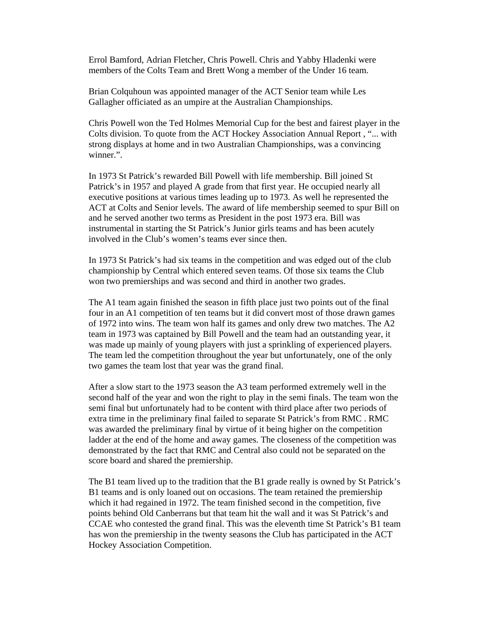Errol Bamford, Adrian Fletcher, Chris Powell. Chris and Yabby Hladenki were members of the Colts Team and Brett Wong a member of the Under 16 team.

Brian Colquhoun was appointed manager of the ACT Senior team while Les Gallagher officiated as an umpire at the Australian Championships.

Chris Powell won the Ted Holmes Memorial Cup for the best and fairest player in the Colts division. To quote from the ACT Hockey Association Annual Report , "... with strong displays at home and in two Australian Championships, was a convincing winner.".

In 1973 St Patrick's rewarded Bill Powell with life membership. Bill joined St Patrick's in 1957 and played A grade from that first year. He occupied nearly all executive positions at various times leading up to 1973. As well he represented the ACT at Colts and Senior levels. The award of life membership seemed to spur Bill on and he served another two terms as President in the post 1973 era. Bill was instrumental in starting the St Patrick's Junior girls teams and has been acutely involved in the Club's women's teams ever since then.

In 1973 St Patrick's had six teams in the competition and was edged out of the club championship by Central which entered seven teams. Of those six teams the Club won two premierships and was second and third in another two grades.

The A1 team again finished the season in fifth place just two points out of the final four in an A1 competition of ten teams but it did convert most of those drawn games of 1972 into wins. The team won half its games and only drew two matches. The A2 team in 1973 was captained by Bill Powell and the team had an outstanding year, it was made up mainly of young players with just a sprinkling of experienced players. The team led the competition throughout the year but unfortunately, one of the only two games the team lost that year was the grand final.

After a slow start to the 1973 season the A3 team performed extremely well in the second half of the year and won the right to play in the semi finals. The team won the semi final but unfortunately had to be content with third place after two periods of extra time in the preliminary final failed to separate St Patrick's from RMC . RMC was awarded the preliminary final by virtue of it being higher on the competition ladder at the end of the home and away games. The closeness of the competition was demonstrated by the fact that RMC and Central also could not be separated on the score board and shared the premiership.

The B1 team lived up to the tradition that the B1 grade really is owned by St Patrick's B1 teams and is only loaned out on occasions. The team retained the premiership which it had regained in 1972. The team finished second in the competition, five points behind Old Canberrans but that team hit the wall and it was St Patrick's and CCAE who contested the grand final. This was the eleventh time St Patrick's B1 team has won the premiership in the twenty seasons the Club has participated in the ACT Hockey Association Competition.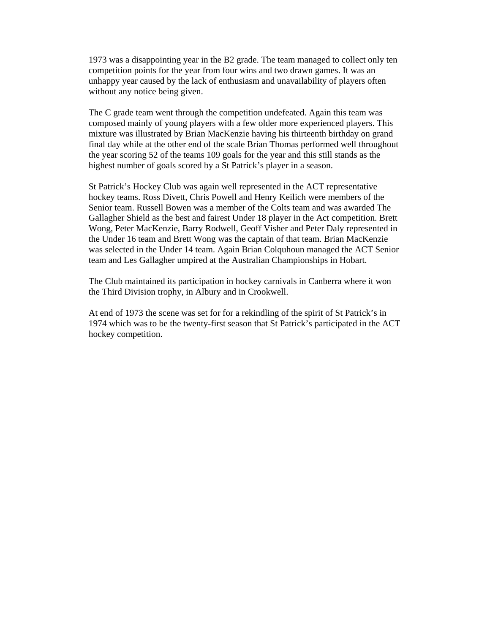1973 was a disappointing year in the B2 grade. The team managed to collect only ten competition points for the year from four wins and two drawn games. It was an unhappy year caused by the lack of enthusiasm and unavailability of players often without any notice being given.

The C grade team went through the competition undefeated. Again this team was composed mainly of young players with a few older more experienced players. This mixture was illustrated by Brian MacKenzie having his thirteenth birthday on grand final day while at the other end of the scale Brian Thomas performed well throughout the year scoring 52 of the teams 109 goals for the year and this still stands as the highest number of goals scored by a St Patrick's player in a season.

St Patrick's Hockey Club was again well represented in the ACT representative hockey teams. Ross Divett, Chris Powell and Henry Keilich were members of the Senior team. Russell Bowen was a member of the Colts team and was awarded The Gallagher Shield as the best and fairest Under 18 player in the Act competition. Brett Wong, Peter MacKenzie, Barry Rodwell, Geoff Visher and Peter Daly represented in the Under 16 team and Brett Wong was the captain of that team. Brian MacKenzie was selected in the Under 14 team. Again Brian Colquhoun managed the ACT Senior team and Les Gallagher umpired at the Australian Championships in Hobart.

The Club maintained its participation in hockey carnivals in Canberra where it won the Third Division trophy, in Albury and in Crookwell.

At end of 1973 the scene was set for for a rekindling of the spirit of St Patrick's in 1974 which was to be the twenty-first season that St Patrick's participated in the ACT hockey competition.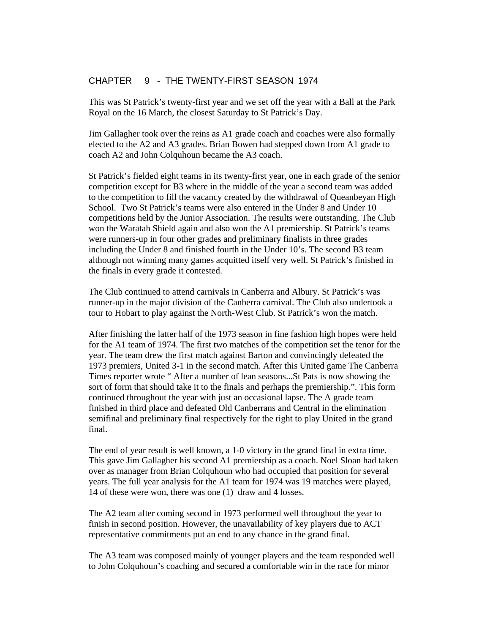# CHAPTER 9 - THE TWENTY-FIRST SEASON 1974

This was St Patrick's twenty-first year and we set off the year with a Ball at the Park Royal on the 16 March, the closest Saturday to St Patrick's Day.

Jim Gallagher took over the reins as A1 grade coach and coaches were also formally elected to the A2 and A3 grades. Brian Bowen had stepped down from A1 grade to coach A2 and John Colquhoun became the A3 coach.

St Patrick's fielded eight teams in its twenty-first year, one in each grade of the senior competition except for B3 where in the middle of the year a second team was added to the competition to fill the vacancy created by the withdrawal of Queanbeyan High School. Two St Patrick's teams were also entered in the Under 8 and Under 10 competitions held by the Junior Association. The results were outstanding. The Club won the Waratah Shield again and also won the A1 premiership. St Patrick's teams were runners-up in four other grades and preliminary finalists in three grades including the Under 8 and finished fourth in the Under 10's. The second B3 team although not winning many games acquitted itself very well. St Patrick's finished in the finals in every grade it contested.

The Club continued to attend carnivals in Canberra and Albury. St Patrick's was runner-up in the major division of the Canberra carnival. The Club also undertook a tour to Hobart to play against the North-West Club. St Patrick's won the match.

After finishing the latter half of the 1973 season in fine fashion high hopes were held for the A1 team of 1974. The first two matches of the competition set the tenor for the year. The team drew the first match against Barton and convincingly defeated the 1973 premiers, United 3-1 in the second match. After this United game The Canberra Times reporter wrote " After a number of lean seasons...St Pats is now showing the sort of form that should take it to the finals and perhaps the premiership.". This form continued throughout the year with just an occasional lapse. The A grade team finished in third place and defeated Old Canberrans and Central in the elimination semifinal and preliminary final respectively for the right to play United in the grand final.

The end of year result is well known, a 1-0 victory in the grand final in extra time. This gave Jim Gallagher his second A1 premiership as a coach. Noel Sloan had taken over as manager from Brian Colquhoun who had occupied that position for several years. The full year analysis for the A1 team for 1974 was 19 matches were played, 14 of these were won, there was one (1) draw and 4 losses.

The A2 team after coming second in 1973 performed well throughout the year to finish in second position. However, the unavailability of key players due to ACT representative commitments put an end to any chance in the grand final.

The A3 team was composed mainly of younger players and the team responded well to John Colquhoun's coaching and secured a comfortable win in the race for minor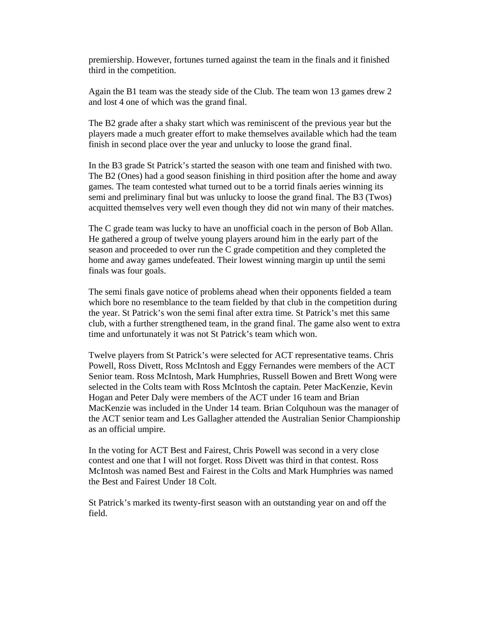premiership. However, fortunes turned against the team in the finals and it finished third in the competition.

Again the B1 team was the steady side of the Club. The team won 13 games drew 2 and lost 4 one of which was the grand final.

The B2 grade after a shaky start which was reminiscent of the previous year but the players made a much greater effort to make themselves available which had the team finish in second place over the year and unlucky to loose the grand final.

In the B3 grade St Patrick's started the season with one team and finished with two. The B2 (Ones) had a good season finishing in third position after the home and away games. The team contested what turned out to be a torrid finals aeries winning its semi and preliminary final but was unlucky to loose the grand final. The B3 (Twos) acquitted themselves very well even though they did not win many of their matches.

The C grade team was lucky to have an unofficial coach in the person of Bob Allan. He gathered a group of twelve young players around him in the early part of the season and proceeded to over run the C grade competition and they completed the home and away games undefeated. Their lowest winning margin up until the semi finals was four goals.

The semi finals gave notice of problems ahead when their opponents fielded a team which bore no resemblance to the team fielded by that club in the competition during the year. St Patrick's won the semi final after extra time. St Patrick's met this same club, with a further strengthened team, in the grand final. The game also went to extra time and unfortunately it was not St Patrick's team which won.

Twelve players from St Patrick's were selected for ACT representative teams. Chris Powell, Ross Divett, Ross McIntosh and Eggy Fernandes were members of the ACT Senior team. Ross McIntosh, Mark Humphries, Russell Bowen and Brett Wong were selected in the Colts team with Ross McIntosh the captain. Peter MacKenzie, Kevin Hogan and Peter Daly were members of the ACT under 16 team and Brian MacKenzie was included in the Under 14 team. Brian Colquhoun was the manager of the ACT senior team and Les Gallagher attended the Australian Senior Championship as an official umpire.

In the voting for ACT Best and Fairest, Chris Powell was second in a very close contest and one that I will not forget. Ross Divett was third in that contest. Ross McIntosh was named Best and Fairest in the Colts and Mark Humphries was named the Best and Fairest Under 18 Colt.

St Patrick's marked its twenty-first season with an outstanding year on and off the field.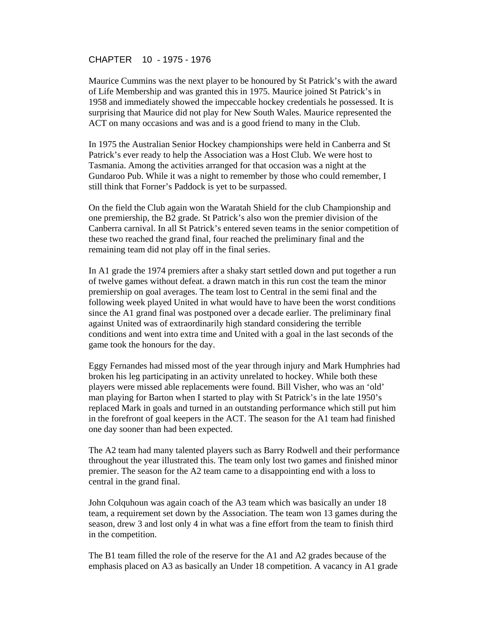## CHAPTER 10 - 1975 - 1976

Maurice Cummins was the next player to be honoured by St Patrick's with the award of Life Membership and was granted this in 1975. Maurice joined St Patrick's in 1958 and immediately showed the impeccable hockey credentials he possessed. It is surprising that Maurice did not play for New South Wales. Maurice represented the ACT on many occasions and was and is a good friend to many in the Club.

In 1975 the Australian Senior Hockey championships were held in Canberra and St Patrick's ever ready to help the Association was a Host Club. We were host to Tasmania. Among the activities arranged for that occasion was a night at the Gundaroo Pub. While it was a night to remember by those who could remember, I still think that Forner's Paddock is yet to be surpassed.

On the field the Club again won the Waratah Shield for the club Championship and one premiership, the B2 grade. St Patrick's also won the premier division of the Canberra carnival. In all St Patrick's entered seven teams in the senior competition of these two reached the grand final, four reached the preliminary final and the remaining team did not play off in the final series.

In A1 grade the 1974 premiers after a shaky start settled down and put together a run of twelve games without defeat. a drawn match in this run cost the team the minor premiership on goal averages. The team lost to Central in the semi final and the following week played United in what would have to have been the worst conditions since the A1 grand final was postponed over a decade earlier. The preliminary final against United was of extraordinarily high standard considering the terrible conditions and went into extra time and United with a goal in the last seconds of the game took the honours for the day.

Eggy Fernandes had missed most of the year through injury and Mark Humphries had broken his leg participating in an activity unrelated to hockey. While both these players were missed able replacements were found. Bill Visher, who was an 'old' man playing for Barton when I started to play with St Patrick's in the late 1950's replaced Mark in goals and turned in an outstanding performance which still put him in the forefront of goal keepers in the ACT. The season for the A1 team had finished one day sooner than had been expected.

The A2 team had many talented players such as Barry Rodwell and their performance throughout the year illustrated this. The team only lost two games and finished minor premier. The season for the A2 team came to a disappointing end with a loss to central in the grand final.

John Colquhoun was again coach of the A3 team which was basically an under 18 team, a requirement set down by the Association. The team won 13 games during the season, drew 3 and lost only 4 in what was a fine effort from the team to finish third in the competition.

The B1 team filled the role of the reserve for the A1 and A2 grades because of the emphasis placed on A3 as basically an Under 18 competition. A vacancy in A1 grade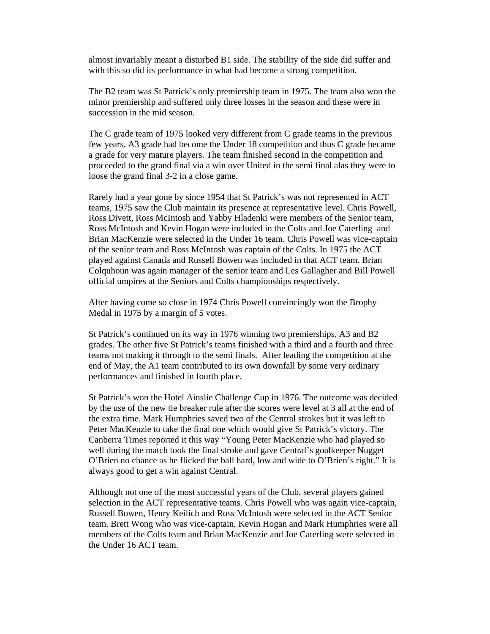almost invariably meant a disturbed B1 side. The stability of the side did suffer and with this so did its performance in what had become a strong competition.

The B2 team was St Patrick's only premiership team in 1975. The team also won the minor premiership and suffered only three losses in the season and these were in succession in the mid season.

The C grade team of 1975 looked very different from C grade teams in the previous few years. A3 grade had become the Under 18 competition and thus C grade became a grade for very mature players. The team finished second in the competition and proceeded to the grand final via a win over United in the semi final alas they were to loose the grand final 3-2 in a close game.

Rarely had a year gone by since 1954 that St Patrick's was not represented in ACT teams, 1975 saw the Club maintain its presence at representative level. Chris Powell, Ross Divett, Ross McIntosh and Yabby Hladenki were members of the Senior team, Ross McIntosh and Kevin Hogan were included in the Colts and Joe Caterling and Brian MacKenzie were selected in the Under 16 team. Chris Powell was vice-captain of the senior team and Ross McIntosh was captain of the Colts. In 1975 the ACT played against Canada and Russell Bowen was included in that ACT team. Brian Colquhoun was again manager of the senior team and Les Gallagher and Bill Powell official umpires at the Seniors and Colts championships respectively.

After having come so close in 1974 Chris Powell convincingly won the Brophy Medal in 1975 by a margin of 5 votes.

St Patrick's continued on its way in 1976 winning two premierships, A3 and B2 grades. The other five St Patrick's teams finished with a third and a fourth and three teams not making it through to the semi finals. After leading the competition at the end of May, the A1 team contributed to its own downfall by some very ordinary performances and finished in fourth place.

St Patrick's won the Hotel Ainslie Challenge Cup in 1976. The outcome was decided by the use of the new tie breaker rule after the scores were level at 3 all at the end of the extra time. Mark Humphries saved two of the Central strokes but it was left to Peter MacKenzie to take the final one which would give St Patrick's victory. The Canberra Times reported it this way "Young Peter MacKenzie who had played so well during the match took the final stroke and gave Central's goalkeeper Nugget O'Brien no chance as he flicked the ball hard, low and wide to O'Brien's right." It is always good to get a win against Central.

Although not one of the most successful years of the Club, several players gained selection in the ACT representative teams. Chris Powell who was again vice-captain, Russell Bowen, Henry Keilich and Ross McIntosh were selected in the ACT Senior team. Brett Wong who was vice-captain, Kevin Hogan and Mark Humphries were all members of the Colts team and Brian MacKenzie and Joe Caterling were selected in the Under 16 ACT team.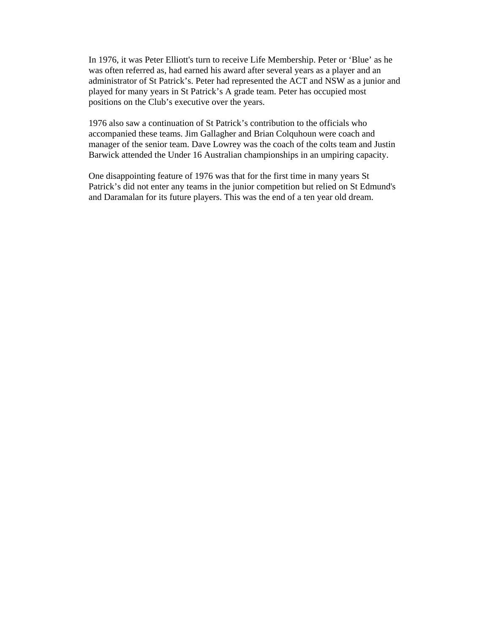In 1976, it was Peter Elliott's turn to receive Life Membership. Peter or 'Blue' as he was often referred as, had earned his award after several years as a player and an administrator of St Patrick's. Peter had represented the ACT and NSW as a junior and played for many years in St Patrick's A grade team. Peter has occupied most positions on the Club's executive over the years.

1976 also saw a continuation of St Patrick's contribution to the officials who accompanied these teams. Jim Gallagher and Brian Colquhoun were coach and manager of the senior team. Dave Lowrey was the coach of the colts team and Justin Barwick attended the Under 16 Australian championships in an umpiring capacity.

One disappointing feature of 1976 was that for the first time in many years St Patrick's did not enter any teams in the junior competition but relied on St Edmund's and Daramalan for its future players. This was the end of a ten year old dream.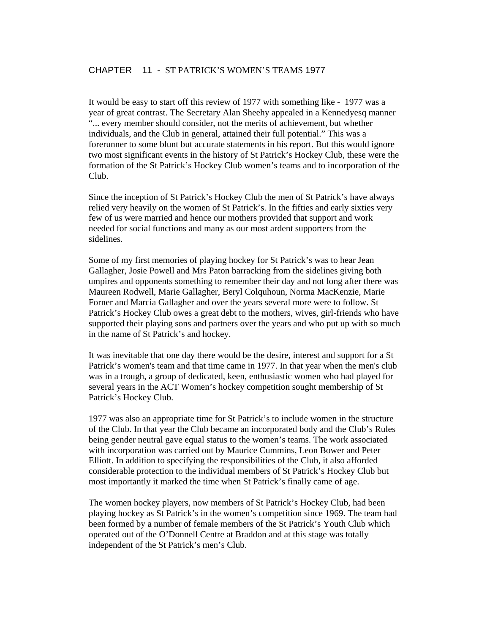# CHAPTER 11 - ST PATRICK'S WOMEN'S TEAMS 1977

It would be easy to start off this review of 1977 with something like - 1977 was a year of great contrast. The Secretary Alan Sheehy appealed in a Kennedyesq manner "... every member should consider, not the merits of achievement, but whether individuals, and the Club in general, attained their full potential." This was a forerunner to some blunt but accurate statements in his report. But this would ignore two most significant events in the history of St Patrick's Hockey Club, these were the formation of the St Patrick's Hockey Club women's teams and to incorporation of the Club.

Since the inception of St Patrick's Hockey Club the men of St Patrick's have always relied very heavily on the women of St Patrick's. In the fifties and early sixties very few of us were married and hence our mothers provided that support and work needed for social functions and many as our most ardent supporters from the sidelines.

Some of my first memories of playing hockey for St Patrick's was to hear Jean Gallagher, Josie Powell and Mrs Paton barracking from the sidelines giving both umpires and opponents something to remember their day and not long after there was Maureen Rodwell, Marie Gallagher, Beryl Colquhoun, Norma MacKenzie, Marie Forner and Marcia Gallagher and over the years several more were to follow. St Patrick's Hockey Club owes a great debt to the mothers, wives, girl-friends who have supported their playing sons and partners over the years and who put up with so much in the name of St Patrick's and hockey.

It was inevitable that one day there would be the desire, interest and support for a St Patrick's women's team and that time came in 1977. In that year when the men's club was in a trough, a group of dedicated, keen, enthusiastic women who had played for several years in the ACT Women's hockey competition sought membership of St Patrick's Hockey Club.

1977 was also an appropriate time for St Patrick's to include women in the structure of the Club. In that year the Club became an incorporated body and the Club's Rules being gender neutral gave equal status to the women's teams. The work associated with incorporation was carried out by Maurice Cummins, Leon Bower and Peter Elliott. In addition to specifying the responsibilities of the Club, it also afforded considerable protection to the individual members of St Patrick's Hockey Club but most importantly it marked the time when St Patrick's finally came of age.

The women hockey players, now members of St Patrick's Hockey Club, had been playing hockey as St Patrick's in the women's competition since 1969. The team had been formed by a number of female members of the St Patrick's Youth Club which operated out of the O'Donnell Centre at Braddon and at this stage was totally independent of the St Patrick's men's Club.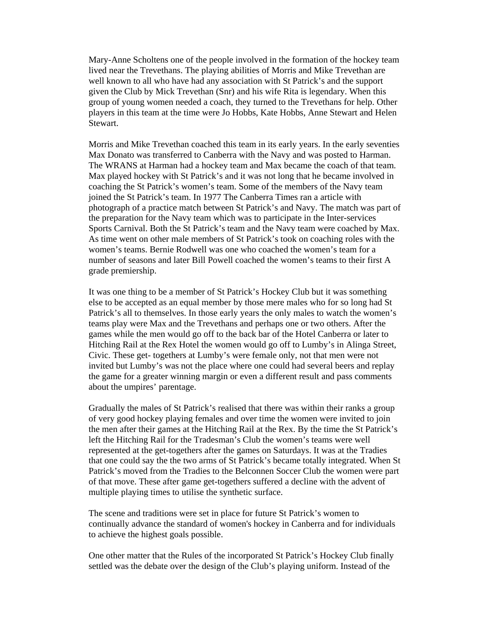Mary-Anne Scholtens one of the people involved in the formation of the hockey team lived near the Trevethans. The playing abilities of Morris and Mike Trevethan are well known to all who have had any association with St Patrick's and the support given the Club by Mick Trevethan (Snr) and his wife Rita is legendary. When this group of young women needed a coach, they turned to the Trevethans for help. Other players in this team at the time were Jo Hobbs, Kate Hobbs, Anne Stewart and Helen Stewart.

Morris and Mike Trevethan coached this team in its early years. In the early seventies Max Donato was transferred to Canberra with the Navy and was posted to Harman. The WRANS at Harman had a hockey team and Max became the coach of that team. Max played hockey with St Patrick's and it was not long that he became involved in coaching the St Patrick's women's team. Some of the members of the Navy team joined the St Patrick's team. In 1977 The Canberra Times ran a article with photograph of a practice match between St Patrick's and Navy. The match was part of the preparation for the Navy team which was to participate in the Inter-services Sports Carnival. Both the St Patrick's team and the Navy team were coached by Max. As time went on other male members of St Patrick's took on coaching roles with the women's teams. Bernie Rodwell was one who coached the women's team for a number of seasons and later Bill Powell coached the women's teams to their first A grade premiership.

It was one thing to be a member of St Patrick's Hockey Club but it was something else to be accepted as an equal member by those mere males who for so long had St Patrick's all to themselves. In those early years the only males to watch the women's teams play were Max and the Trevethans and perhaps one or two others. After the games while the men would go off to the back bar of the Hotel Canberra or later to Hitching Rail at the Rex Hotel the women would go off to Lumby's in Alinga Street, Civic. These get- togethers at Lumby's were female only, not that men were not invited but Lumby's was not the place where one could had several beers and replay the game for a greater winning margin or even a different result and pass comments about the umpires' parentage.

Gradually the males of St Patrick's realised that there was within their ranks a group of very good hockey playing females and over time the women were invited to join the men after their games at the Hitching Rail at the Rex. By the time the St Patrick's left the Hitching Rail for the Tradesman's Club the women's teams were well represented at the get-togethers after the games on Saturdays. It was at the Tradies that one could say the the two arms of St Patrick's became totally integrated. When St Patrick's moved from the Tradies to the Belconnen Soccer Club the women were part of that move. These after game get-togethers suffered a decline with the advent of multiple playing times to utilise the synthetic surface.

The scene and traditions were set in place for future St Patrick's women to continually advance the standard of women's hockey in Canberra and for individuals to achieve the highest goals possible.

One other matter that the Rules of the incorporated St Patrick's Hockey Club finally settled was the debate over the design of the Club's playing uniform. Instead of the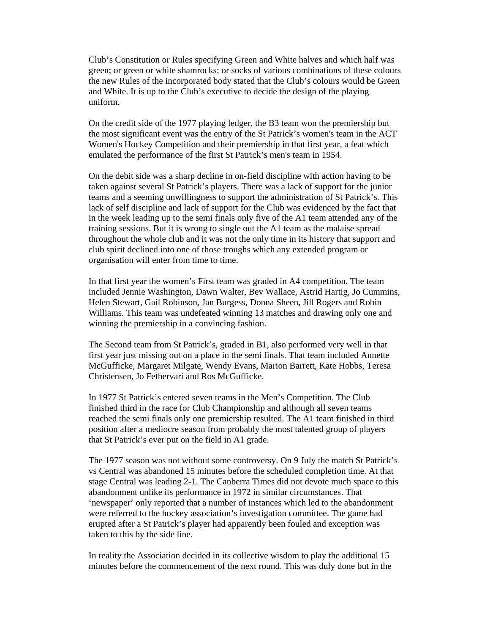Club's Constitution or Rules specifying Green and White halves and which half was green; or green or white shamrocks; or socks of various combinations of these colours the new Rules of the incorporated body stated that the Club's colours would be Green and White. It is up to the Club's executive to decide the design of the playing uniform.

On the credit side of the 1977 playing ledger, the B3 team won the premiership but the most significant event was the entry of the St Patrick's women's team in the ACT Women's Hockey Competition and their premiership in that first year, a feat which emulated the performance of the first St Patrick's men's team in 1954.

On the debit side was a sharp decline in on-field discipline with action having to be taken against several St Patrick's players. There was a lack of support for the junior teams and a seeming unwillingness to support the administration of St Patrick's. This lack of self discipline and lack of support for the Club was evidenced by the fact that in the week leading up to the semi finals only five of the A1 team attended any of the training sessions. But it is wrong to single out the A1 team as the malaise spread throughout the whole club and it was not the only time in its history that support and club spirit declined into one of those troughs which any extended program or organisation will enter from time to time.

In that first year the women's First team was graded in A4 competition. The team included Jennie Washington, Dawn Walter, Bev Wallace, Astrid Hartig, Jo Cummins, Helen Stewart, Gail Robinson, Jan Burgess, Donna Sheen, Jill Rogers and Robin Williams. This team was undefeated winning 13 matches and drawing only one and winning the premiership in a convincing fashion.

The Second team from St Patrick's, graded in B1, also performed very well in that first year just missing out on a place in the semi finals. That team included Annette McGufficke, Margaret Milgate, Wendy Evans, Marion Barrett, Kate Hobbs, Teresa Christensen, Jo Fethervari and Ros McGufficke.

In 1977 St Patrick's entered seven teams in the Men's Competition. The Club finished third in the race for Club Championship and although all seven teams reached the semi finals only one premiership resulted. The A1 team finished in third position after a mediocre season from probably the most talented group of players that St Patrick's ever put on the field in A1 grade.

The 1977 season was not without some controversy. On 9 July the match St Patrick's vs Central was abandoned 15 minutes before the scheduled completion time. At that stage Central was leading 2-1. The Canberra Times did not devote much space to this abandonment unlike its performance in 1972 in similar circumstances. That 'newspaper' only reported that a number of instances which led to the abandonment were referred to the hockey association's investigation committee. The game had erupted after a St Patrick's player had apparently been fouled and exception was taken to this by the side line.

In reality the Association decided in its collective wisdom to play the additional 15 minutes before the commencement of the next round. This was duly done but in the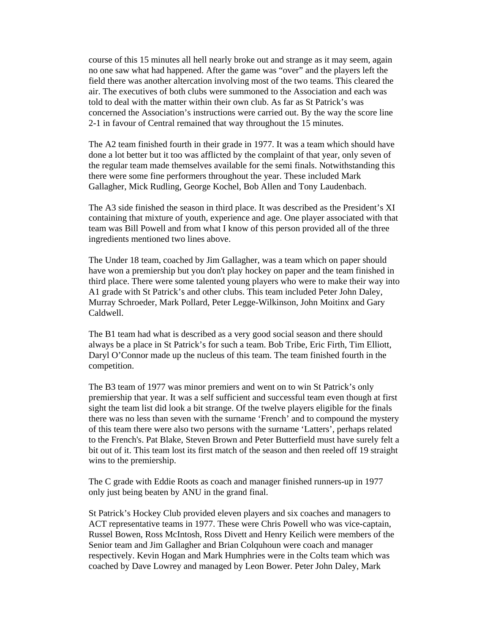course of this 15 minutes all hell nearly broke out and strange as it may seem, again no one saw what had happened. After the game was "over" and the players left the field there was another altercation involving most of the two teams. This cleared the air. The executives of both clubs were summoned to the Association and each was told to deal with the matter within their own club. As far as St Patrick's was concerned the Association's instructions were carried out. By the way the score line 2-1 in favour of Central remained that way throughout the 15 minutes.

The A2 team finished fourth in their grade in 1977. It was a team which should have done a lot better but it too was afflicted by the complaint of that year, only seven of the regular team made themselves available for the semi finals. Notwithstanding this there were some fine performers throughout the year. These included Mark Gallagher, Mick Rudling, George Kochel, Bob Allen and Tony Laudenbach.

The A3 side finished the season in third place. It was described as the President's XI containing that mixture of youth, experience and age. One player associated with that team was Bill Powell and from what I know of this person provided all of the three ingredients mentioned two lines above.

The Under 18 team, coached by Jim Gallagher, was a team which on paper should have won a premiership but you don't play hockey on paper and the team finished in third place. There were some talented young players who were to make their way into A1 grade with St Patrick's and other clubs. This team included Peter John Daley, Murray Schroeder, Mark Pollard, Peter Legge-Wilkinson, John Moitinx and Gary Caldwell.

The B1 team had what is described as a very good social season and there should always be a place in St Patrick's for such a team. Bob Tribe, Eric Firth, Tim Elliott, Daryl O'Connor made up the nucleus of this team. The team finished fourth in the competition.

The B3 team of 1977 was minor premiers and went on to win St Patrick's only premiership that year. It was a self sufficient and successful team even though at first sight the team list did look a bit strange. Of the twelve players eligible for the finals there was no less than seven with the surname 'French' and to compound the mystery of this team there were also two persons with the surname 'Latters', perhaps related to the French's. Pat Blake, Steven Brown and Peter Butterfield must have surely felt a bit out of it. This team lost its first match of the season and then reeled off 19 straight wins to the premiership.

The C grade with Eddie Roots as coach and manager finished runners-up in 1977 only just being beaten by ANU in the grand final.

St Patrick's Hockey Club provided eleven players and six coaches and managers to ACT representative teams in 1977. These were Chris Powell who was vice-captain, Russel Bowen, Ross McIntosh, Ross Divett and Henry Keilich were members of the Senior team and Jim Gallagher and Brian Colquhoun were coach and manager respectively. Kevin Hogan and Mark Humphries were in the Colts team which was coached by Dave Lowrey and managed by Leon Bower. Peter John Daley, Mark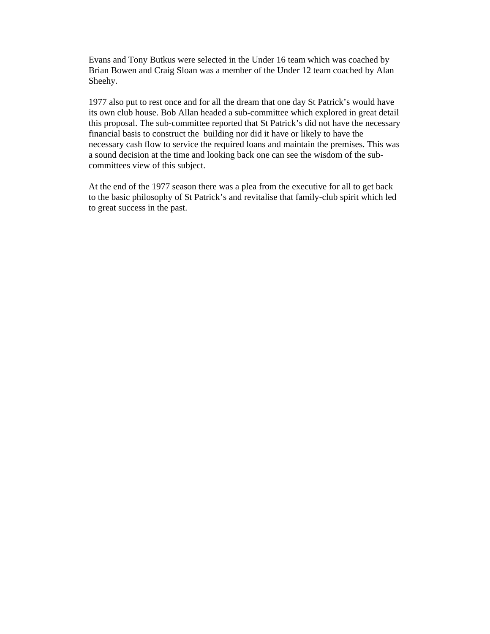Evans and Tony Butkus were selected in the Under 16 team which was coached by Brian Bowen and Craig Sloan was a member of the Under 12 team coached by Alan Sheehy.

1977 also put to rest once and for all the dream that one day St Patrick's would have its own club house. Bob Allan headed a sub-committee which explored in great detail this proposal. The sub-committee reported that St Patrick's did not have the necessary financial basis to construct the building nor did it have or likely to have the necessary cash flow to service the required loans and maintain the premises. This was a sound decision at the time and looking back one can see the wisdom of the subcommittees view of this subject.

At the end of the 1977 season there was a plea from the executive for all to get back to the basic philosophy of St Patrick's and revitalise that family-club spirit which led to great success in the past.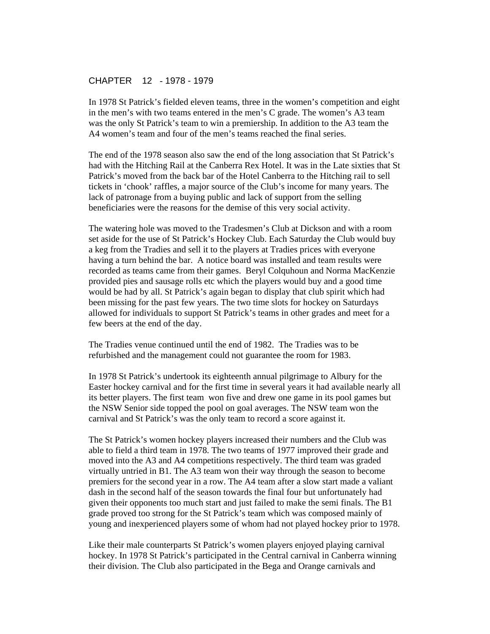# CHAPTER 12 - 1978 - 1979

In 1978 St Patrick's fielded eleven teams, three in the women's competition and eight in the men's with two teams entered in the men's C grade. The women's A3 team was the only St Patrick's team to win a premiership. In addition to the A3 team the A4 women's team and four of the men's teams reached the final series.

The end of the 1978 season also saw the end of the long association that St Patrick's had with the Hitching Rail at the Canberra Rex Hotel. It was in the Late sixties that St Patrick's moved from the back bar of the Hotel Canberra to the Hitching rail to sell tickets in 'chook' raffles, a major source of the Club's income for many years. The lack of patronage from a buying public and lack of support from the selling beneficiaries were the reasons for the demise of this very social activity.

The watering hole was moved to the Tradesmen's Club at Dickson and with a room set aside for the use of St Patrick's Hockey Club. Each Saturday the Club would buy a keg from the Tradies and sell it to the players at Tradies prices with everyone having a turn behind the bar. A notice board was installed and team results were recorded as teams came from their games. Beryl Colquhoun and Norma MacKenzie provided pies and sausage rolls etc which the players would buy and a good time would be had by all. St Patrick's again began to display that club spirit which had been missing for the past few years. The two time slots for hockey on Saturdays allowed for individuals to support St Patrick's teams in other grades and meet for a few beers at the end of the day.

The Tradies venue continued until the end of 1982. The Tradies was to be refurbished and the management could not guarantee the room for 1983.

In 1978 St Patrick's undertook its eighteenth annual pilgrimage to Albury for the Easter hockey carnival and for the first time in several years it had available nearly all its better players. The first team won five and drew one game in its pool games but the NSW Senior side topped the pool on goal averages. The NSW team won the carnival and St Patrick's was the only team to record a score against it.

The St Patrick's women hockey players increased their numbers and the Club was able to field a third team in 1978. The two teams of 1977 improved their grade and moved into the A3 and A4 competitions respectively. The third team was graded virtually untried in B1. The A3 team won their way through the season to become premiers for the second year in a row. The A4 team after a slow start made a valiant dash in the second half of the season towards the final four but unfortunately had given their opponents too much start and just failed to make the semi finals. The B1 grade proved too strong for the St Patrick's team which was composed mainly of young and inexperienced players some of whom had not played hockey prior to 1978.

Like their male counterparts St Patrick's women players enjoyed playing carnival hockey. In 1978 St Patrick's participated in the Central carnival in Canberra winning their division. The Club also participated in the Bega and Orange carnivals and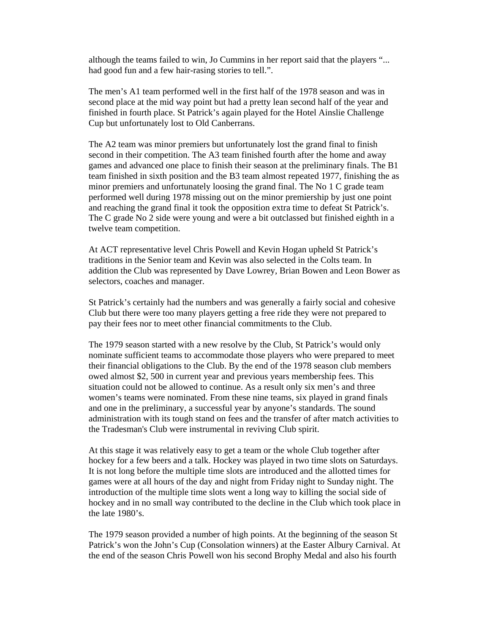although the teams failed to win, Jo Cummins in her report said that the players "... had good fun and a few hair-rasing stories to tell.".

The men's A1 team performed well in the first half of the 1978 season and was in second place at the mid way point but had a pretty lean second half of the year and finished in fourth place. St Patrick's again played for the Hotel Ainslie Challenge Cup but unfortunately lost to Old Canberrans.

The A2 team was minor premiers but unfortunately lost the grand final to finish second in their competition. The A3 team finished fourth after the home and away games and advanced one place to finish their season at the preliminary finals. The B1 team finished in sixth position and the B3 team almost repeated 1977, finishing the as minor premiers and unfortunately loosing the grand final. The No 1 C grade team performed well during 1978 missing out on the minor premiership by just one point and reaching the grand final it took the opposition extra time to defeat St Patrick's. The C grade No 2 side were young and were a bit outclassed but finished eighth in a twelve team competition.

At ACT representative level Chris Powell and Kevin Hogan upheld St Patrick's traditions in the Senior team and Kevin was also selected in the Colts team. In addition the Club was represented by Dave Lowrey, Brian Bowen and Leon Bower as selectors, coaches and manager.

St Patrick's certainly had the numbers and was generally a fairly social and cohesive Club but there were too many players getting a free ride they were not prepared to pay their fees nor to meet other financial commitments to the Club.

The 1979 season started with a new resolve by the Club, St Patrick's would only nominate sufficient teams to accommodate those players who were prepared to meet their financial obligations to the Club. By the end of the 1978 season club members owed almost \$2, 500 in current year and previous years membership fees. This situation could not be allowed to continue. As a result only six men's and three women's teams were nominated. From these nine teams, six played in grand finals and one in the preliminary, a successful year by anyone's standards. The sound administration with its tough stand on fees and the transfer of after match activities to the Tradesman's Club were instrumental in reviving Club spirit.

At this stage it was relatively easy to get a team or the whole Club together after hockey for a few beers and a talk. Hockey was played in two time slots on Saturdays. It is not long before the multiple time slots are introduced and the allotted times for games were at all hours of the day and night from Friday night to Sunday night. The introduction of the multiple time slots went a long way to killing the social side of hockey and in no small way contributed to the decline in the Club which took place in the late 1980's.

The 1979 season provided a number of high points. At the beginning of the season St Patrick's won the John's Cup (Consolation winners) at the Easter Albury Carnival. At the end of the season Chris Powell won his second Brophy Medal and also his fourth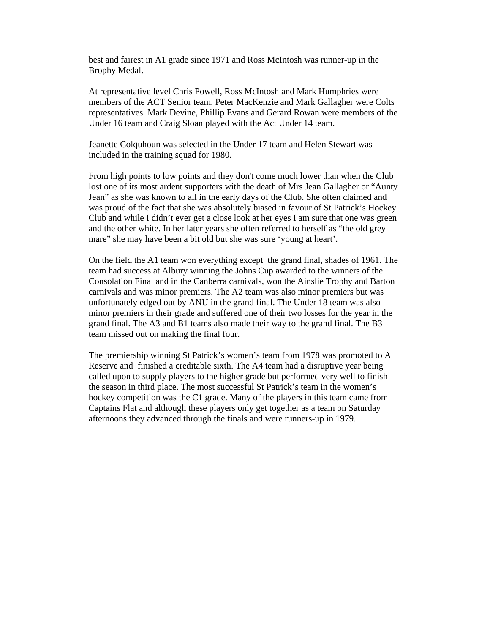best and fairest in A1 grade since 1971 and Ross McIntosh was runner-up in the Brophy Medal.

At representative level Chris Powell, Ross McIntosh and Mark Humphries were members of the ACT Senior team. Peter MacKenzie and Mark Gallagher were Colts representatives. Mark Devine, Phillip Evans and Gerard Rowan were members of the Under 16 team and Craig Sloan played with the Act Under 14 team.

Jeanette Colquhoun was selected in the Under 17 team and Helen Stewart was included in the training squad for 1980.

From high points to low points and they don't come much lower than when the Club lost one of its most ardent supporters with the death of Mrs Jean Gallagher or "Aunty Jean" as she was known to all in the early days of the Club. She often claimed and was proud of the fact that she was absolutely biased in favour of St Patrick's Hockey Club and while I didn't ever get a close look at her eyes I am sure that one was green and the other white. In her later years she often referred to herself as "the old grey mare" she may have been a bit old but she was sure 'young at heart'.

On the field the A1 team won everything except the grand final, shades of 1961. The team had success at Albury winning the Johns Cup awarded to the winners of the Consolation Final and in the Canberra carnivals, won the Ainslie Trophy and Barton carnivals and was minor premiers. The A2 team was also minor premiers but was unfortunately edged out by ANU in the grand final. The Under 18 team was also minor premiers in their grade and suffered one of their two losses for the year in the grand final. The A3 and B1 teams also made their way to the grand final. The B3 team missed out on making the final four.

The premiership winning St Patrick's women's team from 1978 was promoted to A Reserve and finished a creditable sixth. The A4 team had a disruptive year being called upon to supply players to the higher grade but performed very well to finish the season in third place. The most successful St Patrick's team in the women's hockey competition was the C1 grade. Many of the players in this team came from Captains Flat and although these players only get together as a team on Saturday afternoons they advanced through the finals and were runners-up in 1979.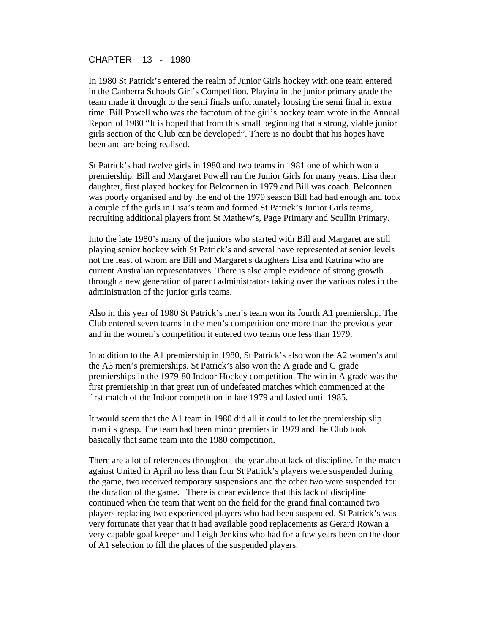CHAPTER 13 - 1980

In 1980 St Patrick's entered the realm of Junior Girls hockey with one team entered in the Canberra Schools Girl's Competition. Playing in the junior primary grade the team made it through to the semi finals unfortunately loosing the semi final in extra time. Bill Powell who was the factotum of the girl's hockey team wrote in the Annual Report of 1980 "It is hoped that from this small beginning that a strong, viable junior girls section of the Club can be developed". There is no doubt that his hopes have been and are being realised.

St Patrick's had twelve girls in 1980 and two teams in 1981 one of which won a premiership. Bill and Margaret Powell ran the Junior Girls for many years. Lisa their daughter, first played hockey for Belconnen in 1979 and Bill was coach. Belconnen was poorly organised and by the end of the 1979 season Bill had had enough and took a couple of the girls in Lisa's team and formed St Patrick's Junior Girls teams, recruiting additional players from St Mathew's, Page Primary and Scullin Primary.

Into the late 1980's many of the juniors who started with Bill and Margaret are still playing senior hockey with St Patrick's and several have represented at senior levels not the least of whom are Bill and Margaret's daughters Lisa and Katrina who are current Australian representatives. There is also ample evidence of strong growth through a new generation of parent administrators taking over the various roles in the administration of the junior girls teams.

Also in this year of 1980 St Patrick's men's team won its fourth A1 premiership. The Club entered seven teams in the men's competition one more than the previous year and in the women's competition it entered two teams one less than 1979.

In addition to the A1 premiership in 1980, St Patrick's also won the A2 women's and the A3 men's premierships. St Patrick's also won the A grade and G grade premierships in the 1979-80 Indoor Hockey competition. The win in A grade was the first premiership in that great run of undefeated matches which commenced at the first match of the Indoor competition in late 1979 and lasted until 1985.

It would seem that the A1 team in 1980 did all it could to let the premiership slip from its grasp. The team had been minor premiers in 1979 and the Club took basically that same team into the 1980 competition.

There are a lot of references throughout the year about lack of discipline. In the match against United in April no less than four St Patrick's players were suspended during the game, two received temporary suspensions and the other two were suspended for the duration of the game. There is clear evidence that this lack of discipline continued when the team that went on the field for the grand final contained two players replacing two experienced players who had been suspended. St Patrick's was very fortunate that year that it had available good replacements as Gerard Rowan a very capable goal keeper and Leigh Jenkins who had for a few years been on the door of A1 selection to fill the places of the suspended players.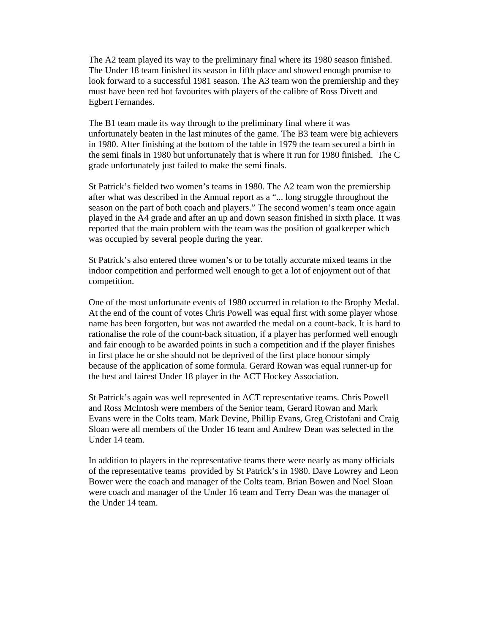The A2 team played its way to the preliminary final where its 1980 season finished. The Under 18 team finished its season in fifth place and showed enough promise to look forward to a successful 1981 season. The A3 team won the premiership and they must have been red hot favourites with players of the calibre of Ross Divett and Egbert Fernandes.

The B1 team made its way through to the preliminary final where it was unfortunately beaten in the last minutes of the game. The B3 team were big achievers in 1980. After finishing at the bottom of the table in 1979 the team secured a birth in the semi finals in 1980 but unfortunately that is where it run for 1980 finished. The C grade unfortunately just failed to make the semi finals.

St Patrick's fielded two women's teams in 1980. The A2 team won the premiership after what was described in the Annual report as a "... long struggle throughout the season on the part of both coach and players." The second women's team once again played in the A4 grade and after an up and down season finished in sixth place. It was reported that the main problem with the team was the position of goalkeeper which was occupied by several people during the year.

St Patrick's also entered three women's or to be totally accurate mixed teams in the indoor competition and performed well enough to get a lot of enjoyment out of that competition.

One of the most unfortunate events of 1980 occurred in relation to the Brophy Medal. At the end of the count of votes Chris Powell was equal first with some player whose name has been forgotten, but was not awarded the medal on a count-back. It is hard to rationalise the role of the count-back situation, if a player has performed well enough and fair enough to be awarded points in such a competition and if the player finishes in first place he or she should not be deprived of the first place honour simply because of the application of some formula. Gerard Rowan was equal runner-up for the best and fairest Under 18 player in the ACT Hockey Association.

St Patrick's again was well represented in ACT representative teams. Chris Powell and Ross McIntosh were members of the Senior team, Gerard Rowan and Mark Evans were in the Colts team. Mark Devine, Phillip Evans, Greg Cristofani and Craig Sloan were all members of the Under 16 team and Andrew Dean was selected in the Under 14 team.

In addition to players in the representative teams there were nearly as many officials of the representative teams provided by St Patrick's in 1980. Dave Lowrey and Leon Bower were the coach and manager of the Colts team. Brian Bowen and Noel Sloan were coach and manager of the Under 16 team and Terry Dean was the manager of the Under 14 team.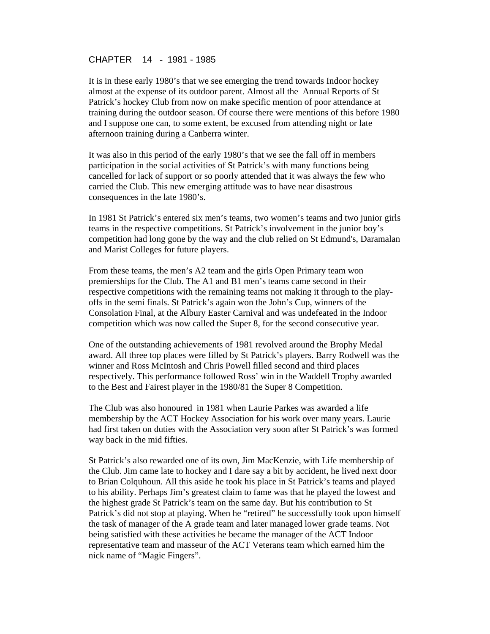### CHAPTER 14 - 1981 - 1985

It is in these early 1980's that we see emerging the trend towards Indoor hockey almost at the expense of its outdoor parent. Almost all the Annual Reports of St Patrick's hockey Club from now on make specific mention of poor attendance at training during the outdoor season. Of course there were mentions of this before 1980 and I suppose one can, to some extent, be excused from attending night or late afternoon training during a Canberra winter.

It was also in this period of the early 1980's that we see the fall off in members participation in the social activities of St Patrick's with many functions being cancelled for lack of support or so poorly attended that it was always the few who carried the Club. This new emerging attitude was to have near disastrous consequences in the late 1980's.

In 1981 St Patrick's entered six men's teams, two women's teams and two junior girls teams in the respective competitions. St Patrick's involvement in the junior boy's competition had long gone by the way and the club relied on St Edmund's, Daramalan and Marist Colleges for future players.

From these teams, the men's A2 team and the girls Open Primary team won premierships for the Club. The A1 and B1 men's teams came second in their respective competitions with the remaining teams not making it through to the playoffs in the semi finals. St Patrick's again won the John's Cup, winners of the Consolation Final, at the Albury Easter Carnival and was undefeated in the Indoor competition which was now called the Super 8, for the second consecutive year.

One of the outstanding achievements of 1981 revolved around the Brophy Medal award. All three top places were filled by St Patrick's players. Barry Rodwell was the winner and Ross McIntosh and Chris Powell filled second and third places respectively. This performance followed Ross' win in the Waddell Trophy awarded to the Best and Fairest player in the 1980/81 the Super 8 Competition.

The Club was also honoured in 1981 when Laurie Parkes was awarded a life membership by the ACT Hockey Association for his work over many years. Laurie had first taken on duties with the Association very soon after St Patrick's was formed way back in the mid fifties.

St Patrick's also rewarded one of its own, Jim MacKenzie, with Life membership of the Club. Jim came late to hockey and I dare say a bit by accident, he lived next door to Brian Colquhoun. All this aside he took his place in St Patrick's teams and played to his ability. Perhaps Jim's greatest claim to fame was that he played the lowest and the highest grade St Patrick's team on the same day. But his contribution to St Patrick's did not stop at playing. When he "retired" he successfully took upon himself the task of manager of the A grade team and later managed lower grade teams. Not being satisfied with these activities he became the manager of the ACT Indoor representative team and masseur of the ACT Veterans team which earned him the nick name of "Magic Fingers".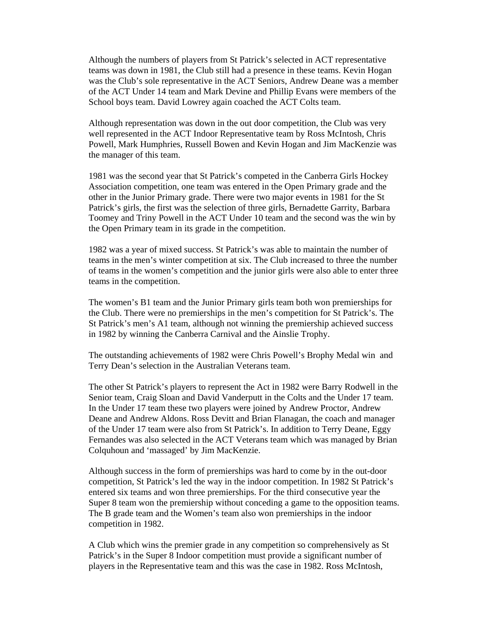Although the numbers of players from St Patrick's selected in ACT representative teams was down in 1981, the Club still had a presence in these teams. Kevin Hogan was the Club's sole representative in the ACT Seniors, Andrew Deane was a member of the ACT Under 14 team and Mark Devine and Phillip Evans were members of the School boys team. David Lowrey again coached the ACT Colts team.

Although representation was down in the out door competition, the Club was very well represented in the ACT Indoor Representative team by Ross McIntosh, Chris Powell, Mark Humphries, Russell Bowen and Kevin Hogan and Jim MacKenzie was the manager of this team.

1981 was the second year that St Patrick's competed in the Canberra Girls Hockey Association competition, one team was entered in the Open Primary grade and the other in the Junior Primary grade. There were two major events in 1981 for the St Patrick's girls, the first was the selection of three girls, Bernadette Garrity, Barbara Toomey and Triny Powell in the ACT Under 10 team and the second was the win by the Open Primary team in its grade in the competition.

1982 was a year of mixed success. St Patrick's was able to maintain the number of teams in the men's winter competition at six. The Club increased to three the number of teams in the women's competition and the junior girls were also able to enter three teams in the competition.

The women's B1 team and the Junior Primary girls team both won premierships for the Club. There were no premierships in the men's competition for St Patrick's. The St Patrick's men's A1 team, although not winning the premiership achieved success in 1982 by winning the Canberra Carnival and the Ainslie Trophy.

The outstanding achievements of 1982 were Chris Powell's Brophy Medal win and Terry Dean's selection in the Australian Veterans team.

The other St Patrick's players to represent the Act in 1982 were Barry Rodwell in the Senior team, Craig Sloan and David Vanderputt in the Colts and the Under 17 team. In the Under 17 team these two players were joined by Andrew Proctor, Andrew Deane and Andrew Aldons. Ross Devitt and Brian Flanagan, the coach and manager of the Under 17 team were also from St Patrick's. In addition to Terry Deane, Eggy Fernandes was also selected in the ACT Veterans team which was managed by Brian Colquhoun and 'massaged' by Jim MacKenzie.

Although success in the form of premierships was hard to come by in the out-door competition, St Patrick's led the way in the indoor competition. In 1982 St Patrick's entered six teams and won three premierships. For the third consecutive year the Super 8 team won the premiership without conceding a game to the opposition teams. The B grade team and the Women's team also won premierships in the indoor competition in 1982.

A Club which wins the premier grade in any competition so comprehensively as St Patrick's in the Super 8 Indoor competition must provide a significant number of players in the Representative team and this was the case in 1982. Ross McIntosh,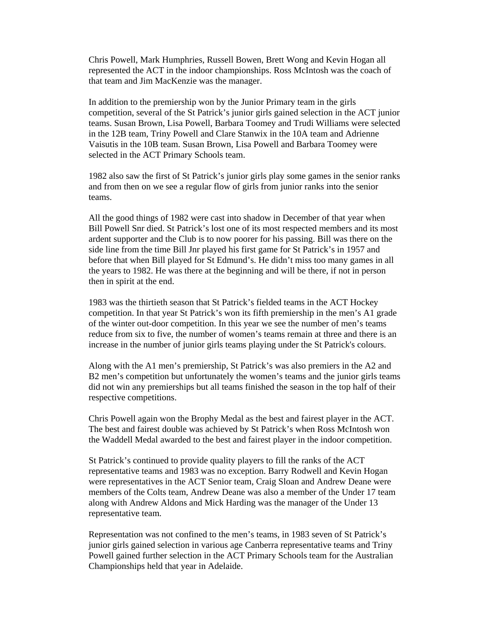Chris Powell, Mark Humphries, Russell Bowen, Brett Wong and Kevin Hogan all represented the ACT in the indoor championships. Ross McIntosh was the coach of that team and Jim MacKenzie was the manager.

In addition to the premiership won by the Junior Primary team in the girls competition, several of the St Patrick's junior girls gained selection in the ACT junior teams. Susan Brown, Lisa Powell, Barbara Toomey and Trudi Williams were selected in the 12B team, Triny Powell and Clare Stanwix in the 10A team and Adrienne Vaisutis in the 10B team. Susan Brown, Lisa Powell and Barbara Toomey were selected in the ACT Primary Schools team.

1982 also saw the first of St Patrick's junior girls play some games in the senior ranks and from then on we see a regular flow of girls from junior ranks into the senior teams.

All the good things of 1982 were cast into shadow in December of that year when Bill Powell Snr died. St Patrick's lost one of its most respected members and its most ardent supporter and the Club is to now poorer for his passing. Bill was there on the side line from the time Bill Jnr played his first game for St Patrick's in 1957 and before that when Bill played for St Edmund's. He didn't miss too many games in all the years to 1982. He was there at the beginning and will be there, if not in person then in spirit at the end.

1983 was the thirtieth season that St Patrick's fielded teams in the ACT Hockey competition. In that year St Patrick's won its fifth premiership in the men's A1 grade of the winter out-door competition. In this year we see the number of men's teams reduce from six to five, the number of women's teams remain at three and there is an increase in the number of junior girls teams playing under the St Patrick's colours.

Along with the A1 men's premiership, St Patrick's was also premiers in the A2 and B2 men's competition but unfortunately the women's teams and the junior girls teams did not win any premierships but all teams finished the season in the top half of their respective competitions.

Chris Powell again won the Brophy Medal as the best and fairest player in the ACT. The best and fairest double was achieved by St Patrick's when Ross McIntosh won the Waddell Medal awarded to the best and fairest player in the indoor competition.

St Patrick's continued to provide quality players to fill the ranks of the ACT representative teams and 1983 was no exception. Barry Rodwell and Kevin Hogan were representatives in the ACT Senior team, Craig Sloan and Andrew Deane were members of the Colts team, Andrew Deane was also a member of the Under 17 team along with Andrew Aldons and Mick Harding was the manager of the Under 13 representative team.

Representation was not confined to the men's teams, in 1983 seven of St Patrick's junior girls gained selection in various age Canberra representative teams and Triny Powell gained further selection in the ACT Primary Schools team for the Australian Championships held that year in Adelaide.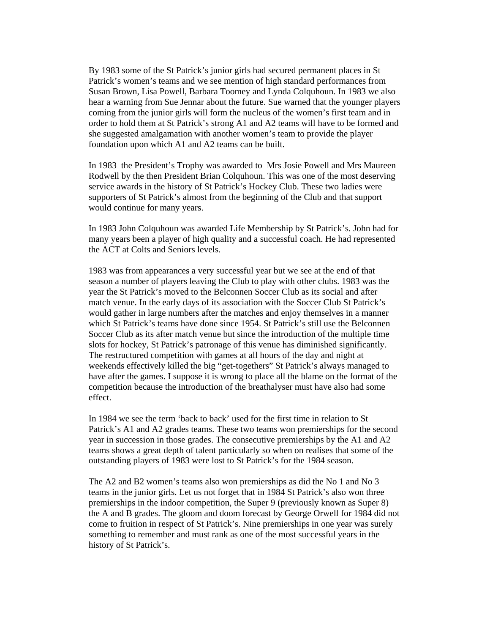By 1983 some of the St Patrick's junior girls had secured permanent places in St Patrick's women's teams and we see mention of high standard performances from Susan Brown, Lisa Powell, Barbara Toomey and Lynda Colquhoun. In 1983 we also hear a warning from Sue Jennar about the future. Sue warned that the younger players coming from the junior girls will form the nucleus of the women's first team and in order to hold them at St Patrick's strong A1 and A2 teams will have to be formed and she suggested amalgamation with another women's team to provide the player foundation upon which A1 and A2 teams can be built.

In 1983 the President's Trophy was awarded to Mrs Josie Powell and Mrs Maureen Rodwell by the then President Brian Colquhoun. This was one of the most deserving service awards in the history of St Patrick's Hockey Club. These two ladies were supporters of St Patrick's almost from the beginning of the Club and that support would continue for many years.

In 1983 John Colquhoun was awarded Life Membership by St Patrick's. John had for many years been a player of high quality and a successful coach. He had represented the ACT at Colts and Seniors levels.

1983 was from appearances a very successful year but we see at the end of that season a number of players leaving the Club to play with other clubs. 1983 was the year the St Patrick's moved to the Belconnen Soccer Club as its social and after match venue. In the early days of its association with the Soccer Club St Patrick's would gather in large numbers after the matches and enjoy themselves in a manner which St Patrick's teams have done since 1954. St Patrick's still use the Belconnen Soccer Club as its after match venue but since the introduction of the multiple time slots for hockey, St Patrick's patronage of this venue has diminished significantly. The restructured competition with games at all hours of the day and night at weekends effectively killed the big "get-togethers" St Patrick's always managed to have after the games. I suppose it is wrong to place all the blame on the format of the competition because the introduction of the breathalyser must have also had some effect.

In 1984 we see the term 'back to back' used for the first time in relation to St Patrick's A1 and A2 grades teams. These two teams won premierships for the second year in succession in those grades. The consecutive premierships by the A1 and A2 teams shows a great depth of talent particularly so when on realises that some of the outstanding players of 1983 were lost to St Patrick's for the 1984 season.

The A2 and B2 women's teams also won premierships as did the No 1 and No 3 teams in the junior girls. Let us not forget that in 1984 St Patrick's also won three premierships in the indoor competition, the Super 9 (previously known as Super 8) the A and B grades. The gloom and doom forecast by George Orwell for 1984 did not come to fruition in respect of St Patrick's. Nine premierships in one year was surely something to remember and must rank as one of the most successful years in the history of St Patrick's.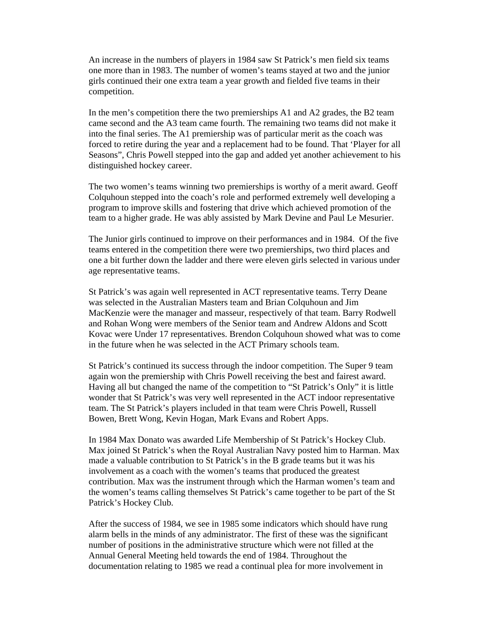An increase in the numbers of players in 1984 saw St Patrick's men field six teams one more than in 1983. The number of women's teams stayed at two and the junior girls continued their one extra team a year growth and fielded five teams in their competition.

In the men's competition there the two premierships A1 and A2 grades, the B2 team came second and the A3 team came fourth. The remaining two teams did not make it into the final series. The A1 premiership was of particular merit as the coach was forced to retire during the year and a replacement had to be found. That 'Player for all Seasons", Chris Powell stepped into the gap and added yet another achievement to his distinguished hockey career.

The two women's teams winning two premierships is worthy of a merit award. Geoff Colquhoun stepped into the coach's role and performed extremely well developing a program to improve skills and fostering that drive which achieved promotion of the team to a higher grade. He was ably assisted by Mark Devine and Paul Le Mesurier.

The Junior girls continued to improve on their performances and in 1984. Of the five teams entered in the competition there were two premierships, two third places and one a bit further down the ladder and there were eleven girls selected in various under age representative teams.

St Patrick's was again well represented in ACT representative teams. Terry Deane was selected in the Australian Masters team and Brian Colquhoun and Jim MacKenzie were the manager and masseur, respectively of that team. Barry Rodwell and Rohan Wong were members of the Senior team and Andrew Aldons and Scott Kovac were Under 17 representatives. Brendon Colquhoun showed what was to come in the future when he was selected in the ACT Primary schools team.

St Patrick's continued its success through the indoor competition. The Super 9 team again won the premiership with Chris Powell receiving the best and fairest award. Having all but changed the name of the competition to "St Patrick's Only" it is little wonder that St Patrick's was very well represented in the ACT indoor representative team. The St Patrick's players included in that team were Chris Powell, Russell Bowen, Brett Wong, Kevin Hogan, Mark Evans and Robert Apps.

In 1984 Max Donato was awarded Life Membership of St Patrick's Hockey Club. Max joined St Patrick's when the Royal Australian Navy posted him to Harman. Max made a valuable contribution to St Patrick's in the B grade teams but it was his involvement as a coach with the women's teams that produced the greatest contribution. Max was the instrument through which the Harman women's team and the women's teams calling themselves St Patrick's came together to be part of the St Patrick's Hockey Club.

After the success of 1984, we see in 1985 some indicators which should have rung alarm bells in the minds of any administrator. The first of these was the significant number of positions in the administrative structure which were not filled at the Annual General Meeting held towards the end of 1984. Throughout the documentation relating to 1985 we read a continual plea for more involvement in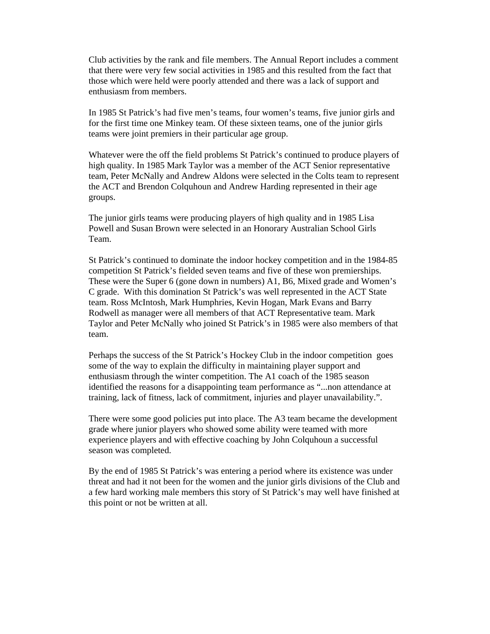Club activities by the rank and file members. The Annual Report includes a comment that there were very few social activities in 1985 and this resulted from the fact that those which were held were poorly attended and there was a lack of support and enthusiasm from members.

In 1985 St Patrick's had five men's teams, four women's teams, five junior girls and for the first time one Minkey team. Of these sixteen teams, one of the junior girls teams were joint premiers in their particular age group.

Whatever were the off the field problems St Patrick's continued to produce players of high quality. In 1985 Mark Taylor was a member of the ACT Senior representative team, Peter McNally and Andrew Aldons were selected in the Colts team to represent the ACT and Brendon Colquhoun and Andrew Harding represented in their age groups.

The junior girls teams were producing players of high quality and in 1985 Lisa Powell and Susan Brown were selected in an Honorary Australian School Girls Team.

St Patrick's continued to dominate the indoor hockey competition and in the 1984-85 competition St Patrick's fielded seven teams and five of these won premierships. These were the Super 6 (gone down in numbers) A1, B6, Mixed grade and Women's C grade. With this domination St Patrick's was well represented in the ACT State team. Ross McIntosh, Mark Humphries, Kevin Hogan, Mark Evans and Barry Rodwell as manager were all members of that ACT Representative team. Mark Taylor and Peter McNally who joined St Patrick's in 1985 were also members of that team.

Perhaps the success of the St Patrick's Hockey Club in the indoor competition goes some of the way to explain the difficulty in maintaining player support and enthusiasm through the winter competition. The A1 coach of the 1985 season identified the reasons for a disappointing team performance as "...non attendance at training, lack of fitness, lack of commitment, injuries and player unavailability.".

There were some good policies put into place. The A3 team became the development grade where junior players who showed some ability were teamed with more experience players and with effective coaching by John Colquhoun a successful season was completed.

By the end of 1985 St Patrick's was entering a period where its existence was under threat and had it not been for the women and the junior girls divisions of the Club and a few hard working male members this story of St Patrick's may well have finished at this point or not be written at all.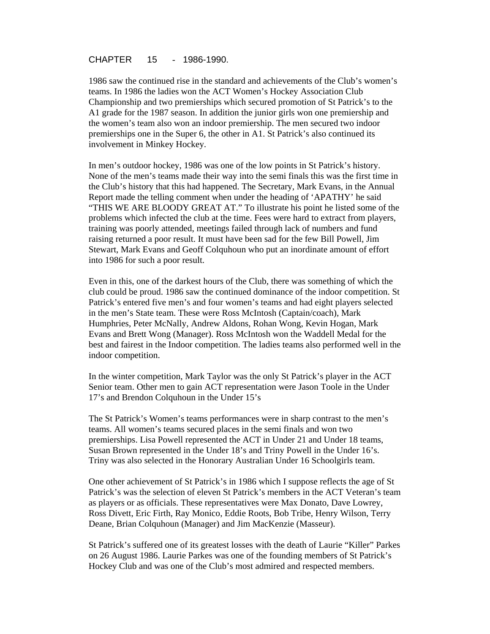CHAPTER 15 - 1986-1990.

1986 saw the continued rise in the standard and achievements of the Club's women's teams. In 1986 the ladies won the ACT Women's Hockey Association Club Championship and two premierships which secured promotion of St Patrick's to the A1 grade for the 1987 season. In addition the junior girls won one premiership and the women's team also won an indoor premiership. The men secured two indoor premierships one in the Super 6, the other in A1. St Patrick's also continued its involvement in Minkey Hockey.

In men's outdoor hockey, 1986 was one of the low points in St Patrick's history. None of the men's teams made their way into the semi finals this was the first time in the Club's history that this had happened. The Secretary, Mark Evans, in the Annual Report made the telling comment when under the heading of 'APATHY' he said "THIS WE ARE BLOODY GREAT AT." To illustrate his point he listed some of the problems which infected the club at the time. Fees were hard to extract from players, training was poorly attended, meetings failed through lack of numbers and fund raising returned a poor result. It must have been sad for the few Bill Powell, Jim Stewart, Mark Evans and Geoff Colquhoun who put an inordinate amount of effort into 1986 for such a poor result.

Even in this, one of the darkest hours of the Club, there was something of which the club could be proud. 1986 saw the continued dominance of the indoor competition. St Patrick's entered five men's and four women's teams and had eight players selected in the men's State team. These were Ross McIntosh (Captain/coach), Mark Humphries, Peter McNally, Andrew Aldons, Rohan Wong, Kevin Hogan, Mark Evans and Brett Wong (Manager). Ross McIntosh won the Waddell Medal for the best and fairest in the Indoor competition. The ladies teams also performed well in the indoor competition.

In the winter competition, Mark Taylor was the only St Patrick's player in the ACT Senior team. Other men to gain ACT representation were Jason Toole in the Under 17's and Brendon Colquhoun in the Under 15's

The St Patrick's Women's teams performances were in sharp contrast to the men's teams. All women's teams secured places in the semi finals and won two premierships. Lisa Powell represented the ACT in Under 21 and Under 18 teams, Susan Brown represented in the Under 18's and Triny Powell in the Under 16's. Triny was also selected in the Honorary Australian Under 16 Schoolgirls team.

One other achievement of St Patrick's in 1986 which I suppose reflects the age of St Patrick's was the selection of eleven St Patrick's members in the ACT Veteran's team as players or as officials. These representatives were Max Donato, Dave Lowrey, Ross Divett, Eric Firth, Ray Monico, Eddie Roots, Bob Tribe, Henry Wilson, Terry Deane, Brian Colquhoun (Manager) and Jim MacKenzie (Masseur).

St Patrick's suffered one of its greatest losses with the death of Laurie "Killer" Parkes on 26 August 1986. Laurie Parkes was one of the founding members of St Patrick's Hockey Club and was one of the Club's most admired and respected members.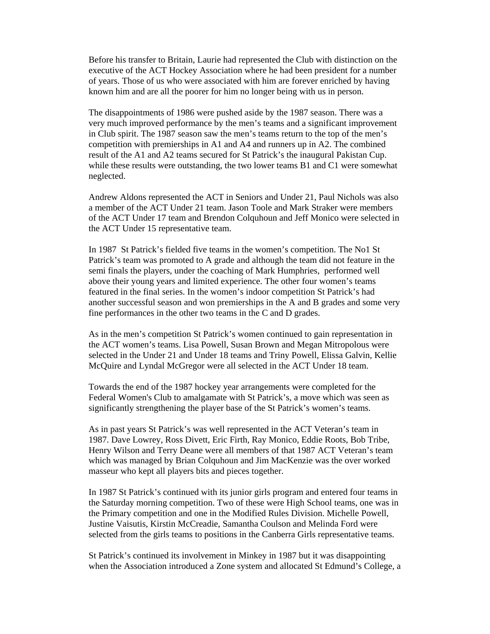Before his transfer to Britain, Laurie had represented the Club with distinction on the executive of the ACT Hockey Association where he had been president for a number of years. Those of us who were associated with him are forever enriched by having known him and are all the poorer for him no longer being with us in person.

The disappointments of 1986 were pushed aside by the 1987 season. There was a very much improved performance by the men's teams and a significant improvement in Club spirit. The 1987 season saw the men's teams return to the top of the men's competition with premierships in A1 and A4 and runners up in A2. The combined result of the A1 and A2 teams secured for St Patrick's the inaugural Pakistan Cup. while these results were outstanding, the two lower teams B1 and C1 were somewhat neglected.

Andrew Aldons represented the ACT in Seniors and Under 21, Paul Nichols was also a member of the ACT Under 21 team. Jason Toole and Mark Straker were members of the ACT Under 17 team and Brendon Colquhoun and Jeff Monico were selected in the ACT Under 15 representative team.

In 1987 St Patrick's fielded five teams in the women's competition. The No1 St Patrick's team was promoted to A grade and although the team did not feature in the semi finals the players, under the coaching of Mark Humphries, performed well above their young years and limited experience. The other four women's teams featured in the final series. In the women's indoor competition St Patrick's had another successful season and won premierships in the A and B grades and some very fine performances in the other two teams in the C and D grades.

As in the men's competition St Patrick's women continued to gain representation in the ACT women's teams. Lisa Powell, Susan Brown and Megan Mitropolous were selected in the Under 21 and Under 18 teams and Triny Powell, Elissa Galvin, Kellie McQuire and Lyndal McGregor were all selected in the ACT Under 18 team.

Towards the end of the 1987 hockey year arrangements were completed for the Federal Women's Club to amalgamate with St Patrick's, a move which was seen as significantly strengthening the player base of the St Patrick's women's teams.

As in past years St Patrick's was well represented in the ACT Veteran's team in 1987. Dave Lowrey, Ross Divett, Eric Firth, Ray Monico, Eddie Roots, Bob Tribe, Henry Wilson and Terry Deane were all members of that 1987 ACT Veteran's team which was managed by Brian Colquhoun and Jim MacKenzie was the over worked masseur who kept all players bits and pieces together.

In 1987 St Patrick's continued with its junior girls program and entered four teams in the Saturday morning competition. Two of these were High School teams, one was in the Primary competition and one in the Modified Rules Division. Michelle Powell, Justine Vaisutis, Kirstin McCreadie, Samantha Coulson and Melinda Ford were selected from the girls teams to positions in the Canberra Girls representative teams.

St Patrick's continued its involvement in Minkey in 1987 but it was disappointing when the Association introduced a Zone system and allocated St Edmund's College, a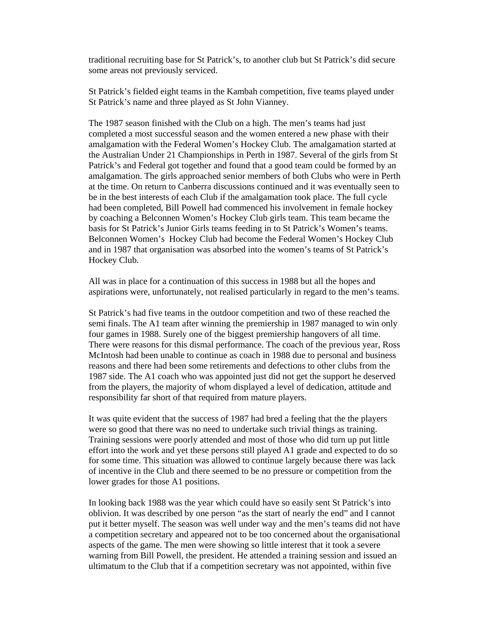traditional recruiting base for St Patrick's, to another club but St Patrick's did secure some areas not previously serviced.

St Patrick's fielded eight teams in the Kambah competition, five teams played under St Patrick's name and three played as St John Vianney.

The 1987 season finished with the Club on a high. The men's teams had just completed a most successful season and the women entered a new phase with their amalgamation with the Federal Women's Hockey Club. The amalgamation started at the Australian Under 21 Championships in Perth in 1987. Several of the girls from St Patrick's and Federal got together and found that a good team could be formed by an amalgamation. The girls approached senior members of both Clubs who were in Perth at the time. On return to Canberra discussions continued and it was eventually seen to be in the best interests of each Club if the amalgamation took place. The full cycle had been completed, Bill Powell had commenced his involvement in female hockey by coaching a Belconnen Women's Hockey Club girls team. This team became the basis for St Patrick's Junior Girls teams feeding in to St Patrick's Women's teams. Belconnen Women's Hockey Club had become the Federal Women's Hockey Club and in 1987 that organisation was absorbed into the women's teams of St Patrick's Hockey Club.

All was in place for a continuation of this success in 1988 but all the hopes and aspirations were, unfortunately, not realised particularly in regard to the men's teams.

St Patrick's had five teams in the outdoor competition and two of these reached the semi finals. The A1 team after winning the premiership in 1987 managed to win only four games in 1988. Surely one of the biggest premiership hangovers of all time. There were reasons for this dismal performance. The coach of the previous year, Ross McIntosh had been unable to continue as coach in 1988 due to personal and business reasons and there had been some retirements and defections to other clubs from the 1987 side. The A1 coach who was appointed just did not get the support he deserved from the players, the majority of whom displayed a level of dedication, attitude and responsibility far short of that required from mature players.

It was quite evident that the success of 1987 had bred a feeling that the the players were so good that there was no need to undertake such trivial things as training. Training sessions were poorly attended and most of those who did turn up put little effort into the work and yet these persons still played A1 grade and expected to do so for some time. This situation was allowed to continue largely because there was lack of incentive in the Club and there seemed to be no pressure or competition from the lower grades for those A1 positions.

In looking back 1988 was the year which could have so easily sent St Patrick's into oblivion. It was described by one person "as the start of nearly the end" and I cannot put it better myself. The season was well under way and the men's teams did not have a competition secretary and appeared not to be too concerned about the organisational aspects of the game. The men were showing so little interest that it took a severe warning from Bill Powell, the president. He attended a training session and issued an ultimatum to the Club that if a competition secretary was not appointed, within five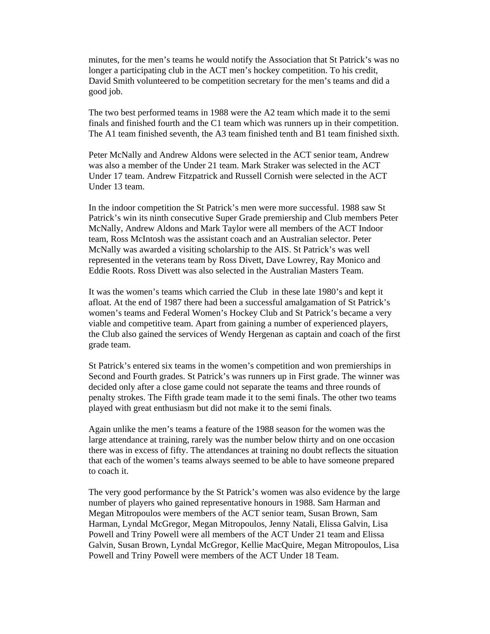minutes, for the men's teams he would notify the Association that St Patrick's was no longer a participating club in the ACT men's hockey competition. To his credit, David Smith volunteered to be competition secretary for the men's teams and did a good job.

The two best performed teams in 1988 were the A2 team which made it to the semi finals and finished fourth and the C1 team which was runners up in their competition. The A1 team finished seventh, the A3 team finished tenth and B1 team finished sixth.

Peter McNally and Andrew Aldons were selected in the ACT senior team, Andrew was also a member of the Under 21 team. Mark Straker was selected in the ACT Under 17 team. Andrew Fitzpatrick and Russell Cornish were selected in the ACT Under 13 team.

In the indoor competition the St Patrick's men were more successful. 1988 saw St Patrick's win its ninth consecutive Super Grade premiership and Club members Peter McNally, Andrew Aldons and Mark Taylor were all members of the ACT Indoor team, Ross McIntosh was the assistant coach and an Australian selector. Peter McNally was awarded a visiting scholarship to the AIS. St Patrick's was well represented in the veterans team by Ross Divett, Dave Lowrey, Ray Monico and Eddie Roots. Ross Divett was also selected in the Australian Masters Team.

It was the women's teams which carried the Club in these late 1980's and kept it afloat. At the end of 1987 there had been a successful amalgamation of St Patrick's women's teams and Federal Women's Hockey Club and St Patrick's became a very viable and competitive team. Apart from gaining a number of experienced players, the Club also gained the services of Wendy Hergenan as captain and coach of the first grade team.

St Patrick's entered six teams in the women's competition and won premierships in Second and Fourth grades. St Patrick's was runners up in First grade. The winner was decided only after a close game could not separate the teams and three rounds of penalty strokes. The Fifth grade team made it to the semi finals. The other two teams played with great enthusiasm but did not make it to the semi finals.

Again unlike the men's teams a feature of the 1988 season for the women was the large attendance at training, rarely was the number below thirty and on one occasion there was in excess of fifty. The attendances at training no doubt reflects the situation that each of the women's teams always seemed to be able to have someone prepared to coach it.

The very good performance by the St Patrick's women was also evidence by the large number of players who gained representative honours in 1988. Sam Harman and Megan Mitropoulos were members of the ACT senior team, Susan Brown, Sam Harman, Lyndal McGregor, Megan Mitropoulos, Jenny Natali, Elissa Galvin, Lisa Powell and Triny Powell were all members of the ACT Under 21 team and Elissa Galvin, Susan Brown, Lyndal McGregor, Kellie MacQuire, Megan Mitropoulos, Lisa Powell and Triny Powell were members of the ACT Under 18 Team.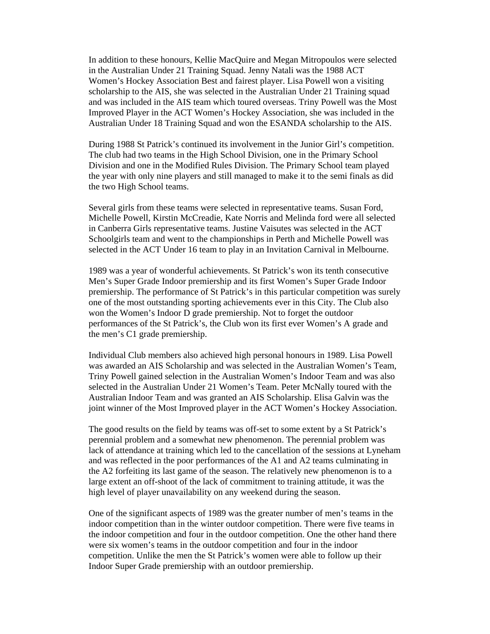In addition to these honours, Kellie MacQuire and Megan Mitropoulos were selected in the Australian Under 21 Training Squad. Jenny Natali was the 1988 ACT Women's Hockey Association Best and fairest player. Lisa Powell won a visiting scholarship to the AIS, she was selected in the Australian Under 21 Training squad and was included in the AIS team which toured overseas. Triny Powell was the Most Improved Player in the ACT Women's Hockey Association, she was included in the Australian Under 18 Training Squad and won the ESANDA scholarship to the AIS.

During 1988 St Patrick's continued its involvement in the Junior Girl's competition. The club had two teams in the High School Division, one in the Primary School Division and one in the Modified Rules Division. The Primary School team played the year with only nine players and still managed to make it to the semi finals as did the two High School teams.

Several girls from these teams were selected in representative teams. Susan Ford, Michelle Powell, Kirstin McCreadie, Kate Norris and Melinda ford were all selected in Canberra Girls representative teams. Justine Vaisutes was selected in the ACT Schoolgirls team and went to the championships in Perth and Michelle Powell was selected in the ACT Under 16 team to play in an Invitation Carnival in Melbourne.

1989 was a year of wonderful achievements. St Patrick's won its tenth consecutive Men's Super Grade Indoor premiership and its first Women's Super Grade Indoor premiership. The performance of St Patrick's in this particular competition was surely one of the most outstanding sporting achievements ever in this City. The Club also won the Women's Indoor D grade premiership. Not to forget the outdoor performances of the St Patrick's, the Club won its first ever Women's A grade and the men's C1 grade premiership.

Individual Club members also achieved high personal honours in 1989. Lisa Powell was awarded an AIS Scholarship and was selected in the Australian Women's Team, Triny Powell gained selection in the Australian Women's Indoor Team and was also selected in the Australian Under 21 Women's Team. Peter McNally toured with the Australian Indoor Team and was granted an AIS Scholarship. Elisa Galvin was the joint winner of the Most Improved player in the ACT Women's Hockey Association.

The good results on the field by teams was off-set to some extent by a St Patrick's perennial problem and a somewhat new phenomenon. The perennial problem was lack of attendance at training which led to the cancellation of the sessions at Lyneham and was reflected in the poor performances of the A1 and A2 teams culminating in the A2 forfeiting its last game of the season. The relatively new phenomenon is to a large extent an off-shoot of the lack of commitment to training attitude, it was the high level of player unavailability on any weekend during the season.

One of the significant aspects of 1989 was the greater number of men's teams in the indoor competition than in the winter outdoor competition. There were five teams in the indoor competition and four in the outdoor competition. One the other hand there were six women's teams in the outdoor competition and four in the indoor competition. Unlike the men the St Patrick's women were able to follow up their Indoor Super Grade premiership with an outdoor premiership.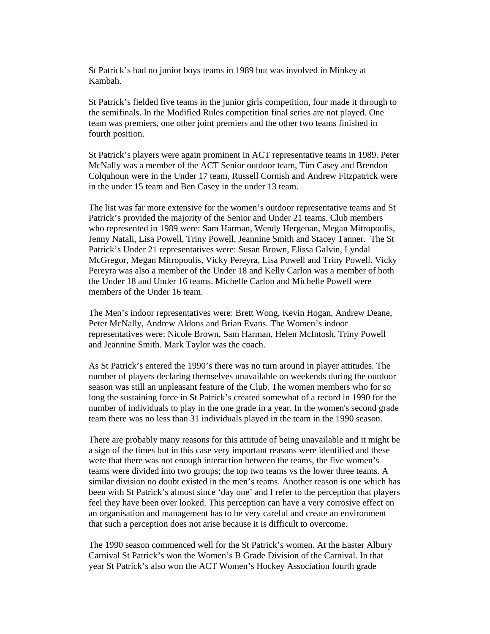St Patrick's had no junior boys teams in 1989 but was involved in Minkey at Kambah.

St Patrick's fielded five teams in the junior girls competition, four made it through to the semifinals. In the Modified Rules competition final series are not played. One team was premiers, one other joint premiers and the other two teams finished in fourth position.

St Patrick's players were again prominent in ACT representative teams in 1989. Peter McNally was a member of the ACT Senior outdoor team, Tim Casey and Brendon Colquhoun were in the Under 17 team, Russell Cornish and Andrew Fitzpatrick were in the under 15 team and Ben Casey in the under 13 team.

The list was far more extensive for the women's outdoor representative teams and St Patrick's provided the majority of the Senior and Under 21 teams. Club members who represented in 1989 were: Sam Harman, Wendy Hergenan, Megan Mitropoulis, Jenny Natali, Lisa Powell, Triny Powell, Jeannine Smith and Stacey Tanner. The St Patrick's Under 21 representatives were: Susan Brown, Elissa Galvin, Lyndal McGregor, Megan Mitropoulis, Vicky Pereyra, Lisa Powell and Triny Powell. Vicky Pereyra was also a member of the Under 18 and Kelly Carlon was a member of both the Under 18 and Under 16 teams. Michelle Carlon and Michelle Powell were members of the Under 16 team.

The Men's indoor representatives were: Brett Wong, Kevin Hogan, Andrew Deane, Peter McNally, Andrew Aldons and Brian Evans. The Women's indoor representatives were: Nicole Brown, Sam Harman, Helen McIntosh, Triny Powell and Jeannine Smith. Mark Taylor was the coach.

As St Patrick's entered the 1990's there was no turn around in player attitudes. The number of players declaring themselves unavailable on weekends during the outdoor season was still an unpleasant feature of the Club. The women members who for so long the sustaining force in St Patrick's created somewhat of a record in 1990 for the number of individuals to play in the one grade in a year. In the women's second grade team there was no less than 31 individuals played in the team in the 1990 season.

There are probably many reasons for this attitude of being unavailable and it might be a sign of the times but in this case very important reasons were identified and these were that there was not enough interaction between the teams, the five women's teams were divided into two groups; the top two teams vs the lower three teams. A similar division no doubt existed in the men's teams. Another reason is one which has been with St Patrick's almost since 'day one' and I refer to the perception that players feel they have been over looked. This perception can have a very corrosive effect on an organisation and management has to be very careful and create an environment that such a perception does not arise because it is difficult to overcome.

The 1990 season commenced well for the St Patrick's women. At the Easter Albury Carnival St Patrick's won the Women's B Grade Division of the Carnival. In that year St Patrick's also won the ACT Women's Hockey Association fourth grade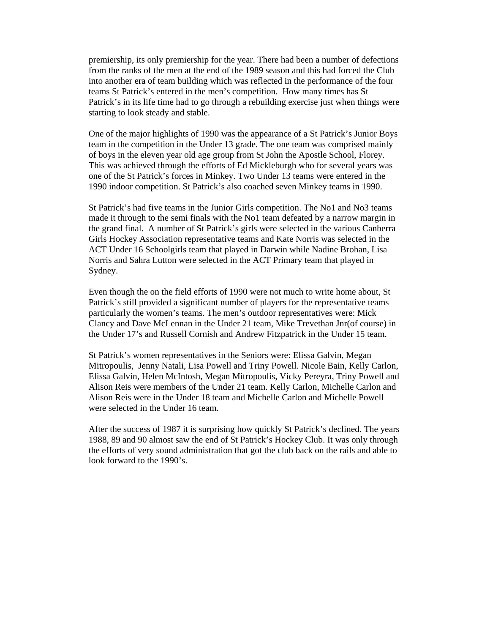premiership, its only premiership for the year. There had been a number of defections from the ranks of the men at the end of the 1989 season and this had forced the Club into another era of team building which was reflected in the performance of the four teams St Patrick's entered in the men's competition. How many times has St Patrick's in its life time had to go through a rebuilding exercise just when things were starting to look steady and stable.

One of the major highlights of 1990 was the appearance of a St Patrick's Junior Boys team in the competition in the Under 13 grade. The one team was comprised mainly of boys in the eleven year old age group from St John the Apostle School, Florey. This was achieved through the efforts of Ed Mickleburgh who for several years was one of the St Patrick's forces in Minkey. Two Under 13 teams were entered in the 1990 indoor competition. St Patrick's also coached seven Minkey teams in 1990.

St Patrick's had five teams in the Junior Girls competition. The No1 and No3 teams made it through to the semi finals with the No1 team defeated by a narrow margin in the grand final. A number of St Patrick's girls were selected in the various Canberra Girls Hockey Association representative teams and Kate Norris was selected in the ACT Under 16 Schoolgirls team that played in Darwin while Nadine Brohan, Lisa Norris and Sahra Lutton were selected in the ACT Primary team that played in Sydney.

Even though the on the field efforts of 1990 were not much to write home about, St Patrick's still provided a significant number of players for the representative teams particularly the women's teams. The men's outdoor representatives were: Mick Clancy and Dave McLennan in the Under 21 team, Mike Trevethan Jnr(of course) in the Under 17's and Russell Cornish and Andrew Fitzpatrick in the Under 15 team.

St Patrick's women representatives in the Seniors were: Elissa Galvin, Megan Mitropoulis, Jenny Natali, Lisa Powell and Triny Powell. Nicole Bain, Kelly Carlon, Elissa Galvin, Helen McIntosh, Megan Mitropoulis, Vicky Pereyra, Triny Powell and Alison Reis were members of the Under 21 team. Kelly Carlon, Michelle Carlon and Alison Reis were in the Under 18 team and Michelle Carlon and Michelle Powell were selected in the Under 16 team.

After the success of 1987 it is surprising how quickly St Patrick's declined. The years 1988, 89 and 90 almost saw the end of St Patrick's Hockey Club. It was only through the efforts of very sound administration that got the club back on the rails and able to look forward to the 1990's.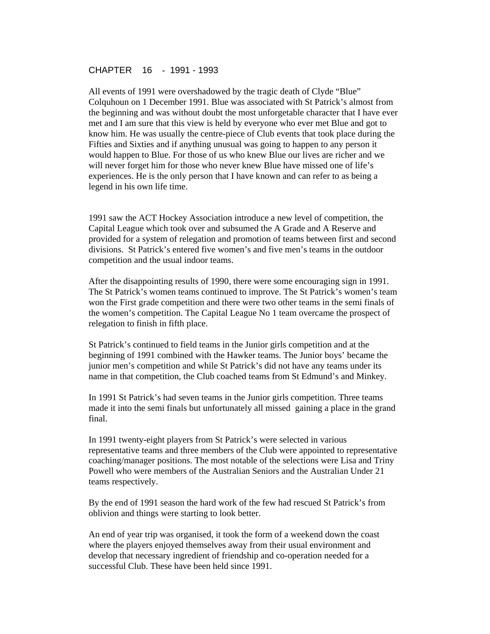### CHAPTER 16 - 1991 - 1993

All events of 1991 were overshadowed by the tragic death of Clyde "Blue" Colquhoun on 1 December 1991. Blue was associated with St Patrick's almost from the beginning and was without doubt the most unforgetable character that I have ever met and I am sure that this view is held by everyone who ever met Blue and got to know him. He was usually the centre-piece of Club events that took place during the Fifties and Sixties and if anything unusual was going to happen to any person it would happen to Blue. For those of us who knew Blue our lives are richer and we will never forget him for those who never knew Blue have missed one of life's experiences. He is the only person that I have known and can refer to as being a legend in his own life time.

1991 saw the ACT Hockey Association introduce a new level of competition, the Capital League which took over and subsumed the A Grade and A Reserve and provided for a system of relegation and promotion of teams between first and second divisions. St Patrick's entered five women's and five men's teams in the outdoor competition and the usual indoor teams.

After the disappointing results of 1990, there were some encouraging sign in 1991. The St Patrick's women teams continued to improve. The St Patrick's women's team won the First grade competition and there were two other teams in the semi finals of the women's competition. The Capital League No 1 team overcame the prospect of relegation to finish in fifth place.

St Patrick's continued to field teams in the Junior girls competition and at the beginning of 1991 combined with the Hawker teams. The Junior boys' became the junior men's competition and while St Patrick's did not have any teams under its name in that competition, the Club coached teams from St Edmund's and Minkey.

In 1991 St Patrick's had seven teams in the Junior girls competition. Three teams made it into the semi finals but unfortunately all missed gaining a place in the grand final.

In 1991 twenty-eight players from St Patrick's were selected in various representative teams and three members of the Club were appointed to representative coaching/manager positions. The most notable of the selections were Lisa and Triny Powell who were members of the Australian Seniors and the Australian Under 21 teams respectively.

By the end of 1991 season the hard work of the few had rescued St Patrick's from oblivion and things were starting to look better.

An end of year trip was organised, it took the form of a weekend down the coast where the players enjoyed themselves away from their usual environment and develop that necessary ingredient of friendship and co-operation needed for a successful Club. These have been held since 1991.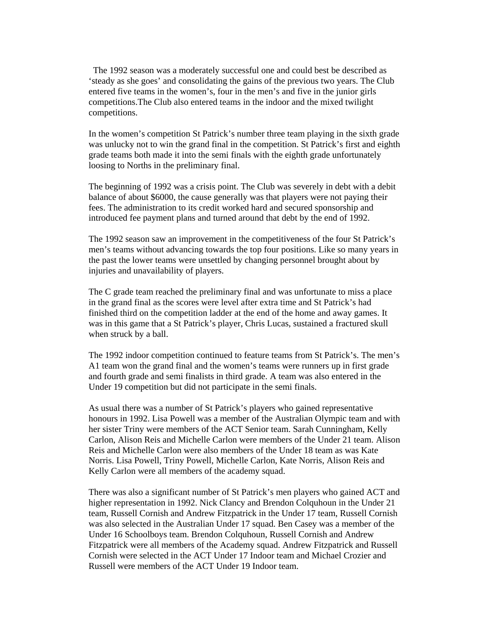The 1992 season was a moderately successful one and could best be described as 'steady as she goes' and consolidating the gains of the previous two years. The Club entered five teams in the women's, four in the men's and five in the junior girls competitions.The Club also entered teams in the indoor and the mixed twilight competitions.

In the women's competition St Patrick's number three team playing in the sixth grade was unlucky not to win the grand final in the competition. St Patrick's first and eighth grade teams both made it into the semi finals with the eighth grade unfortunately loosing to Norths in the preliminary final.

The beginning of 1992 was a crisis point. The Club was severely in debt with a debit balance of about \$6000, the cause generally was that players were not paying their fees. The administration to its credit worked hard and secured sponsorship and introduced fee payment plans and turned around that debt by the end of 1992.

The 1992 season saw an improvement in the competitiveness of the four St Patrick's men's teams without advancing towards the top four positions. Like so many years in the past the lower teams were unsettled by changing personnel brought about by injuries and unavailability of players.

The C grade team reached the preliminary final and was unfortunate to miss a place in the grand final as the scores were level after extra time and St Patrick's had finished third on the competition ladder at the end of the home and away games. It was in this game that a St Patrick's player, Chris Lucas, sustained a fractured skull when struck by a ball.

The 1992 indoor competition continued to feature teams from St Patrick's. The men's A1 team won the grand final and the women's teams were runners up in first grade and fourth grade and semi finalists in third grade. A team was also entered in the Under 19 competition but did not participate in the semi finals.

As usual there was a number of St Patrick's players who gained representative honours in 1992. Lisa Powell was a member of the Australian Olympic team and with her sister Triny were members of the ACT Senior team. Sarah Cunningham, Kelly Carlon, Alison Reis and Michelle Carlon were members of the Under 21 team. Alison Reis and Michelle Carlon were also members of the Under 18 team as was Kate Norris. Lisa Powell, Triny Powell, Michelle Carlon, Kate Norris, Alison Reis and Kelly Carlon were all members of the academy squad.

There was also a significant number of St Patrick's men players who gained ACT and higher representation in 1992. Nick Clancy and Brendon Colquhoun in the Under 21 team, Russell Cornish and Andrew Fitzpatrick in the Under 17 team, Russell Cornish was also selected in the Australian Under 17 squad. Ben Casey was a member of the Under 16 Schoolboys team. Brendon Colquhoun, Russell Cornish and Andrew Fitzpatrick were all members of the Academy squad. Andrew Fitzpatrick and Russell Cornish were selected in the ACT Under 17 Indoor team and Michael Crozier and Russell were members of the ACT Under 19 Indoor team.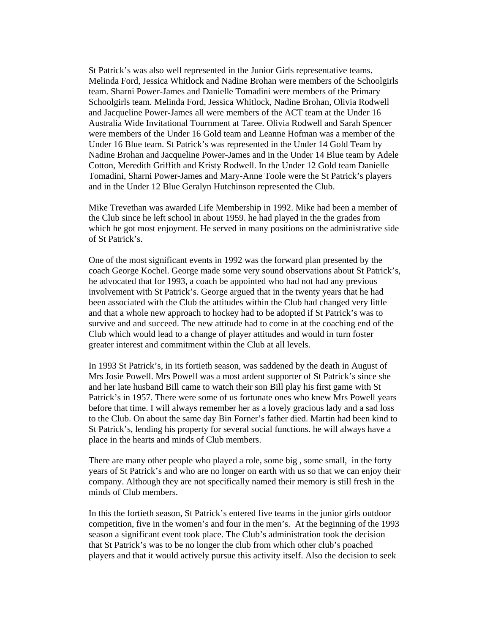St Patrick's was also well represented in the Junior Girls representative teams. Melinda Ford, Jessica Whitlock and Nadine Brohan were members of the Schoolgirls team. Sharni Power-James and Danielle Tomadini were members of the Primary Schoolgirls team. Melinda Ford, Jessica Whitlock, Nadine Brohan, Olivia Rodwell and Jacqueline Power-James all were members of the ACT team at the Under 16 Australia Wide Invitational Tournment at Taree. Olivia Rodwell and Sarah Spencer were members of the Under 16 Gold team and Leanne Hofman was a member of the Under 16 Blue team. St Patrick's was represented in the Under 14 Gold Team by Nadine Brohan and Jacqueline Power-James and in the Under 14 Blue team by Adele Cotton, Meredith Griffith and Kristy Rodwell. In the Under 12 Gold team Danielle Tomadini, Sharni Power-James and Mary-Anne Toole were the St Patrick's players and in the Under 12 Blue Geralyn Hutchinson represented the Club.

Mike Trevethan was awarded Life Membership in 1992. Mike had been a member of the Club since he left school in about 1959. he had played in the the grades from which he got most enjoyment. He served in many positions on the administrative side of St Patrick's.

One of the most significant events in 1992 was the forward plan presented by the coach George Kochel. George made some very sound observations about St Patrick's, he advocated that for 1993, a coach be appointed who had not had any previous involvement with St Patrick's. George argued that in the twenty years that he had been associated with the Club the attitudes within the Club had changed very little and that a whole new approach to hockey had to be adopted if St Patrick's was to survive and and succeed. The new attitude had to come in at the coaching end of the Club which would lead to a change of player attitudes and would in turn foster greater interest and commitment within the Club at all levels.

In 1993 St Patrick's, in its fortieth season, was saddened by the death in August of Mrs Josie Powell. Mrs Powell was a most ardent supporter of St Patrick's since she and her late husband Bill came to watch their son Bill play his first game with St Patrick's in 1957. There were some of us fortunate ones who knew Mrs Powell years before that time. I will always remember her as a lovely gracious lady and a sad loss to the Club. On about the same day Bin Forner's father died. Martin had been kind to St Patrick's, lending his property for several social functions. he will always have a place in the hearts and minds of Club members.

There are many other people who played a role, some big , some small, in the forty years of St Patrick's and who are no longer on earth with us so that we can enjoy their company. Although they are not specifically named their memory is still fresh in the minds of Club members.

In this the fortieth season, St Patrick's entered five teams in the junior girls outdoor competition, five in the women's and four in the men's. At the beginning of the 1993 season a significant event took place. The Club's administration took the decision that St Patrick's was to be no longer the club from which other club's poached players and that it would actively pursue this activity itself. Also the decision to seek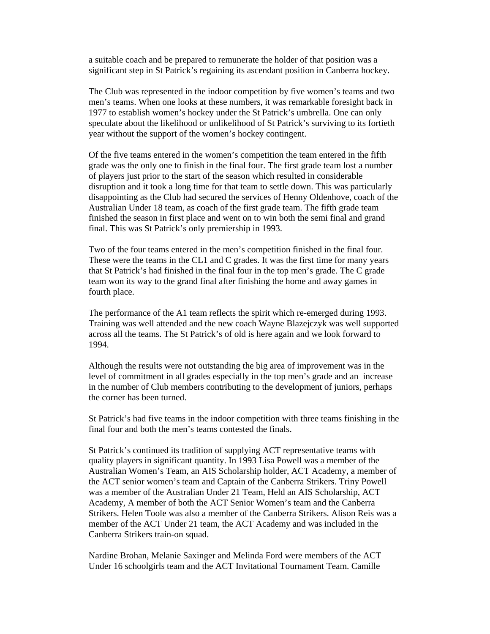a suitable coach and be prepared to remunerate the holder of that position was a significant step in St Patrick's regaining its ascendant position in Canberra hockey.

The Club was represented in the indoor competition by five women's teams and two men's teams. When one looks at these numbers, it was remarkable foresight back in 1977 to establish women's hockey under the St Patrick's umbrella. One can only speculate about the likelihood or unlikelihood of St Patrick's surviving to its fortieth year without the support of the women's hockey contingent.

Of the five teams entered in the women's competition the team entered in the fifth grade was the only one to finish in the final four. The first grade team lost a number of players just prior to the start of the season which resulted in considerable disruption and it took a long time for that team to settle down. This was particularly disappointing as the Club had secured the services of Henny Oldenhove, coach of the Australian Under 18 team, as coach of the first grade team. The fifth grade team finished the season in first place and went on to win both the semi final and grand final. This was St Patrick's only premiership in 1993.

Two of the four teams entered in the men's competition finished in the final four. These were the teams in the CL1 and C grades. It was the first time for many years that St Patrick's had finished in the final four in the top men's grade. The C grade team won its way to the grand final after finishing the home and away games in fourth place.

The performance of the A1 team reflects the spirit which re-emerged during 1993. Training was well attended and the new coach Wayne Blazejczyk was well supported across all the teams. The St Patrick's of old is here again and we look forward to 1994.

Although the results were not outstanding the big area of improvement was in the level of commitment in all grades especially in the top men's grade and an increase in the number of Club members contributing to the development of juniors, perhaps the corner has been turned.

St Patrick's had five teams in the indoor competition with three teams finishing in the final four and both the men's teams contested the finals.

St Patrick's continued its tradition of supplying ACT representative teams with quality players in significant quantity. In 1993 Lisa Powell was a member of the Australian Women's Team, an AIS Scholarship holder, ACT Academy, a member of the ACT senior women's team and Captain of the Canberra Strikers. Triny Powell was a member of the Australian Under 21 Team, Held an AIS Scholarship, ACT Academy, A member of both the ACT Senior Women's team and the Canberra Strikers. Helen Toole was also a member of the Canberra Strikers. Alison Reis was a member of the ACT Under 21 team, the ACT Academy and was included in the Canberra Strikers train-on squad.

Nardine Brohan, Melanie Saxinger and Melinda Ford were members of the ACT Under 16 schoolgirls team and the ACT Invitational Tournament Team. Camille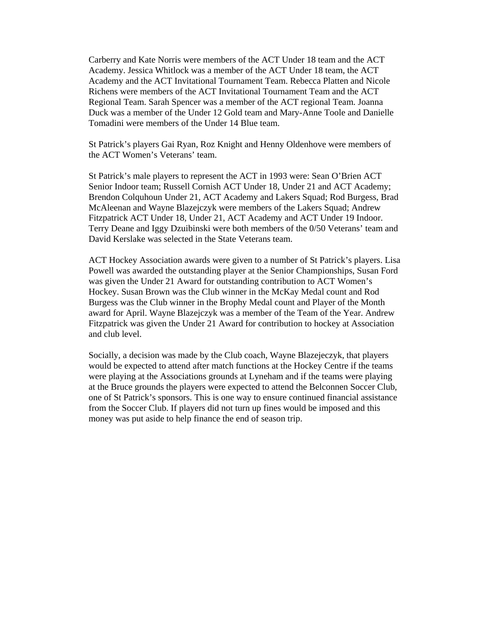Carberry and Kate Norris were members of the ACT Under 18 team and the ACT Academy. Jessica Whitlock was a member of the ACT Under 18 team, the ACT Academy and the ACT Invitational Tournament Team. Rebecca Platten and Nicole Richens were members of the ACT Invitational Tournament Team and the ACT Regional Team. Sarah Spencer was a member of the ACT regional Team. Joanna Duck was a member of the Under 12 Gold team and Mary-Anne Toole and Danielle Tomadini were members of the Under 14 Blue team.

St Patrick's players Gai Ryan, Roz Knight and Henny Oldenhove were members of the ACT Women's Veterans' team.

St Patrick's male players to represent the ACT in 1993 were: Sean O'Brien ACT Senior Indoor team; Russell Cornish ACT Under 18, Under 21 and ACT Academy; Brendon Colquhoun Under 21, ACT Academy and Lakers Squad; Rod Burgess, Brad McAleenan and Wayne Blazejczyk were members of the Lakers Squad; Andrew Fitzpatrick ACT Under 18, Under 21, ACT Academy and ACT Under 19 Indoor. Terry Deane and Iggy Dzuibinski were both members of the 0/50 Veterans' team and David Kerslake was selected in the State Veterans team.

ACT Hockey Association awards were given to a number of St Patrick's players. Lisa Powell was awarded the outstanding player at the Senior Championships, Susan Ford was given the Under 21 Award for outstanding contribution to ACT Women's Hockey. Susan Brown was the Club winner in the McKay Medal count and Rod Burgess was the Club winner in the Brophy Medal count and Player of the Month award for April. Wayne Blazejczyk was a member of the Team of the Year. Andrew Fitzpatrick was given the Under 21 Award for contribution to hockey at Association and club level.

Socially, a decision was made by the Club coach, Wayne Blazejeczyk, that players would be expected to attend after match functions at the Hockey Centre if the teams were playing at the Associations grounds at Lyneham and if the teams were playing at the Bruce grounds the players were expected to attend the Belconnen Soccer Club, one of St Patrick's sponsors. This is one way to ensure continued financial assistance from the Soccer Club. If players did not turn up fines would be imposed and this money was put aside to help finance the end of season trip.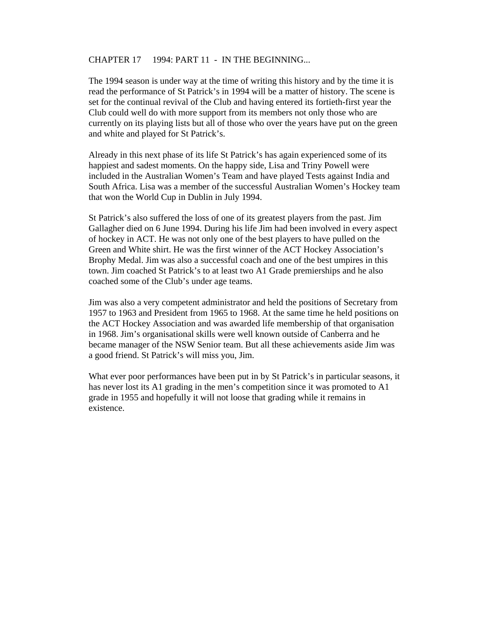#### CHAPTER 17 1994: PART 11 - IN THE BEGINNING...

The 1994 season is under way at the time of writing this history and by the time it is read the performance of St Patrick's in 1994 will be a matter of history. The scene is set for the continual revival of the Club and having entered its fortieth-first year the Club could well do with more support from its members not only those who are currently on its playing lists but all of those who over the years have put on the green and white and played for St Patrick's.

Already in this next phase of its life St Patrick's has again experienced some of its happiest and sadest moments. On the happy side, Lisa and Triny Powell were included in the Australian Women's Team and have played Tests against India and South Africa. Lisa was a member of the successful Australian Women's Hockey team that won the World Cup in Dublin in July 1994.

St Patrick's also suffered the loss of one of its greatest players from the past. Jim Gallagher died on 6 June 1994. During his life Jim had been involved in every aspect of hockey in ACT. He was not only one of the best players to have pulled on the Green and White shirt. He was the first winner of the ACT Hockey Association's Brophy Medal. Jim was also a successful coach and one of the best umpires in this town. Jim coached St Patrick's to at least two A1 Grade premierships and he also coached some of the Club's under age teams.

Jim was also a very competent administrator and held the positions of Secretary from 1957 to 1963 and President from 1965 to 1968. At the same time he held positions on the ACT Hockey Association and was awarded life membership of that organisation in 1968. Jim's organisational skills were well known outside of Canberra and he became manager of the NSW Senior team. But all these achievements aside Jim was a good friend. St Patrick's will miss you, Jim.

What ever poor performances have been put in by St Patrick's in particular seasons, it has never lost its A1 grading in the men's competition since it was promoted to A1 grade in 1955 and hopefully it will not loose that grading while it remains in existence.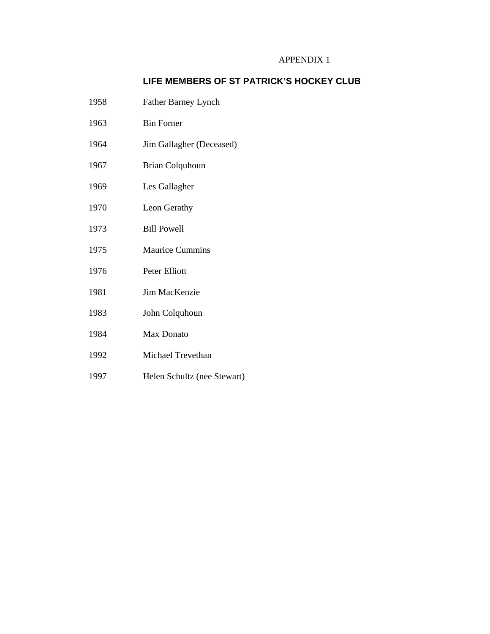# APPENDIX 1

# **LIFE MEMBERS OF ST PATRICK'S HOCKEY CLUB**

- 1958 Father Barney Lynch
- 1963 Bin Forner
- 1964 Jim Gallagher (Deceased)
- 1967 Brian Colquhoun
- 1969 Les Gallagher
- 1970 Leon Gerathy
- 1973 Bill Powell
- 1975 Maurice Cummins
- 1976 Peter Elliott
- 1981 Jim MacKenzie
- 1983 John Colquhoun
- 1984 Max Donato
- 1992 Michael Trevethan
- 1997 Helen Schultz (nee Stewart)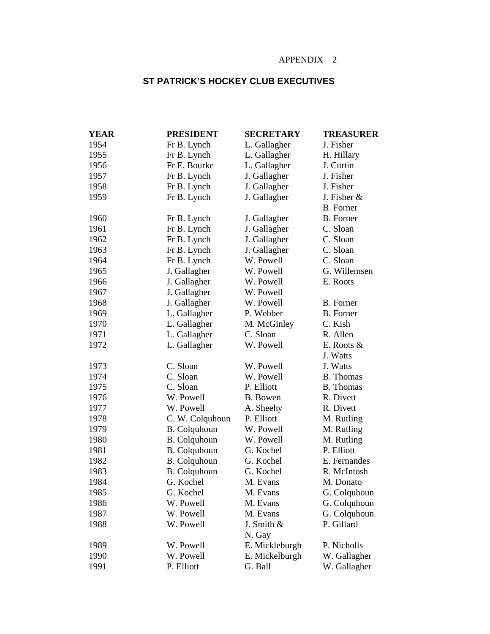# APPENDIX 2

# **ST PATRICK'S HOCKEY CLUB EXECUTIVES**

| <b>YEAR</b> | <b>PRESIDENT</b>    | <b>SECRETARY</b> | <b>TREASURER</b> |
|-------------|---------------------|------------------|------------------|
| 1954        | Fr B. Lynch         | L. Gallagher     | J. Fisher        |
| 1955        | Fr B. Lynch         | L. Gallagher     | H. Hillary       |
| 1956        | Fr E. Bourke        | L. Gallagher     | J. Curtin        |
| 1957        | Fr B. Lynch         | J. Gallagher     | J. Fisher        |
| 1958        | Fr B. Lynch         | J. Gallagher     | J. Fisher        |
| 1959        | Fr B. Lynch         | J. Gallagher     | J. Fisher &      |
|             |                     |                  | <b>B.</b> Forner |
| 1960        | Fr B. Lynch         | J. Gallagher     | <b>B.</b> Forner |
| 1961        | Fr B. Lynch         | J. Gallagher     | C. Sloan         |
| 1962        | Fr B. Lynch         | J. Gallagher     | C. Sloan         |
| 1963        | Fr B. Lynch         | J. Gallagher     | C. Sloan         |
| 1964        | Fr B. Lynch         | W. Powell        | C. Sloan         |
| 1965        | J. Gallagher        | W. Powell        | G. Willemsen     |
| 1966        | J. Gallagher        | W. Powell        | E. Roots         |
| 1967        | J. Gallagher        | W. Powell        |                  |
| 1968        | J. Gallagher        | W. Powell        | B. Forner        |
| 1969        | L. Gallagher        | P. Webber        | <b>B.</b> Forner |
| 1970        | L. Gallagher        | M. McGinley      | C. Kish          |
| 1971        | L. Gallagher        | C. Sloan         | R. Allen         |
| 1972        | L. Gallagher        | W. Powell        | E. Roots $&$     |
|             |                     |                  | J. Watts         |
| 1973        | C. Sloan            | W. Powell        | J. Watts         |
| 1974        | C. Sloan            | W. Powell        | <b>B.</b> Thomas |
| 1975        | C. Sloan            | P. Elliott       | <b>B.</b> Thomas |
| 1976        | W. Powell           | B. Bowen         | R. Divett        |
| 1977        | W. Powell           | A. Sheehy        | R. Divett        |
| 1978        | C. W. Colquhoun     | P. Elliott       | M. Rutling       |
| 1979        | <b>B.</b> Colquhoun | W. Powell        | M. Rutling       |
| 1980        | <b>B.</b> Colquhoun | W. Powell        | M. Rutling       |
| 1981        | <b>B.</b> Colquhoun | G. Kochel        | P. Elliott       |
| 1982        | <b>B.</b> Colquhoun | G. Kochel        | E. Fernandes     |
| 1983        | <b>B.</b> Colquhoun | G. Kochel        | R. McIntosh      |
| 1984        | G. Kochel           | M. Evans         | M. Donato        |
| 1985        | G. Kochel           | M. Evans         | G. Colquhoun     |
| 1986        | W. Powell           | M. Evans         | G. Colquhoun     |
| 1987        | W. Powell           | M. Evans         | G. Colquhoun     |
| 1988        | W. Powell           | J. Smith &       | P. Gillard       |
|             |                     | N. Gay           |                  |
| 1989        | W. Powell           | E. Mickleburgh   | P. Nicholls      |
| 1990        | W. Powell           | E. Mickelburgh   | W. Gallagher     |
| 1991        | P. Elliott          | G. Ball          | W. Gallagher     |
|             |                     |                  |                  |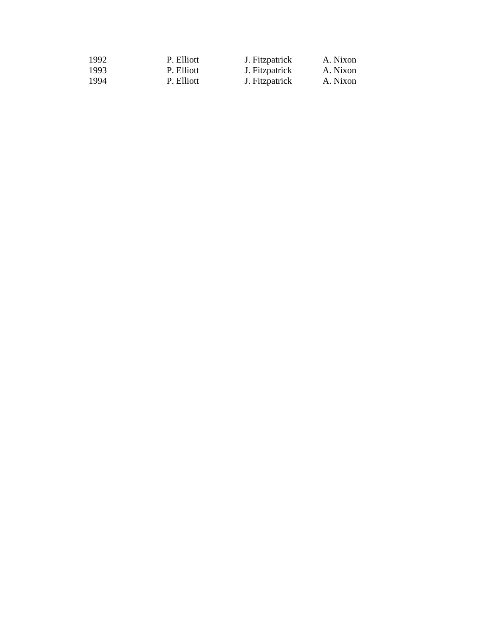| 1992 | P. Elliott | J. Fitzpatrick | A. Nixon |
|------|------------|----------------|----------|
| 1993 | P. Elliott | J. Fitzpatrick | A. Nixon |
| 1994 | P. Elliott | J. Fitzpatrick | A. Nixon |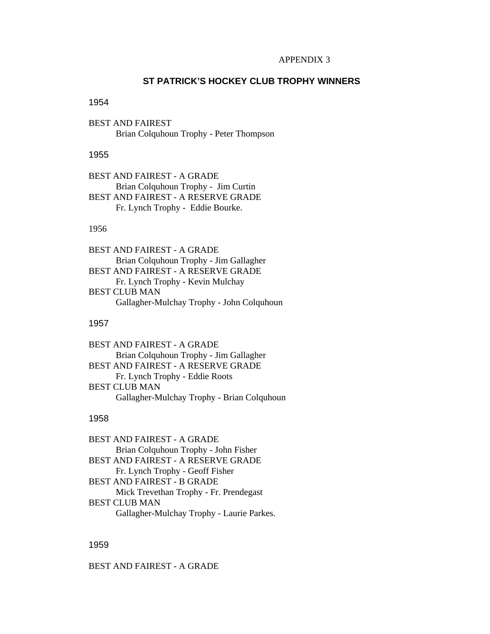#### APPENDIX 3

# **ST PATRICK'S HOCKEY CLUB TROPHY WINNERS**

#### 1954

BEST AND FAIREST Brian Colquhoun Trophy - Peter Thompson

#### 1955

BEST AND FAIREST - A GRADE Brian Colquhoun Trophy - Jim Curtin BEST AND FAIREST - A RESERVE GRADE Fr. Lynch Trophy - Eddie Bourke.

## 1956

BEST AND FAIREST - A GRADE Brian Colquhoun Trophy - Jim Gallagher BEST AND FAIREST - A RESERVE GRADE Fr. Lynch Trophy - Kevin Mulchay BEST CLUB MAN Gallagher-Mulchay Trophy - John Colquhoun

#### 1957

BEST AND FAIREST - A GRADE Brian Colquhoun Trophy - Jim Gallagher BEST AND FAIREST - A RESERVE GRADE Fr. Lynch Trophy - Eddie Roots BEST CLUB MAN Gallagher-Mulchay Trophy - Brian Colquhoun

# 1958

BEST AND FAIREST - A GRADE Brian Colquhoun Trophy - John Fisher BEST AND FAIREST - A RESERVE GRADE Fr. Lynch Trophy - Geoff Fisher BEST AND FAIREST - B GRADE Mick Trevethan Trophy - Fr. Prendegast BEST CLUB MAN Gallagher-Mulchay Trophy - Laurie Parkes.

#### 1959

BEST AND FAIREST - A GRADE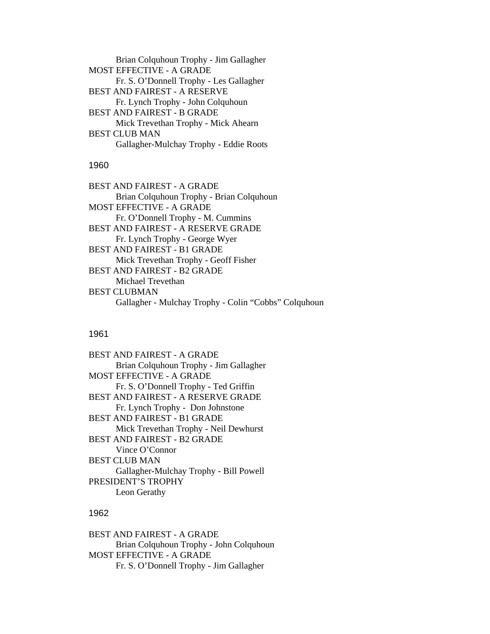Brian Colquhoun Trophy - Jim Gallagher MOST EFFECTIVE - A GRADE Fr. S. O'Donnell Trophy - Les Gallagher BEST AND FAIREST - A RESERVE Fr. Lynch Trophy - John Colquhoun BEST AND FAIREST - B GRADE Mick Trevethan Trophy - Mick Ahearn BEST CLUB MAN Gallagher-Mulchay Trophy - Eddie Roots

# 1960

BEST AND FAIREST - A GRADE Brian Colquhoun Trophy - Brian Colquhoun MOST EFFECTIVE - A GRADE Fr. O'Donnell Trophy - M. Cummins BEST AND FAIREST - A RESERVE GRADE Fr. Lynch Trophy - George Wyer BEST AND FAIREST - B1 GRADE Mick Trevethan Trophy - Geoff Fisher BEST AND FAIREST - B2 GRADE Michael Trevethan BEST CLUBMAN Gallagher - Mulchay Trophy - Colin "Cobbs" Colquhoun

#### 1961

| BEST AND FAIREST - A GRADE             |  |  |
|----------------------------------------|--|--|
| Brian Colquhoun Trophy - Jim Gallagher |  |  |
| <b>MOST EFFECTIVE - A GRADE</b>        |  |  |
| Fr. S. O'Donnell Trophy - Ted Griffin  |  |  |
| BEST AND FAIREST - A RESERVE GRADE     |  |  |
| Fr. Lynch Trophy - Don Johnstone       |  |  |
| <b>BEST AND FAIREST - B1 GRADE</b>     |  |  |
| Mick Trevethan Trophy - Neil Dewhurst  |  |  |
| BEST AND FAIREST - B2 GRADE            |  |  |
| Vince O'Connor                         |  |  |
| BEST CLUB MAN                          |  |  |
| Gallagher-Mulchay Trophy - Bill Powell |  |  |
| PRESIDENT'S TROPHY                     |  |  |
| Leon Gerathy                           |  |  |

# 1962

BEST AND FAIREST - A GRADE Brian Colquhoun Trophy - John Colquhoun MOST EFFECTIVE - A GRADE Fr. S. O'Donnell Trophy - Jim Gallagher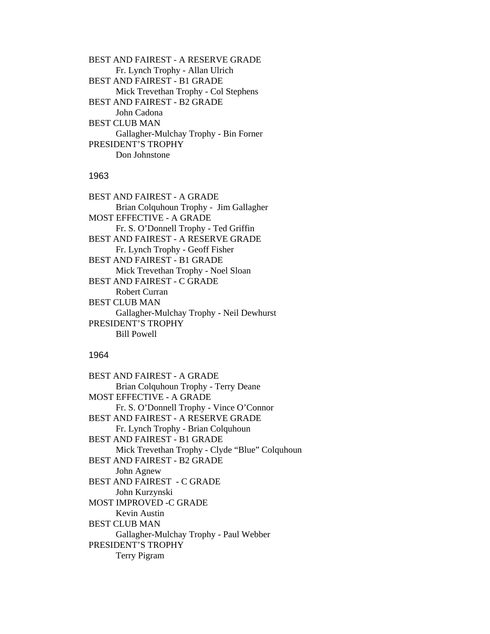BEST AND FAIREST - A RESERVE GRADE Fr. Lynch Trophy - Allan Ulrich BEST AND FAIREST - B1 GRADE Mick Trevethan Trophy - Col Stephens BEST AND FAIREST - B2 GRADE John Cadona BEST CLUB MAN Gallagher-Mulchay Trophy - Bin Forner PRESIDENT'S TROPHY Don Johnstone

# 1963

BEST AND FAIREST - A GRADE Brian Colquhoun Trophy - Jim Gallagher MOST EFFECTIVE - A GRADE Fr. S. O'Donnell Trophy - Ted Griffin BEST AND FAIREST - A RESERVE GRADE Fr. Lynch Trophy - Geoff Fisher BEST AND FAIREST - B1 GRADE Mick Trevethan Trophy - Noel Sloan BEST AND FAIREST - C GRADE Robert Curran BEST CLUB MAN Gallagher-Mulchay Trophy - Neil Dewhurst PRESIDENT'S TROPHY Bill Powell

#### 1964

BEST AND FAIREST - A GRADE Brian Colquhoun Trophy - Terry Deane MOST EFFECTIVE - A GRADE Fr. S. O'Donnell Trophy - Vince O'Connor BEST AND FAIREST - A RESERVE GRADE Fr. Lynch Trophy - Brian Colquhoun BEST AND FAIREST - B1 GRADE Mick Trevethan Trophy - Clyde "Blue" Colquhoun BEST AND FAIREST - B2 GRADE John Agnew BEST AND FAIREST - C GRADE John Kurzynski MOST IMPROVED -C GRADE Kevin Austin BEST CLUB MAN Gallagher-Mulchay Trophy - Paul Webber PRESIDENT'S TROPHY Terry Pigram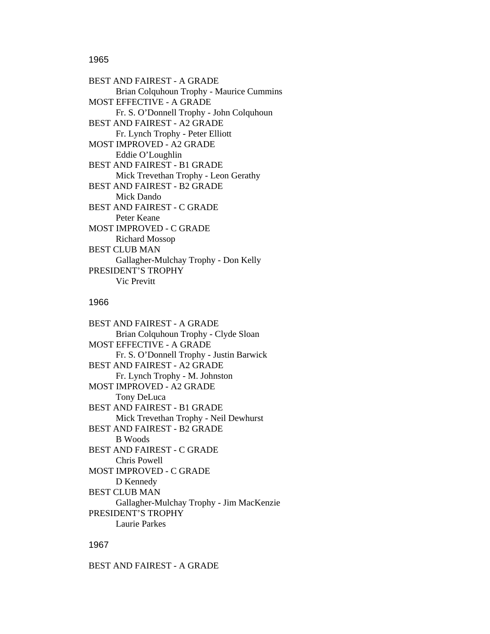### 1965

BEST AND FAIREST - A GRADE Brian Colquhoun Trophy - Maurice Cummins MOST EFFECTIVE - A GRADE Fr. S. O'Donnell Trophy - John Colquhoun BEST AND FAIREST - A2 GRADE Fr. Lynch Trophy - Peter Elliott MOST IMPROVED - A2 GRADE Eddie O'Loughlin BEST AND FAIREST - B1 GRADE Mick Trevethan Trophy - Leon Gerathy BEST AND FAIREST - B2 GRADE Mick Dando BEST AND FAIREST - C GRADE Peter Keane MOST IMPROVED - C GRADE Richard Mossop BEST CLUB MAN Gallagher-Mulchay Trophy - Don Kelly PRESIDENT'S TROPHY Vic Previtt

# 1966

BEST AND FAIREST - A GRADE Brian Colquhoun Trophy - Clyde Sloan MOST EFFECTIVE - A GRADE Fr. S. O'Donnell Trophy - Justin Barwick BEST AND FAIREST - A2 GRADE Fr. Lynch Trophy - M. Johnston MOST IMPROVED - A2 GRADE Tony DeLuca BEST AND FAIREST - B1 GRADE Mick Trevethan Trophy - Neil Dewhurst BEST AND FAIREST - B2 GRADE B Woods BEST AND FAIREST - C GRADE Chris Powell MOST IMPROVED - C GRADE D Kennedy BEST CLUB MAN Gallagher-Mulchay Trophy - Jim MacKenzie PRESIDENT'S TROPHY Laurie Parkes

# 1967

BEST AND FAIREST - A GRADE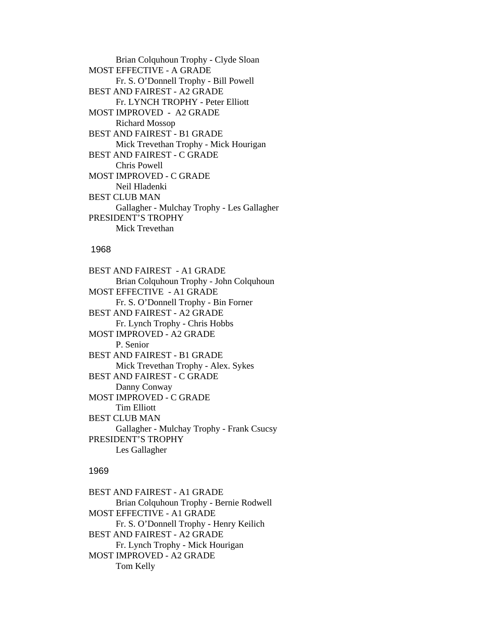Brian Colquhoun Trophy - Clyde Sloan MOST EFFECTIVE - A GRADE Fr. S. O'Donnell Trophy - Bill Powell BEST AND FAIREST - A2 GRADE Fr. LYNCH TROPHY - Peter Elliott MOST IMPROVED - A2 GRADE Richard Mossop BEST AND FAIREST - B1 GRADE Mick Trevethan Trophy - Mick Hourigan BEST AND FAIREST - C GRADE Chris Powell MOST IMPROVED - C GRADE Neil Hladenki BEST CLUB MAN Gallagher - Mulchay Trophy - Les Gallagher PRESIDENT'S TROPHY Mick Trevethan

#### 1968

BEST AND FAIREST - A1 GRADE Brian Colquhoun Trophy - John Colquhoun MOST EFFECTIVE - A1 GRADE Fr. S. O'Donnell Trophy - Bin Forner BEST AND FAIREST - A2 GRADE Fr. Lynch Trophy - Chris Hobbs MOST IMPROVED - A2 GRADE P. Senior BEST AND FAIREST - B1 GRADE Mick Trevethan Trophy - Alex. Sykes BEST AND FAIREST - C GRADE Danny Conway MOST IMPROVED - C GRADE Tim Elliott BEST CLUB MAN Gallagher - Mulchay Trophy - Frank Csucsy PRESIDENT'S TROPHY Les Gallagher

# 1969

BEST AND FAIREST - A1 GRADE Brian Colquhoun Trophy - Bernie Rodwell MOST EFFECTIVE - A1 GRADE Fr. S. O'Donnell Trophy - Henry Keilich BEST AND FAIREST - A2 GRADE Fr. Lynch Trophy - Mick Hourigan MOST IMPROVED - A2 GRADE Tom Kelly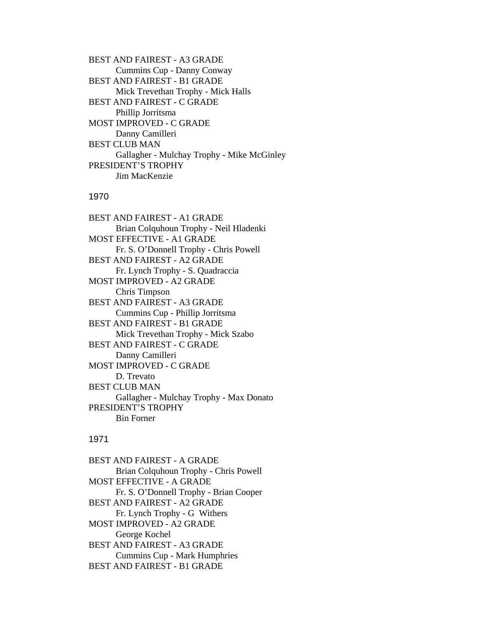BEST AND FAIREST - A3 GRADE Cummins Cup - Danny Conway BEST AND FAIREST - B1 GRADE Mick Trevethan Trophy - Mick Halls BEST AND FAIREST - C GRADE Phillip Jorritsma MOST IMPROVED - C GRADE Danny Camilleri BEST CLUB MAN Gallagher - Mulchay Trophy - Mike McGinley PRESIDENT'S TROPHY Jim MacKenzie

#### 1970

BEST AND FAIREST - A1 GRADE Brian Colquhoun Trophy - Neil Hladenki MOST EFFECTIVE - A1 GRADE Fr. S. O'Donnell Trophy - Chris Powell BEST AND FAIREST - A2 GRADE Fr. Lynch Trophy - S. Quadraccia MOST IMPROVED - A2 GRADE Chris Timpson BEST AND FAIREST - A3 GRADE Cummins Cup - Phillip Jorritsma BEST AND FAIREST - B1 GRADE Mick Trevethan Trophy - Mick Szabo BEST AND FAIREST - C GRADE Danny Camilleri MOST IMPROVED - C GRADE D. Trevato BEST CLUB MAN Gallagher - Mulchay Trophy - Max Donato PRESIDENT'S TROPHY Bin Forner

# 1971

BEST AND FAIREST - A GRADE Brian Colquhoun Trophy - Chris Powell MOST EFFECTIVE - A GRADE Fr. S. O'Donnell Trophy - Brian Cooper BEST AND FAIREST - A2 GRADE Fr. Lynch Trophy - G Withers MOST IMPROVED - A2 GRADE George Kochel BEST AND FAIREST - A3 GRADE Cummins Cup - Mark Humphries BEST AND FAIREST - B1 GRADE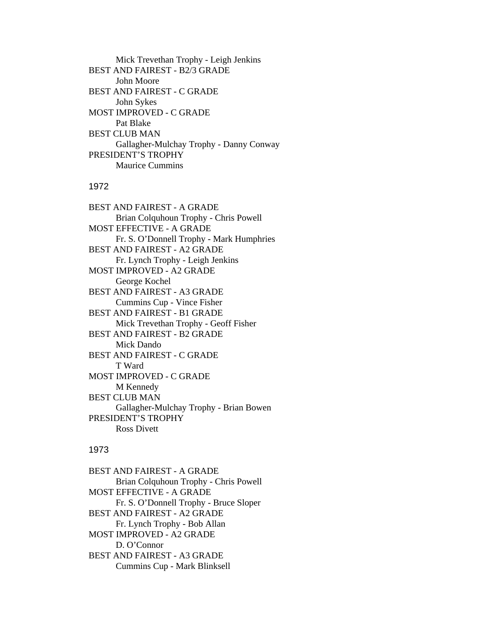Mick Trevethan Trophy - Leigh Jenkins BEST AND FAIREST - B2/3 GRADE John Moore BEST AND FAIREST - C GRADE John Sykes MOST IMPROVED - C GRADE Pat Blake BEST CLUB MAN Gallagher-Mulchay Trophy - Danny Conway PRESIDENT'S TROPHY Maurice Cummins

# 1972

BEST AND FAIREST - A GRADE Brian Colquhoun Trophy - Chris Powell MOST EFFECTIVE - A GRADE Fr. S. O'Donnell Trophy - Mark Humphries BEST AND FAIREST - A2 GRADE Fr. Lynch Trophy - Leigh Jenkins MOST IMPROVED - A2 GRADE George Kochel BEST AND FAIREST - A3 GRADE Cummins Cup - Vince Fisher BEST AND FAIREST - B1 GRADE Mick Trevethan Trophy - Geoff Fisher BEST AND FAIREST - B2 GRADE Mick Dando BEST AND FAIREST - C GRADE T Ward MOST IMPROVED - C GRADE M Kennedy BEST CLUB MAN Gallagher-Mulchay Trophy - Brian Bowen PRESIDENT'S TROPHY Ross Divett

# 1973

BEST AND FAIREST - A GRADE Brian Colquhoun Trophy - Chris Powell MOST EFFECTIVE - A GRADE Fr. S. O'Donnell Trophy - Bruce Sloper BEST AND FAIREST - A2 GRADE Fr. Lynch Trophy - Bob Allan MOST IMPROVED - A2 GRADE D. O'Connor BEST AND FAIREST - A3 GRADE Cummins Cup - Mark Blinksell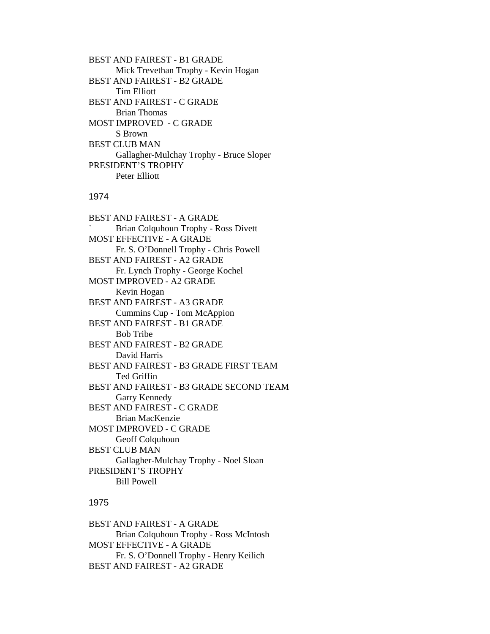BEST AND FAIREST - B1 GRADE Mick Trevethan Trophy - Kevin Hogan BEST AND FAIREST - B2 GRADE Tim Elliott BEST AND FAIREST - C GRADE Brian Thomas MOST IMPROVED - C GRADE S Brown BEST CLUB MAN Gallagher-Mulchay Trophy - Bruce Sloper PRESIDENT'S TROPHY Peter Elliott

#### 1974

BEST AND FAIREST - A GRADE ` Brian Colquhoun Trophy - Ross Divett MOST EFFECTIVE - A GRADE Fr. S. O'Donnell Trophy - Chris Powell BEST AND FAIREST - A2 GRADE Fr. Lynch Trophy - George Kochel MOST IMPROVED - A2 GRADE Kevin Hogan BEST AND FAIREST - A3 GRADE Cummins Cup - Tom McAppion BEST AND FAIREST - B1 GRADE Bob Tribe BEST AND FAIREST - B2 GRADE David Harris BEST AND FAIREST - B3 GRADE FIRST TEAM Ted Griffin BEST AND FAIREST - B3 GRADE SECOND TEAM Garry Kennedy BEST AND FAIREST - C GRADE Brian MacKenzie MOST IMPROVED - C GRADE Geoff Colquhoun BEST CLUB MAN Gallagher-Mulchay Trophy - Noel Sloan PRESIDENT'S TROPHY Bill Powell

# 1975

BEST AND FAIREST - A GRADE Brian Colquhoun Trophy - Ross McIntosh MOST EFFECTIVE - A GRADE Fr. S. O'Donnell Trophy - Henry Keilich BEST AND FAIREST - A2 GRADE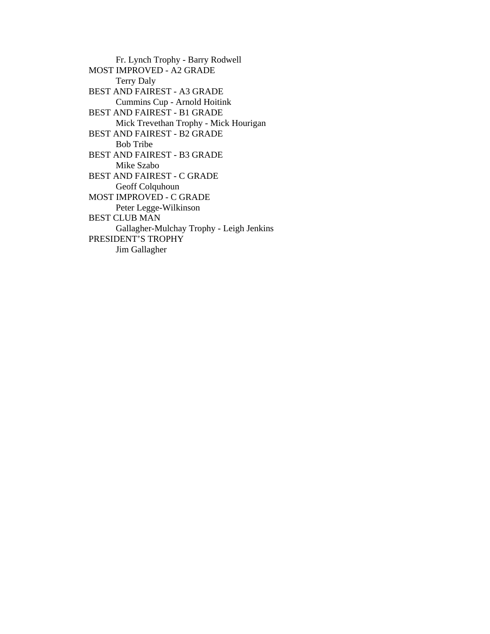Fr. Lynch Trophy - Barry Rodwell MOST IMPROVED - A2 GRADE Terry Daly BEST AND FAIREST - A3 GRADE Cummins Cup - Arnold Hoitink BEST AND FAIREST - B1 GRADE Mick Trevethan Trophy - Mick Hourigan BEST AND FAIREST - B2 GRADE Bob Tribe BEST AND FAIREST - B3 GRADE Mike Szabo BEST AND FAIREST - C GRADE Geoff Colquhoun MOST IMPROVED - C GRADE Peter Legge-Wilkinson BEST CLUB MAN Gallagher-Mulchay Trophy - Leigh Jenkins PRESIDENT'S TROPHY Jim Gallagher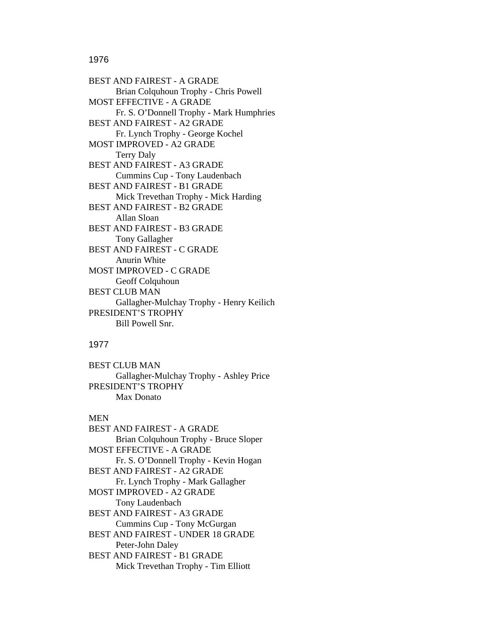### 1976

BEST AND FAIREST - A GRADE Brian Colquhoun Trophy - Chris Powell MOST EFFECTIVE - A GRADE Fr. S. O'Donnell Trophy - Mark Humphries BEST AND FAIREST - A2 GRADE Fr. Lynch Trophy - George Kochel MOST IMPROVED - A2 GRADE Terry Daly BEST AND FAIREST - A3 GRADE Cummins Cup - Tony Laudenbach BEST AND FAIREST - B1 GRADE Mick Trevethan Trophy - Mick Harding BEST AND FAIREST - B2 GRADE Allan Sloan BEST AND FAIREST - B3 GRADE Tony Gallagher BEST AND FAIREST - C GRADE Anurin White MOST IMPROVED - C GRADE Geoff Colquhoun BEST CLUB MAN Gallagher-Mulchay Trophy - Henry Keilich PRESIDENT'S TROPHY Bill Powell Snr.

### 1977

BEST CLUB MAN Gallagher-Mulchay Trophy - Ashley Price PRESIDENT'S TROPHY Max Donato

#### MEN

BEST AND FAIREST - A GRADE Brian Colquhoun Trophy - Bruce Sloper MOST EFFECTIVE - A GRADE Fr. S. O'Donnell Trophy - Kevin Hogan BEST AND FAIREST - A2 GRADE Fr. Lynch Trophy - Mark Gallagher MOST IMPROVED - A2 GRADE Tony Laudenbach BEST AND FAIREST - A3 GRADE Cummins Cup - Tony McGurgan BEST AND FAIREST - UNDER 18 GRADE Peter-John Daley BEST AND FAIREST - B1 GRADE Mick Trevethan Trophy - Tim Elliott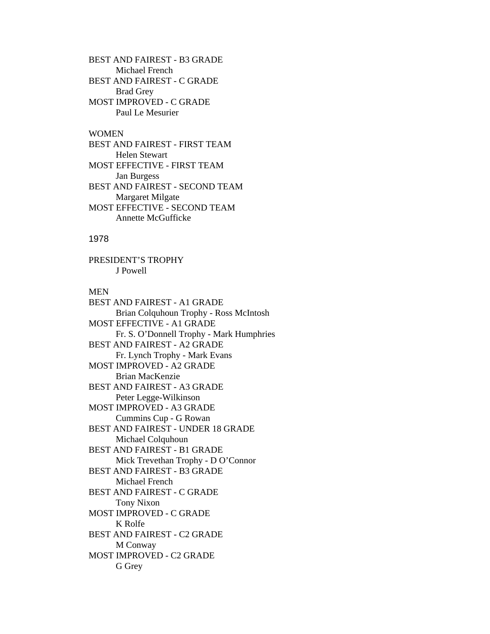BEST AND FAIREST - B3 GRADE Michael French BEST AND FAIREST - C GRADE Brad Grey MOST IMPROVED - C GRADE Paul Le Mesurier

# WOMEN

BEST AND FAIREST - FIRST TEAM Helen Stewart MOST EFFECTIVE - FIRST TEAM Jan Burgess BEST AND FAIREST - SECOND TEAM Margaret Milgate MOST EFFECTIVE - SECOND TEAM Annette McGufficke

## 1978

PRESIDENT'S TROPHY J Powell

#### MEN

BEST AND FAIREST - A1 GRADE Brian Colquhoun Trophy - Ross McIntosh MOST EFFECTIVE - A1 GRADE Fr. S. O'Donnell Trophy - Mark Humphries BEST AND FAIREST - A2 GRADE Fr. Lynch Trophy - Mark Evans MOST IMPROVED - A2 GRADE Brian MacKenzie BEST AND FAIREST - A3 GRADE Peter Legge-Wilkinson MOST IMPROVED - A3 GRADE Cummins Cup - G Rowan BEST AND FAIREST - UNDER 18 GRADE Michael Colquhoun BEST AND FAIREST - B1 GRADE Mick Trevethan Trophy - D O'Connor BEST AND FAIREST - B3 GRADE Michael French BEST AND FAIREST - C GRADE Tony Nixon MOST IMPROVED - C GRADE K Rolfe BEST AND FAIREST - C2 GRADE M Conway MOST IMPROVED - C2 GRADE G Grey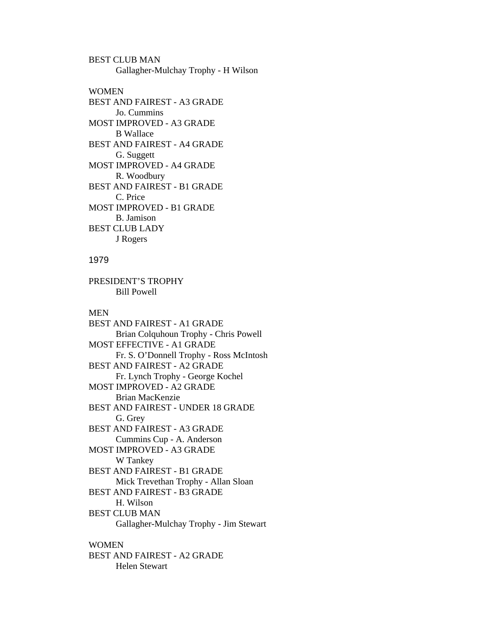BEST CLUB MAN Gallagher-Mulchay Trophy - H Wilson

**WOMEN** BEST AND FAIREST - A3 GRADE Jo. Cummins MOST IMPROVED - A3 GRADE B Wallace BEST AND FAIREST - A4 GRADE G. Suggett MOST IMPROVED - A4 GRADE R. Woodbury BEST AND FAIREST - B1 GRADE C. Price MOST IMPROVED - B1 GRADE B. Jamison BEST CLUB LADY J Rogers

# 1979

PRESIDENT'S TROPHY Bill Powell

#### MEN

BEST AND FAIREST - A1 GRADE Brian Colquhoun Trophy - Chris Powell MOST EFFECTIVE - A1 GRADE Fr. S. O'Donnell Trophy - Ross McIntosh BEST AND FAIREST - A2 GRADE Fr. Lynch Trophy - George Kochel MOST IMPROVED - A2 GRADE Brian MacKenzie BEST AND FAIREST - UNDER 18 GRADE G. Grey BEST AND FAIREST - A3 GRADE Cummins Cup - A. Anderson MOST IMPROVED - A3 GRADE W Tankey BEST AND FAIREST - B1 GRADE Mick Trevethan Trophy - Allan Sloan BEST AND FAIREST - B3 GRADE H. Wilson BEST CLUB MAN Gallagher-Mulchay Trophy - Jim Stewart

#### WOMEN

BEST AND FAIREST - A2 GRADE Helen Stewart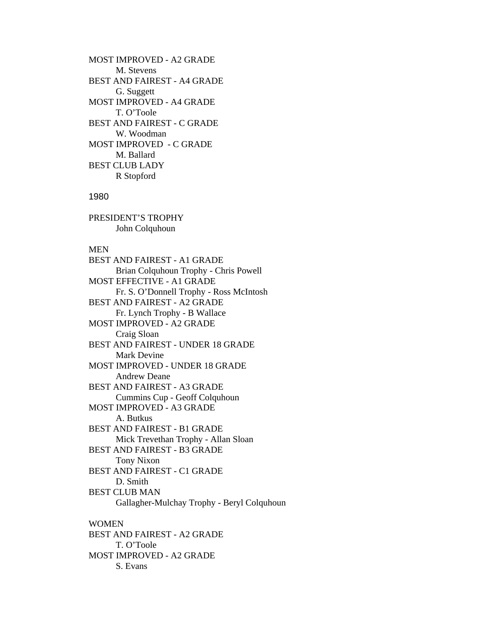MOST IMPROVED - A2 GRADE M. Stevens BEST AND FAIREST - A4 GRADE G. Suggett MOST IMPROVED - A4 GRADE T. O'Toole BEST AND FAIREST - C GRADE W. Woodman MOST IMPROVED - C GRADE M. Ballard BEST CLUB LADY R Stopford

#### 1980

PRESIDENT'S TROPHY John Colquhoun

S. Evans

#### MEN

BEST AND FAIREST - A1 GRADE Brian Colquhoun Trophy - Chris Powell MOST EFFECTIVE - A1 GRADE Fr. S. O'Donnell Trophy - Ross McIntosh BEST AND FAIREST - A2 GRADE Fr. Lynch Trophy - B Wallace MOST IMPROVED - A2 GRADE Craig Sloan BEST AND FAIREST - UNDER 18 GRADE Mark Devine MOST IMPROVED - UNDER 18 GRADE Andrew Deane BEST AND FAIREST - A3 GRADE Cummins Cup - Geoff Colquhoun MOST IMPROVED - A3 GRADE A. Butkus BEST AND FAIREST - B1 GRADE Mick Trevethan Trophy - Allan Sloan BEST AND FAIREST - B3 GRADE Tony Nixon BEST AND FAIREST - C1 GRADE D. Smith BEST CLUB MAN Gallagher-Mulchay Trophy - Beryl Colquhoun WOMEN BEST AND FAIREST - A2 GRADE T. O'Toole MOST IMPROVED - A2 GRADE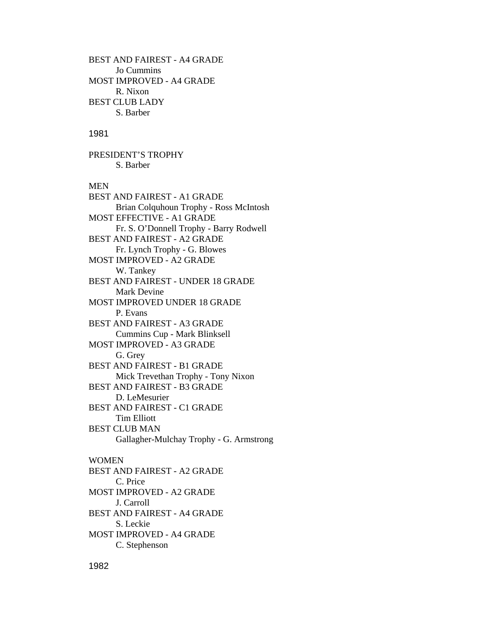BEST AND FAIREST - A4 GRADE Jo Cummins MOST IMPROVED - A4 GRADE R. Nixon BEST CLUB LADY S. Barber

### 1981

PRESIDENT'S TROPHY S. Barber

# MEN

BEST AND FAIREST - A1 GRADE Brian Colquhoun Trophy - Ross McIntosh MOST EFFECTIVE - A1 GRADE Fr. S. O'Donnell Trophy - Barry Rodwell BEST AND FAIREST - A2 GRADE Fr. Lynch Trophy - G. Blowes MOST IMPROVED - A2 GRADE W. Tankey BEST AND FAIREST - UNDER 18 GRADE Mark Devine MOST IMPROVED UNDER 18 GRADE P. Evans BEST AND FAIREST - A3 GRADE Cummins Cup - Mark Blinksell MOST IMPROVED - A3 GRADE G. Grey BEST AND FAIREST - B1 GRADE Mick Trevethan Trophy - Tony Nixon BEST AND FAIREST - B3 GRADE D. LeMesurier BEST AND FAIREST - C1 GRADE Tim Elliott BEST CLUB MAN Gallagher-Mulchay Trophy - G. Armstrong WOMEN BEST AND FAIREST - A2 GRADE C. Price

MOST IMPROVED - A2 GRADE J. Carroll BEST AND FAIREST - A4 GRADE S. Leckie MOST IMPROVED - A4 GRADE C. Stephenson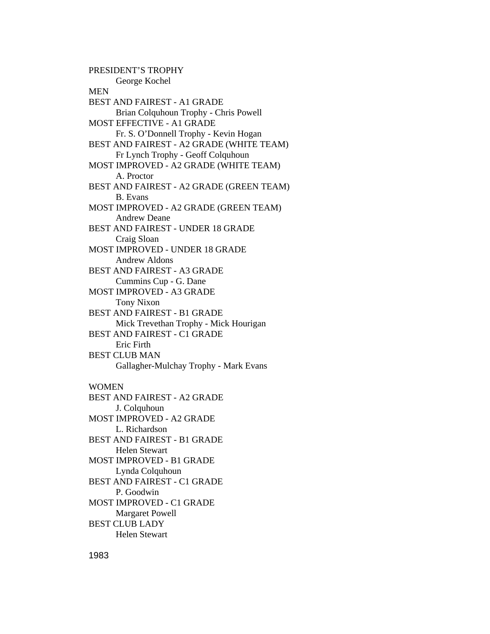PRESIDENT'S TROPHY George Kochel **MEN** BEST AND FAIREST - A1 GRADE Brian Colquhoun Trophy - Chris Powell MOST EFFECTIVE - A1 GRADE Fr. S. O'Donnell Trophy - Kevin Hogan BEST AND FAIREST - A2 GRADE (WHITE TEAM) Fr Lynch Trophy - Geoff Colquhoun MOST IMPROVED - A2 GRADE (WHITE TEAM) A. Proctor BEST AND FAIREST - A2 GRADE (GREEN TEAM) B. Evans MOST IMPROVED - A2 GRADE (GREEN TEAM) Andrew Deane BEST AND FAIREST - UNDER 18 GRADE Craig Sloan MOST IMPROVED - UNDER 18 GRADE Andrew Aldons BEST AND FAIREST - A3 GRADE Cummins Cup - G. Dane MOST IMPROVED - A3 GRADE Tony Nixon BEST AND FAIREST - B1 GRADE Mick Trevethan Trophy - Mick Hourigan BEST AND FAIREST - C1 GRADE Eric Firth BEST CLUB MAN Gallagher-Mulchay Trophy - Mark Evans WOMEN BEST AND FAIREST - A2 GRADE J. Colquhoun MOST IMPROVED - A2 GRADE L. Richardson BEST AND FAIREST - B1 GRADE Helen Stewart MOST IMPROVED - B1 GRADE Lynda Colquhoun BEST AND FAIREST - C1 GRADE P. Goodwin MOST IMPROVED - C1 GRADE Margaret Powell BEST CLUB LADY Helen Stewart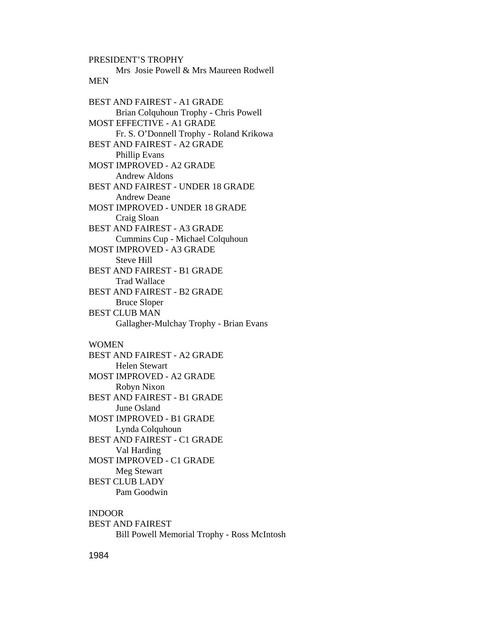PRESIDENT'S TROPHY Mrs Josie Powell & Mrs Maureen Rodwell **MEN** BEST AND FAIREST - A1 GRADE Brian Colquhoun Trophy - Chris Powell MOST EFFECTIVE - A1 GRADE Fr. S. O'Donnell Trophy - Roland Krikowa BEST AND FAIREST - A2 GRADE Phillip Evans MOST IMPROVED - A2 GRADE Andrew Aldons BEST AND FAIREST - UNDER 18 GRADE Andrew Deane MOST IMPROVED - UNDER 18 GRADE Craig Sloan BEST AND FAIREST - A3 GRADE Cummins Cup - Michael Colquhoun MOST IMPROVED - A3 GRADE Steve Hill BEST AND FAIREST - B1 GRADE Trad Wallace BEST AND FAIREST - B2 GRADE Bruce Sloper BEST CLUB MAN Gallagher-Mulchay Trophy - Brian Evans WOMEN BEST AND FAIREST - A2 GRADE

 Helen Stewart MOST IMPROVED - A2 GRADE Robyn Nixon BEST AND FAIREST - B1 GRADE June Osland MOST IMPROVED - B1 GRADE Lynda Colquhoun BEST AND FAIREST - C1 GRADE Val Harding MOST IMPROVED - C1 GRADE Meg Stewart BEST CLUB LADY Pam Goodwin

INDOOR BEST AND FAIREST Bill Powell Memorial Trophy - Ross McIntosh

1984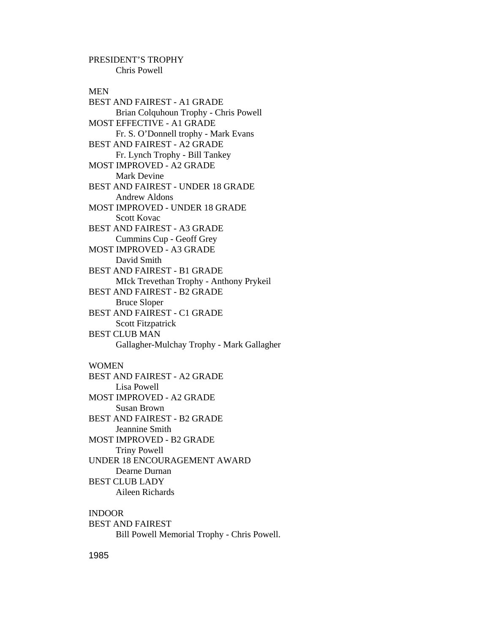PRESIDENT'S TROPHY Chris Powell

#### MEN

BEST AND FAIREST - A1 GRADE Brian Colquhoun Trophy - Chris Powell MOST EFFECTIVE - A1 GRADE Fr. S. O'Donnell trophy - Mark Evans BEST AND FAIREST - A2 GRADE Fr. Lynch Trophy - Bill Tankey MOST IMPROVED - A2 GRADE Mark Devine BEST AND FAIREST - UNDER 18 GRADE Andrew Aldons MOST IMPROVED - UNDER 18 GRADE Scott Kovac BEST AND FAIREST - A3 GRADE Cummins Cup - Geoff Grey MOST IMPROVED - A3 GRADE David Smith BEST AND FAIREST - B1 GRADE MIck Trevethan Trophy - Anthony Prykeil BEST AND FAIREST - B2 GRADE Bruce Sloper BEST AND FAIREST - C1 GRADE Scott Fitzpatrick BEST CLUB MAN Gallagher-Mulchay Trophy - Mark Gallagher WOMEN BEST AND FAIREST - A2 GRADE Lisa Powell MOST IMPROVED - A2 GRADE Susan Brown BEST AND FAIREST - B2 GRADE Jeannine Smith MOST IMPROVED - B2 GRADE Triny Powell UNDER 18 ENCOURAGEMENT AWARD Dearne Durnan

BEST CLUB LADY

Aileen Richards

INDOOR

BEST AND FAIREST Bill Powell Memorial Trophy - Chris Powell.

1985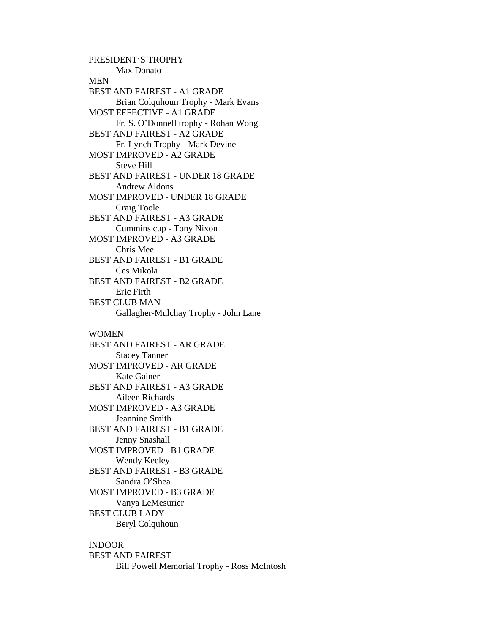PRESIDENT'S TROPHY Max Donato **MEN** BEST AND FAIREST - A1 GRADE Brian Colquhoun Trophy - Mark Evans MOST EFFECTIVE - A1 GRADE Fr. S. O'Donnell trophy - Rohan Wong BEST AND FAIREST - A2 GRADE Fr. Lynch Trophy - Mark Devine MOST IMPROVED - A2 GRADE Steve Hill BEST AND FAIREST - UNDER 18 GRADE Andrew Aldons MOST IMPROVED - UNDER 18 GRADE Craig Toole BEST AND FAIREST - A3 GRADE Cummins cup - Tony Nixon MOST IMPROVED - A3 GRADE Chris Mee BEST AND FAIREST - B1 GRADE Ces Mikola BEST AND FAIREST - B2 GRADE Eric Firth BEST CLUB MAN Gallagher-Mulchay Trophy - John Lane WOMEN BEST AND FAIREST - AR GRADE Stacey Tanner MOST IMPROVED - AR GRADE Kate Gainer BEST AND FAIREST - A3 GRADE Aileen Richards MOST IMPROVED - A3 GRADE Jeannine Smith BEST AND FAIREST - B1 GRADE Jenny Snashall MOST IMPROVED - B1 GRADE Wendy Keeley BEST AND FAIREST - B3 GRADE Sandra O'Shea MOST IMPROVED - B3 GRADE Vanya LeMesurier BEST CLUB LADY Beryl Colquhoun

# INDOOR

BEST AND FAIREST Bill Powell Memorial Trophy - Ross McIntosh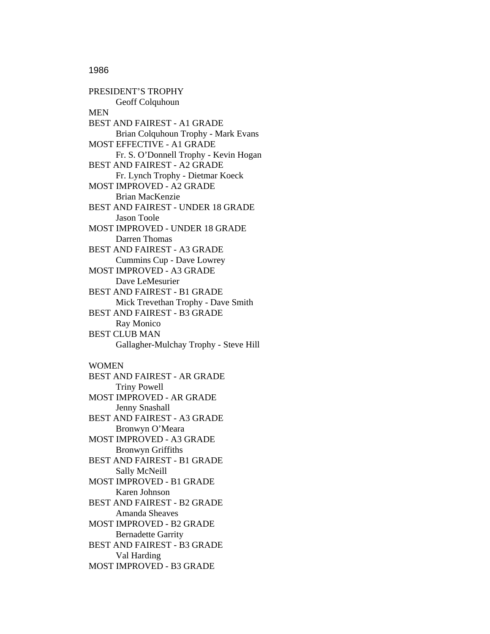1986

PRESIDENT'S TROPHY Geoff Colquhoun **MEN** BEST AND FAIREST - A1 GRADE Brian Colquhoun Trophy - Mark Evans MOST EFFECTIVE - A1 GRADE Fr. S. O'Donnell Trophy - Kevin Hogan BEST AND FAIREST - A2 GRADE Fr. Lynch Trophy - Dietmar Koeck MOST IMPROVED - A2 GRADE Brian MacKenzie BEST AND FAIREST - UNDER 18 GRADE Jason Toole MOST IMPROVED - UNDER 18 GRADE Darren Thomas BEST AND FAIREST - A3 GRADE Cummins Cup - Dave Lowrey MOST IMPROVED - A3 GRADE Dave LeMesurier BEST AND FAIREST - B1 GRADE Mick Trevethan Trophy - Dave Smith BEST AND FAIREST - B3 GRADE Ray Monico BEST CLUB MAN Gallagher-Mulchay Trophy - Steve Hill WOMEN BEST AND FAIREST - AR GRADE Triny Powell MOST IMPROVED - AR GRADE Jenny Snashall BEST AND FAIREST - A3 GRADE Bronwyn O'Meara MOST IMPROVED - A3 GRADE Bronwyn Griffiths BEST AND FAIREST - B1 GRADE Sally McNeill MOST IMPROVED - B1 GRADE Karen Johnson BEST AND FAIREST - B2 GRADE Amanda Sheaves MOST IMPROVED - B2 GRADE Bernadette Garrity

BEST AND FAIREST - B3 GRADE Val Harding

MOST IMPROVED - B3 GRADE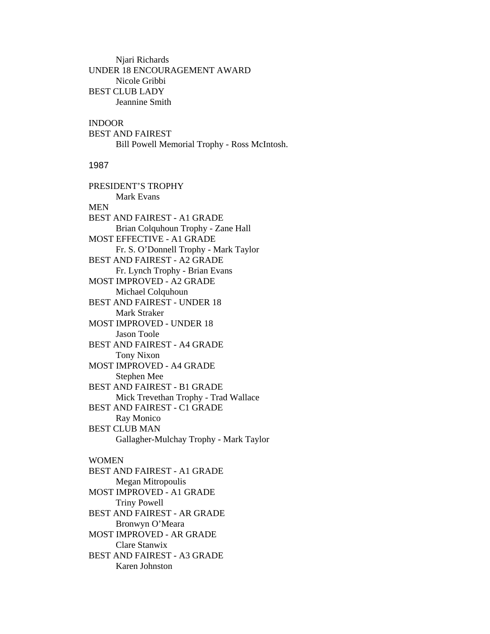Njari Richards UNDER 18 ENCOURAGEMENT AWARD Nicole Gribbi BEST CLUB LADY Jeannine Smith

# INDOOR

BEST AND FAIREST Bill Powell Memorial Trophy - Ross McIntosh.

#### 1987

PRESIDENT'S TROPHY Mark Evans MEN BEST AND FAIREST - A1 GRADE Brian Colquhoun Trophy - Zane Hall MOST EFFECTIVE - A1 GRADE Fr. S. O'Donnell Trophy - Mark Taylor BEST AND FAIREST - A2 GRADE Fr. Lynch Trophy - Brian Evans MOST IMPROVED - A2 GRADE Michael Colquhoun BEST AND FAIREST - UNDER 18 Mark Straker MOST IMPROVED - UNDER 18 Jason Toole BEST AND FAIREST - A4 GRADE Tony Nixon MOST IMPROVED - A4 GRADE Stephen Mee BEST AND FAIREST - B1 GRADE Mick Trevethan Trophy - Trad Wallace BEST AND FAIREST - C1 GRADE Ray Monico BEST CLUB MAN Gallagher-Mulchay Trophy - Mark Taylor WOMEN BEST AND FAIREST - A1 GRADE Megan Mitropoulis MOST IMPROVED - A1 GRADE

Triny Powell

BEST AND FAIREST - AR GRADE

Bronwyn O'Meara

MOST IMPROVED - AR GRADE

Clare Stanwix

BEST AND FAIREST - A3 GRADE Karen Johnston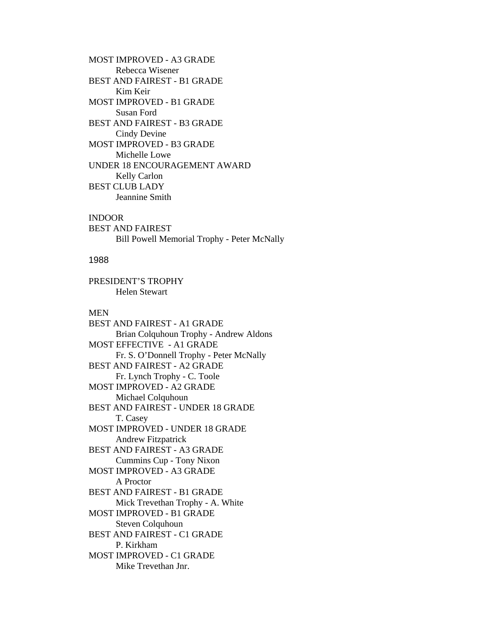MOST IMPROVED - A3 GRADE Rebecca Wisener BEST AND FAIREST - B1 GRADE Kim Keir MOST IMPROVED - B1 GRADE Susan Ford BEST AND FAIREST - B3 GRADE Cindy Devine MOST IMPROVED - B3 GRADE Michelle Lowe UNDER 18 ENCOURAGEMENT AWARD Kelly Carlon BEST CLUB LADY Jeannine Smith

#### INDOOR

BEST AND FAIREST Bill Powell Memorial Trophy - Peter McNally

# 1988

PRESIDENT'S TROPHY Helen Stewart

#### MEN

BEST AND FAIREST - A1 GRADE Brian Colquhoun Trophy - Andrew Aldons MOST EFFECTIVE - A1 GRADE Fr. S. O'Donnell Trophy - Peter McNally BEST AND FAIREST - A2 GRADE Fr. Lynch Trophy - C. Toole MOST IMPROVED - A2 GRADE Michael Colquhoun BEST AND FAIREST - UNDER 18 GRADE T. Casey MOST IMPROVED - UNDER 18 GRADE Andrew Fitzpatrick BEST AND FAIREST - A3 GRADE Cummins Cup - Tony Nixon MOST IMPROVED - A3 GRADE A Proctor BEST AND FAIREST - B1 GRADE Mick Trevethan Trophy - A. White MOST IMPROVED - B1 GRADE Steven Colquhoun BEST AND FAIREST - C1 GRADE P. Kirkham MOST IMPROVED - C1 GRADE Mike Trevethan Jnr.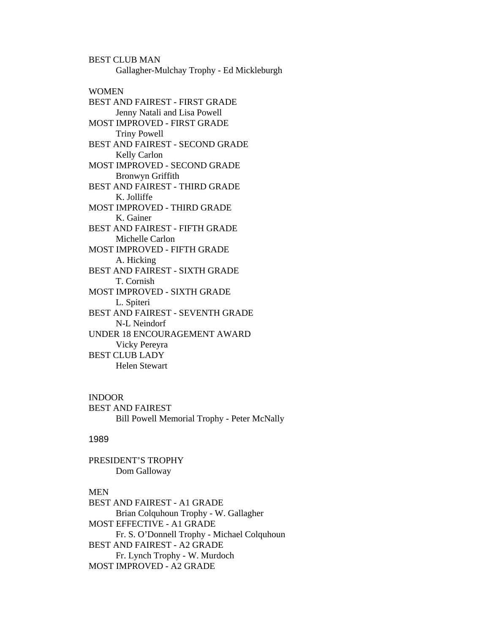BEST CLUB MAN Gallagher-Mulchay Trophy - Ed Mickleburgh **WOMEN** BEST AND FAIREST - FIRST GRADE Jenny Natali and Lisa Powell MOST IMPROVED - FIRST GRADE Triny Powell BEST AND FAIREST - SECOND GRADE Kelly Carlon MOST IMPROVED - SECOND GRADE Bronwyn Griffith BEST AND FAIREST - THIRD GRADE K. Jolliffe MOST IMPROVED - THIRD GRADE K. Gainer BEST AND FAIREST - FIFTH GRADE Michelle Carlon MOST IMPROVED - FIFTH GRADE A. Hicking BEST AND FAIREST - SIXTH GRADE T. Cornish MOST IMPROVED - SIXTH GRADE L. Spiteri BEST AND FAIREST - SEVENTH GRADE N-L Neindorf UNDER 18 ENCOURAGEMENT AWARD Vicky Pereyra BEST CLUB LADY Helen Stewart

INDOOR BEST AND FAIREST Bill Powell Memorial Trophy - Peter McNally

#### 1989

PRESIDENT'S TROPHY Dom Galloway

### MEN

BEST AND FAIREST - A1 GRADE Brian Colquhoun Trophy - W. Gallagher MOST EFFECTIVE - A1 GRADE Fr. S. O'Donnell Trophy - Michael Colquhoun BEST AND FAIREST - A2 GRADE Fr. Lynch Trophy - W. Murdoch MOST IMPROVED - A2 GRADE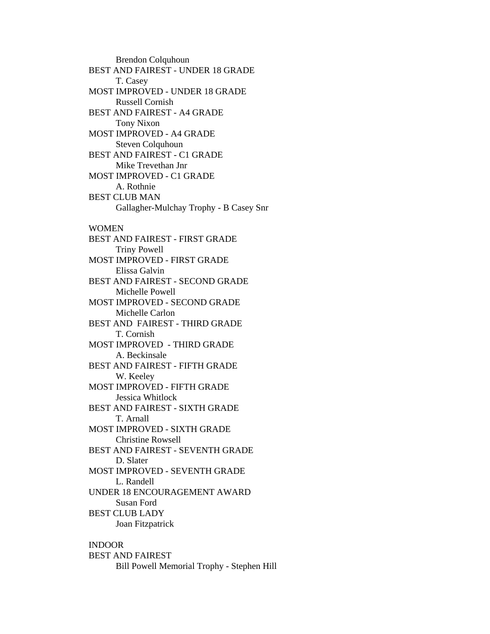Brendon Colquhoun BEST AND FAIREST - UNDER 18 GRADE T. Casey MOST IMPROVED - UNDER 18 GRADE Russell Cornish BEST AND FAIREST - A4 GRADE Tony Nixon MOST IMPROVED - A4 GRADE Steven Colquhoun BEST AND FAIREST - C1 GRADE Mike Trevethan Jnr MOST IMPROVED - C1 GRADE A. Rothnie BEST CLUB MAN Gallagher-Mulchay Trophy - B Casey Snr WOMEN BEST AND FAIREST - FIRST GRADE Triny Powell MOST IMPROVED - FIRST GRADE Elissa Galvin BEST AND FAIREST - SECOND GRADE Michelle Powell MOST IMPROVED - SECOND GRADE Michelle Carlon BEST AND FAIREST - THIRD GRADE T. Cornish MOST IMPROVED - THIRD GRADE A. Beckinsale BEST AND FAIREST - FIFTH GRADE W. Keeley MOST IMPROVED - FIFTH GRADE Jessica Whitlock BEST AND FAIREST - SIXTH GRADE T. Arnall MOST IMPROVED - SIXTH GRADE Christine Rowsell BEST AND FAIREST - SEVENTH GRADE D. Slater MOST IMPROVED - SEVENTH GRADE L. Randell UNDER 18 ENCOURAGEMENT AWARD Susan Ford BEST CLUB LADY Joan Fitzpatrick INDOOR

BEST AND FAIREST Bill Powell Memorial Trophy - Stephen Hill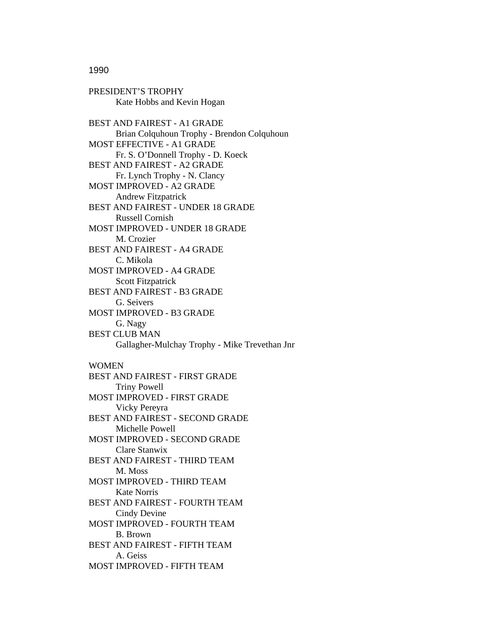1990

PRESIDENT'S TROPHY Kate Hobbs and Kevin Hogan BEST AND FAIREST - A1 GRADE Brian Colquhoun Trophy - Brendon Colquhoun MOST EFFECTIVE - A1 GRADE Fr. S. O'Donnell Trophy - D. Koeck BEST AND FAIREST - A2 GRADE Fr. Lynch Trophy - N. Clancy MOST IMPROVED - A2 GRADE Andrew Fitzpatrick BEST AND FAIREST - UNDER 18 GRADE Russell Cornish MOST IMPROVED - UNDER 18 GRADE M. Crozier BEST AND FAIREST - A4 GRADE C. Mikola MOST IMPROVED - A4 GRADE Scott Fitzpatrick BEST AND FAIREST - B3 GRADE G. Seivers MOST IMPROVED - B3 GRADE G. Nagy BEST CLUB MAN Gallagher-Mulchay Trophy - Mike Trevethan Jnr WOMEN BEST AND FAIREST - FIRST GRADE Triny Powell MOST IMPROVED - FIRST GRADE Vicky Pereyra BEST AND FAIREST - SECOND GRADE Michelle Powell MOST IMPROVED - SECOND GRADE Clare Stanwix BEST AND FAIREST - THIRD TEAM M. Moss MOST IMPROVED - THIRD TEAM Kate Norris BEST AND FAIREST - FOURTH TEAM Cindy Devine MOST IMPROVED - FOURTH TEAM B. Brown BEST AND FAIREST - FIFTH TEAM A. Geiss MOST IMPROVED - FIFTH TEAM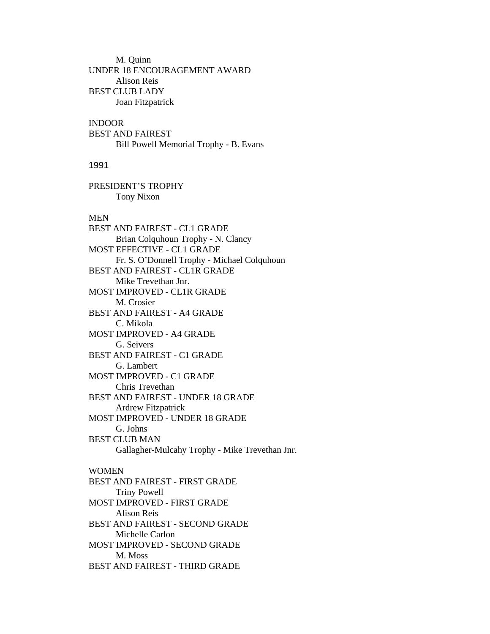M. Quinn UNDER 18 ENCOURAGEMENT AWARD Alison Reis BEST CLUB LADY Joan Fitzpatrick

## INDOOR

BEST AND FAIREST Bill Powell Memorial Trophy - B. Evans

### 1991

PRESIDENT'S TROPHY Tony Nixon

#### MEN

BEST AND FAIREST - CL1 GRADE Brian Colquhoun Trophy - N. Clancy MOST EFFECTIVE - CL1 GRADE Fr. S. O'Donnell Trophy - Michael Colquhoun BEST AND FAIREST - CL1R GRADE Mike Trevethan Jnr. MOST IMPROVED - CL1R GRADE M. Crosier BEST AND FAIREST - A4 GRADE C. Mikola MOST IMPROVED - A4 GRADE G. Seivers BEST AND FAIREST - C1 GRADE G. Lambert MOST IMPROVED - C1 GRADE Chris Trevethan BEST AND FAIREST - UNDER 18 GRADE Ardrew Fitzpatrick MOST IMPROVED - UNDER 18 GRADE G. Johns BEST CLUB MAN Gallagher-Mulcahy Trophy - Mike Trevethan Jnr. WOMEN BEST AND FAIREST - FIRST GRADE Triny Powell MOST IMPROVED - FIRST GRADE Alison Reis BEST AND FAIREST - SECOND GRADE Michelle Carlon MOST IMPROVED - SECOND GRADE M. Moss BEST AND FAIREST - THIRD GRADE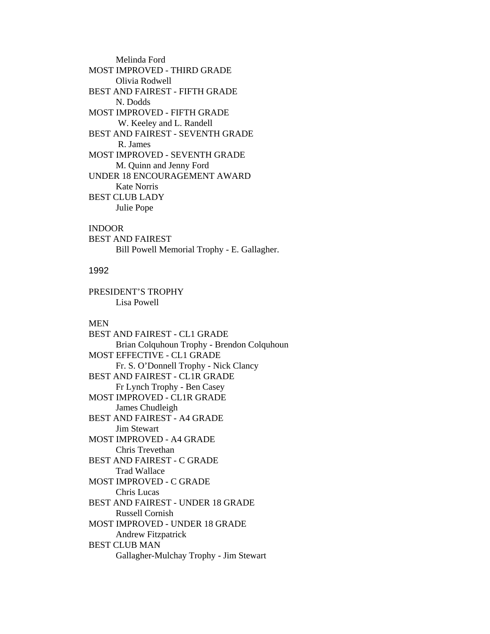Melinda Ford MOST IMPROVED - THIRD GRADE Olivia Rodwell BEST AND FAIREST - FIFTH GRADE N. Dodds MOST IMPROVED - FIFTH GRADE W. Keeley and L. Randell BEST AND FAIREST - SEVENTH GRADE R. James MOST IMPROVED - SEVENTH GRADE M. Quinn and Jenny Ford UNDER 18 ENCOURAGEMENT AWARD Kate Norris BEST CLUB LADY Julie Pope

# INDOOR

BEST AND FAIREST Bill Powell Memorial Trophy - E. Gallagher.

## 1992

PRESIDENT'S TROPHY Lisa Powell

### MEN

BEST AND FAIREST - CL1 GRADE Brian Colquhoun Trophy - Brendon Colquhoun MOST EFFECTIVE - CL1 GRADE Fr. S. O'Donnell Trophy - Nick Clancy BEST AND FAIREST - CL1R GRADE Fr Lynch Trophy - Ben Casey MOST IMPROVED - CL1R GRADE James Chudleigh BEST AND FAIREST - A4 GRADE Jim Stewart MOST IMPROVED - A4 GRADE Chris Trevethan BEST AND FAIREST - C GRADE Trad Wallace MOST IMPROVED - C GRADE Chris Lucas BEST AND FAIREST - UNDER 18 GRADE Russell Cornish MOST IMPROVED - UNDER 18 GRADE Andrew Fitzpatrick BEST CLUB MAN Gallagher-Mulchay Trophy - Jim Stewart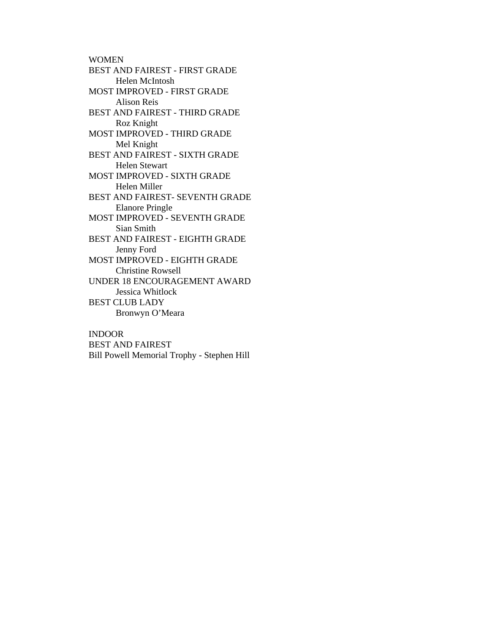WOMEN BEST AND FAIREST - FIRST GRADE Helen McIntosh MOST IMPROVED - FIRST GRADE Alison Reis BEST AND FAIREST - THIRD GRADE Roz Knight MOST IMPROVED - THIRD GRADE Mel Knight BEST AND FAIREST - SIXTH GRADE Helen Stewart MOST IMPROVED - SIXTH GRADE Helen Miller BEST AND FAIREST- SEVENTH GRADE Elanore Pringle MOST IMPROVED - SEVENTH GRADE Sian Smith BEST AND FAIREST - EIGHTH GRADE Jenny Ford MOST IMPROVED - EIGHTH GRADE Christine Rowsell UNDER 18 ENCOURAGEMENT AWARD Jessica Whitlock BEST CLUB LADY Bronwyn O'Meara

## INDOOR

BEST AND FAIREST Bill Powell Memorial Trophy - Stephen Hill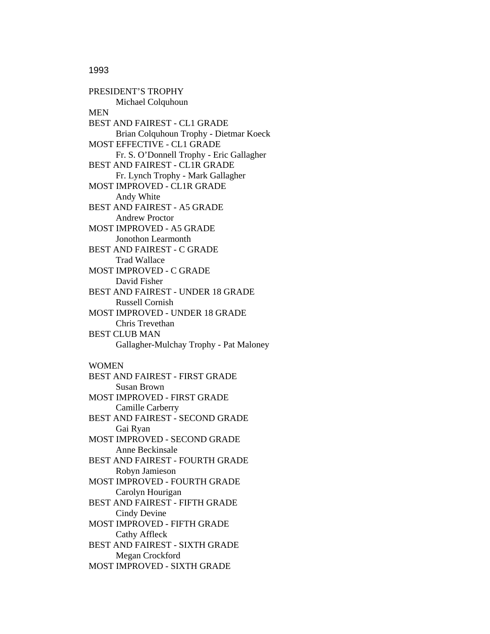1993

PRESIDENT'S TROPHY Michael Colquhoun **MEN** BEST AND FAIREST - CL1 GRADE Brian Colquhoun Trophy - Dietmar Koeck MOST EFFECTIVE - CL1 GRADE Fr. S. O'Donnell Trophy - Eric Gallagher BEST AND FAIREST - CL1R GRADE Fr. Lynch Trophy - Mark Gallagher MOST IMPROVED - CL1R GRADE Andy White BEST AND FAIREST - A5 GRADE Andrew Proctor MOST IMPROVED - A5 GRADE Jonothon Learmonth BEST AND FAIREST - C GRADE Trad Wallace MOST IMPROVED - C GRADE David Fisher BEST AND FAIREST - UNDER 18 GRADE Russell Cornish MOST IMPROVED - UNDER 18 GRADE Chris Trevethan BEST CLUB MAN Gallagher-Mulchay Trophy - Pat Maloney WOMEN BEST AND FAIREST - FIRST GRADE Susan Brown MOST IMPROVED - FIRST GRADE Camille Carberry BEST AND FAIREST - SECOND GRADE Gai Ryan MOST IMPROVED - SECOND GRADE Anne Beckinsale BEST AND FAIREST - FOURTH GRADE Robyn Jamieson MOST IMPROVED - FOURTH GRADE Carolyn Hourigan BEST AND FAIREST - FIFTH GRADE Cindy Devine MOST IMPROVED - FIFTH GRADE Cathy Affleck BEST AND FAIREST - SIXTH GRADE Megan Crockford

MOST IMPROVED - SIXTH GRADE